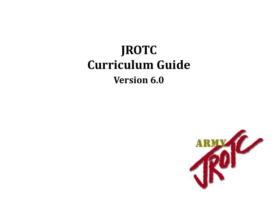# **JROTC Curriculum Guide Version 6.0**

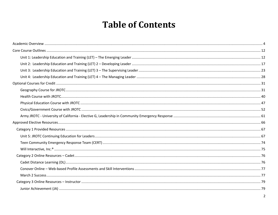## **Table of Contents**

<span id="page-1-0"></span>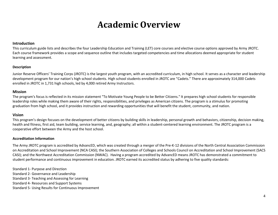## **Academic Overview**

#### <span id="page-3-0"></span>**Introduction**

This curriculum guide lists and describes the four Leadership Education and Training (LET) core courses and elective course options approved by Army JROTC. Each course framework provides a scope and sequence outline that includes targeted competencies and time allocations deemed appropriate for student learning and assessment.

#### **Description**

Junior Reserve Officers' Training Corps (JROTC) is the largest youth program, with an accredited curriculum, in high school. It serves as a character and leadership development program for our nation's high school students. High school students enrolled in JROTC are "Cadets." There are approximately 314,000 Cadets enrolled in JROTC in 1,731 high schools, led by 4,000 retired Army Instructors.

#### **Mission**

The program's focus is reflected in its mission statement "To Motivate Young People to be Better Citizens." It prepares high school students for responsible leadership roles while making them aware of their rights, responsibilities, and privileges as American citizens. The program is a stimulus for promoting graduation from high school, and it provides instruction and rewarding opportunities that will benefit the student, community, and nation.

#### **Vision**

This program's design focuses on the development of better citizens by building skills in leadership, personal growth and behaviors, citizenship, decision making, health and fitness, first aid, team building, service learning, and, geography; all within a student-centered learning environment. The JROTC program is a cooperative effort between the Army and the host school.

#### **Accreditation Information**

The Army JROTC program is accredited by AdvancED, which was created through a merger of the Pre-K-12 divisions of the North Central Association Commission on Accreditation and School Improvement (NCA CASI); the Southern Association of Colleges and Schools Council on Accreditation and School Improvement (SACS CASI); and the Northwest Accreditation Commission (NWAC). Having a program accredited by AdvancED means JROTC has demonstrated a commitment to student performance and continuous improvement in education. JROTC earned its accredited status by adhering to five quality standards:

Standard 1- Purpose and Direction Standard 2- Governance and Leadership Standard 3- Teaching and Assessing for Learning Standard 4- Resources and Support Systems Standard 5- Using Results for Continuous Improvement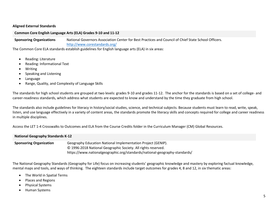#### **Aligned External Standards**

#### **Common Core English Language Arts (ELA) Grades 9-10 and 11-12**

**Sponsoring Organizations** National Governors Association Center for Best Practices and Council of Chief State School Officers. <http://www.corestandards.org/>

The Common Core ELA standards establish guidelines for English language arts (ELA) in six areas:

- Reading: Literature
- Reading: Informational Text
- Writing
- Speaking and Listening
- Language
- Range, Quality, and Complexity of Language Skills

The standards for high school students are grouped at two levels: grades 9-10 and grades 11-12. The anchor for the standards is based on a set of college- and career-readiness standards, which address what students are expected to know and understand by the time they graduate from high school.

The standards also include guidelines for literacy in history/social studies, science, and technical subjects. Because students must learn to read, write, speak, listen, and use language effectively in a variety of content areas, the standards promote the literacy skills and concepts required for college and career readiness in multiple disciplines.

Access the LET 1-4 Crosswalks to Outcomes and ELA from the Course Credits folder in the Curriculum Manager (CM) Global Resources.

| <b>National Geography Standards K-12</b> |                                                                                                                                                                                                             |  |  |  |
|------------------------------------------|-------------------------------------------------------------------------------------------------------------------------------------------------------------------------------------------------------------|--|--|--|
| <b>Sponsoring Organization</b>           | Geography Education National Implementation Project (GENIP).<br>© 1996-2018 National Geographic Society. All rights reserved.<br>https://www.nationalgeographic.org/standards/national-geography-standards/ |  |  |  |

The National Geography Standards (Geography for Life) focus on increasing students' geographic knowledge and mastery by exploring factual knowledge, mental maps and tools, and ways of thinking. The eighteen standards include target outcomes for grades 4, 8 and 12, in six thematic areas:

- The World in Spatial Terms
- Places and Regions
- Physical Systems
- Human Systems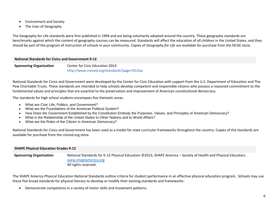- Environment and Society
- The Uses of Geography

The Geography for Life standards were first published in 1994 and are being voluntarily adopted around the country. These geography standards are benchmarks against which the content of geography courses can be measured. Standards will affect the education of all children in the United States, and they should be part of the program of instruction of schools in your community. Copies of *Geography for Life* are available for purchase from the NCGE store.

#### **National Standards for Civics and Government 9-12**

**Sponsoring Organization** Center for Civic Education 2014 <http://www.civiced.org/standards?page=912toc>

National Standards for Civics and Government were developed by the Center for Civic Education with support from the U.S. Department of Education and The Pew Charitable Trusts. These standards are intended to help schools develop competent and responsible citizens who possess a reasoned commitment to the fundamental values and principles that are essential to the preservation and improvement of American constitutional democracy.

The standards for high school students encompass five thematic areas:

- [What are Civic Life, Politics, and Government?](http://www.civiced.org/standards?page=912erica)
- [What are the Foundations of the American Political System?](http://www.civiced.org/standards?page=912erica#12)
- [How Does the Government Established by the Constitution Embody the Purposes, Values, and Principles of American Democracy?](http://www.civiced.org/standards?page=912erica#13)
- [What is the Relationship of the United States to Other Nations and to World Affairs?](http://www.civiced.org/standards?page=912erica#14)
- [What are the Roles of the Citizen in American Democracy?](http://www.civiced.org/standards?page=912erica#15)

National Standards for Civics and Government has been used as a model for state curricular frameworks throughout the country. Copies of the standards are available for purchase from the civiced.org store.

#### **SHAPE Physical Education Grades 9-12**

**Sponsoring Organization** National Standards for K-12 Physical Education ©2013, SHAPE America – Society of Health and Physical Educators. [www.shapeamerica.org](http://www.shapeamerica.org/)  All rights reserved.

The SHAPE America Physical Education National Standards outline criteria for student performance in an effective physical education program. Schools may use these five broad standards for physical literacy to develop or modify their existing standards and frameworks:

• Demonstrate competency in a variety of motor skills and movement patterns.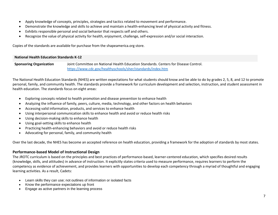- Apply knowledge of concepts, principles, strategies and tactics related to movement and performance.
- Demonstrate the knowledge and skills to achieve and maintain a health-enhancing level of physical activity and fitness.
- Exhibits responsible personal and social behavior that respects self and others.
- Recognize the value of physical activity for health, enjoyment, challenge, self-expression and/or social interaction.

Copies of the standards are available for purchase from the shapeamerica.org store.

#### **National Health Education Standards K-12**

**Sponsoring Organization** Joint Committee on National Health Education Standards. Centers for Disease Control. <https://www.cdc.gov/healthyschools/sher/standards/index.htm>

The National Health Education Standards (NHES) are written expectations for what students should know and be able to do by grades 2, 5, 8, and 12 to promote personal, family, and community health. The standards provide a framework for curriculum development and selection, instruction, and student assessment in health education. The standards focus on eight areas:

- Exploring concepts related to health promotion and disease prevention to enhance health
- Analyzing the influence of family, peers, culture, media, technology, and other factors on health behaviors
- Accessing valid information, products, and services to enhance health
- Using interpersonal communication skills to enhance health and avoid or reduce health risks
- Using decision-making skills to enhance health
- Using goal-setting skills to enhance health
- Practicing health-enhancing behaviors and avoid or reduce health risks
- Advocating for personal, family, and community health

Over the last decade, the NHES has become an accepted reference on health education, providing a framework for the adoption of standards by most states.

#### **Performance-based Model of Instructional Design**

The JROTC curriculum is based on the principles and best practices of performance-based, learner-centered education, which specifies desired results (knowledge, skills, and attitudes) in advance of instruction. It explicitly states criteria used to measure performance, requires learners to perform the competency as evidence of achievement, and provides learners with opportunities to develop each competency through a myriad of thoughtful and engaging learning activities. As a result, Cadets:

- Learn skills they can use; not outlines of information or isolated facts
- Know the performance expectations up front
- Engage as active partners in the learning process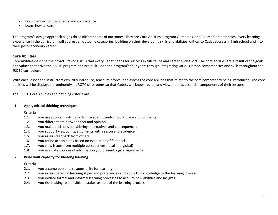- Document accomplishments and competence
- Learn how to learn

The program's design approach aligns three different sets of outcomes. They are Core Abilities, Program Outcomes, and Course Competencies. Every learning experience in the curriculum will address all outcome categories, building on their developing skills and abilities, critical to Cadet success in high school and into their post-secondary career.

#### **Core Abilities**

Core Abilities describe the broad, life-long skills that every Cadet needs for success in future life and career endeavors. The core abilities are a result of the goals and values that drive the JROTC program and are built upon the program's four years through integrating various lesson competencies and skills throughout the JROTC curriculum.

With each lesson the instructors explicitly introduce, teach, reinforce, and assess the core abilities that relate to the core competency being introduced. The core abilities will be displayed prominently in JROTC classrooms so that Cadets will know, recite, and view them as essential components of their lessons.

The JROTC Core Abilities and defining criteria are:

#### **1. Apply critical thinking techniques**

#### **Criteria**

- 1.1. you use problem solving skills in academic and/or work place environments
- 1.2. you differentiate between fact and opinion
- 1.3. you make decisions considering alternatives and consequences
- 1.4. you support viewpoints/arguments with reason and evidence
- 1.5. you assess feedback from others
- 1.6. you refine action plans based on evaluation of feedback
- 1.7. you view issues from multiple perspectives (local and global)
- 1.8. you evaluate sources of information you present logical arguments

#### **2. Build your capacity for life-long learning**

#### **Criteria**

- 2.1. you assume personal responsibility for learning
- 2.2. you assess personal learning styles and preferences and apply this knowledge to the learning process
- 2.3. you initiate formal and informal learning processes to acquire new abilities and insights
- 2.4. you risk making responsible mistakes as part of the learning process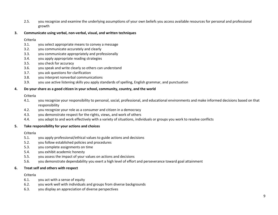2.5. you recognize and examine the underlying assumptions of your own beliefs you access available resources for personal and professional growth

#### **3. Communicate using verbal, non-verbal, visual, and written techniques**

#### **Criteria**

- 3.1. you select appropriate means to convey a message
- 3.2. you communicate accurately and clearly
- 3.3. you communicate appropriately and professionally
- 3.4. you apply appropriate reading strategies
- 3.5. you check for accuracy
- 3.6. you speak and write clearly so others can understand
- 3.7. you ask questions for clarification
- 3.8. you interpret nonverbal communications
- 3.9. you use active listening skills you apply standards of spelling, English grammar, and punctuation

#### **4. Do your share as a good citizen in your school, community, country, and the world**

#### **Criteria**

- 4.1. you recognize your responsibility to personal, social, professional, and educational environments and make informed decisions based on that responsibility
- 4.2. you recognize your role as a consumer and citizen in a democracy
- 4.3. you demonstrate respect for the rights, views, and work of others
- 4.4. you adapt to and work effectively with a variety of situations, individuals or groups you work to resolve conflicts

#### **5. Take responsibility for your actions and choices**

#### **Criteria**

- 5.1. you apply professional/ethical values to guide actions and decisions
- 5.2. you follow established policies and procedures
- 5.3. you complete assignments on time
- 5.4. you exhibit academic honesty
- 5.5. you assess the impact of your values on actions and decisions
- 5.6. you demonstrate dependability you exert a high level of effort and perseverance toward goal attainment

#### **6. Treat self and others with respect**

#### **Criteria**

- 6.1. you act with a sense of equity
- 6.2. you work well with individuals and groups from diverse backgrounds
- 6.3. you display an appreciation of diverse perspectives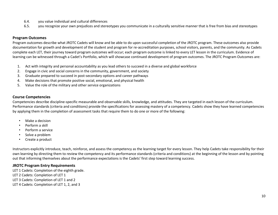- 6.4. you value individual and cultural differences
- 6.5. you recognize your own prejudices and stereotypes you communicate in a culturally sensitive manner that is free from bias and stereotypes

#### **Program Outcomes**

Program outcomes describe what JROTC Cadets will know and be able to do upon successful completion of the JROTC program. These outcomes also provide documentation for growth and development of the student and program for re-accreditation purposes, school visitors, parents, and the community. As Cadets complete each LET, their journey toward program outcomes will occur; each program outcome is linked to every LET lesson in the curriculum. Evidence of learning can be witnessed through a Cadet's Portfolio, which will showcase continued development of program outcomes. The JROTC Program Outcomes are:

- 1. Act with integrity and personal accountability as you lead others to succeed in a diverse and global workforce
- 2. Engage in civic and social concerns in the community, government, and society
- 3. Graduate prepared to succeed in post-secondary options and career pathways
- 4. Make decisions that promote positive social, emotional, and physical health
- 5. Value the role of the military and other service organizations

#### **Course Competencies**

Competencies describe discipline-specific measurable and observable skills, knowledge, and attitudes. They are targeted in each lesson of the curriculum. Performance standards (criteria and conditions) provide the specifications for assessing mastery of a competency. Cadets show they have learned competencies by applying them in the completion of assessment tasks that require them to do one or more of the following:

- Make a decision
- Perform a skill
- Perform a service
- Solve a problem
- Create a product

Instructors explicitly introduce, teach, reinforce, and assess the competency as the learning target for every lesson. They help Cadets take responsibility for their own learning by directing them to review the competency and its performance standards (criteria and conditions) at the beginning of the lesson and by pointing out that informing themselves about the performance expectations is the Cadets' first step toward learning success.

#### **JROTC Program Entry Requirements**

LET 1 Cadets: Completion of the eighth grade. LET 2 Cadets: Completion of LET 1

- LET 3 Cadets: Completion of LET 1 and 2
- LET 4 Cadets: Completion of LET 1, 2, and 3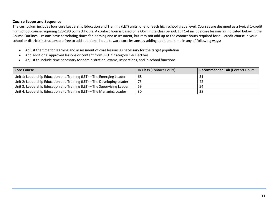#### **Course Scope and Sequence**

The curriculum includes four core Leadership Education and Training (LET) units, one for each high school grade level. Courses are designed as a typical 1-credit high school course requiring 120-180 contact hours. A contact hour is based on a 60-minute class period. LET 1-4 include core lessons as indicated below in the Course Outlines. Lessons have correlating times for learning and assessment, but may not add up to the contact hours required for a 1-credit course in your school or district; instructors are free to add additional hours toward core lessons by adding additional time in any of following ways:

- Adjust the time for learning and assessment of core lessons as necessary for the target population
- Add additional approved lessons or content from JROTC Category 1-4 Electives
- Adjust to include time necessary for administration, exams, inspections, and in-school functions

| <b>Core Course</b>                                                       | <b>In Class (Contact Hours)</b> | <b>Recommended Lab (Contact Hours)</b> |
|--------------------------------------------------------------------------|---------------------------------|----------------------------------------|
| Unit 1: Leadership Education and Training (LET) – The Emerging Leader    | 68                              | דכ                                     |
| Unit 2: Leadership Education and Training (LET) - The Developing Leader  | 73                              | 42                                     |
| Unit 3: Leadership Education and Training (LET) - The Supervising Leader | 59                              | 54                                     |
| Unit 4: Leadership Education and Training (LET) - The Managing Leader    | 30                              | 38                                     |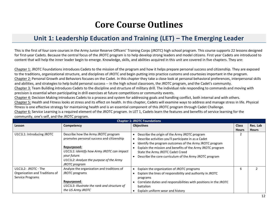## **Core Course Outlines**

## <span id="page-11-0"></span>**Unit 1: Leadership Education and Training (LET) – The Emerging Leader**

<span id="page-11-1"></span>This is the first of four core courses in the Army Junior Reserve Officers' Training Corps (JROTC) high school program. This course supports 22 lessons designed for first-year Cadets. Because the central focus of the JROTC program is to help develop strong leaders and model citizens. First year Cadets are introduced to content that will help the inner leader begin to emerge. Knowledge, skills, and abilities acquired in this unit are covered in five chapters. They are:

Chapter 1: JROTC Foundations introduces Cadets to the mission of the program and how it helps prepare personal success and citizenship. They are exposed to the traditions, organizational structure, and disciplines of JROTC and begin putting into practice customs and courtesies important in the program. Chapter 2: Personal Growth and Behaviors focuses on the Cadet. In this chapter they take a close look at personal behavioral preferences, interpersonal skills and abilities, and strategies to help build personal success -- in the high school classroom, the JROTC program, and the Cadet's community. Chapter 3: Team Building introduces Cadets to the discipline and structure of military drill. The individual role responding to commands and moving with precision is essential when participating in drill exercises at future competitions or community events.

Chapter 4: Decision Making introduces Cadets to a process and system for addressing goals and handling conflict, both internal and with others. Chapter 5: Health and Fitness looks at stress and its effect on health. In this chapter, Cadets will examine ways to address and manage stress in life. Physical fitness is one effective strategy for maintaining health and is an essential component of this JROTC program through Cadet Challenge.

Chapter 6: Service Learning is a required element of the JROTC program. In LET 1, Cadets learn the features and benefits of service learning for the community, one's self, and the JROTC program.

|                                                                           | <b>Chapter 1: JROTC Foundations</b>                                                                                                                                                                                       |                                                                                                                                                                                                                                                                                                                              |              |              |  |
|---------------------------------------------------------------------------|---------------------------------------------------------------------------------------------------------------------------------------------------------------------------------------------------------------------------|------------------------------------------------------------------------------------------------------------------------------------------------------------------------------------------------------------------------------------------------------------------------------------------------------------------------------|--------------|--------------|--|
| Lesson                                                                    | Competency                                                                                                                                                                                                                | <b>Objectives</b>                                                                                                                                                                                                                                                                                                            | <b>Class</b> | Rec. Lab     |  |
|                                                                           |                                                                                                                                                                                                                           |                                                                                                                                                                                                                                                                                                                              | <b>Hours</b> | <b>Hours</b> |  |
| U1C1L1: Introducing JROTC                                                 | Describe how the Army JROTC program<br>promotes personal success and citizenship<br>Repurposed:<br>U1C1L1: Identify how Army JROTC can impact<br>your future.<br>U1C1L2: Analyze the purpose of the Army<br>JROTC program | Describe the origin of the Army JROTC program<br>Describe activities you'll participate in as a Cadet<br>Identify the program outcomes of the Army JROTC program<br>Explain the mission and benefits of the Army JROTC program<br>State the Army JROTC Cadet Creed<br>Describe the core curriculum of the Army JROTC program |              |              |  |
| U1C1L2: JROTC - The<br>Organization and Traditions of<br>Service Programs | Analyze the organization and traditions of<br>JROTC programs<br>Repurposed:<br>U1C1L3: Illustrate the rank and structure of<br>the US Army JROTC                                                                          | Explain the organization of JROTC programs<br>Explain the lines of responsibility and authority in JROTC<br>programs<br>Correlate duties and responsibilities with positions in the JROTC<br>battalion<br>Explain uniform wear and history                                                                                   | 6            |              |  |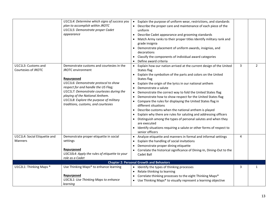|                                                | U1C1L4: Determine which signs of success you<br>plan to accomplish within JROTC<br>U1C1L5: Demonstrate proper Cadet<br>appearance                                                                                                                                                                                             | Explain the purpose of uniform wear, restrictions, and standards<br>Describe the proper care and maintenance of each piece of the<br>uniform<br>Describe Cadet appearance and grooming standards<br>Match Army ranks to their proper titles Identify military rank and<br>grade insignia<br>Demonstrate placement of uniform awards, insignias, and<br>decorations<br>Classify the components of individual award categories<br>Define award criteria                                                                                                                                                                                                                                                                                                                                 |                |                |
|------------------------------------------------|-------------------------------------------------------------------------------------------------------------------------------------------------------------------------------------------------------------------------------------------------------------------------------------------------------------------------------|---------------------------------------------------------------------------------------------------------------------------------------------------------------------------------------------------------------------------------------------------------------------------------------------------------------------------------------------------------------------------------------------------------------------------------------------------------------------------------------------------------------------------------------------------------------------------------------------------------------------------------------------------------------------------------------------------------------------------------------------------------------------------------------|----------------|----------------|
| U1C1L3: Customs and<br>Courtesies of JROTC     | Demonstrate customs and courtesies in the<br>JROTC environment<br>Repurposed<br>U1C1L6: Demonstrate protocol to show<br>respect for and handle the US Flag;<br>U1C1L7: Demonstrate courtesies during the<br>playing of the National Anthem.<br>U1C1L8: Explore the purpose of military<br>traditions, customs, and courtesies | • Explain how our nation arrived at the current design of the United<br><b>States flag</b><br>Explain the symbolism of the parts and colors on the United<br>States flag<br>Explain the origin of the lyrics in our national anthem<br>Demonstrate a salute<br>Demonstrate the correct way to fold the United States flag<br>Demonstrate how to show respect for the United States flag<br>• Compare the rules for displaying the United States flag in<br>different situations<br>Describe customs when the national anthem is played<br>Explain why there are rules for saluting and addressing officers<br>Distinguish among the types of personal salutes and when they<br>are executed<br>Identify situations requiring a salute or other forms of respect to<br>senior officers | $\overline{3}$ | $\overline{2}$ |
| U1C1L4: Social Etiquette and<br><b>Manners</b> | Demonstrate proper etiquette in social<br>settings<br>Repurposed<br>U3C10L4: Apply the rules of etiquette to your<br>role as a Cadet                                                                                                                                                                                          | Analyze etiquette and manners in formal and informal settings<br>Explain the handling of social invitations<br>Demonstrate proper dining etiquette<br>• Correlate the historical significance of Dining-In, Dining-Out to the<br>Cadet Ball                                                                                                                                                                                                                                                                                                                                                                                                                                                                                                                                           | 4              |                |
|                                                |                                                                                                                                                                                                                                                                                                                               | <b>Chapter 2: Personal Growth and Behaviors</b>                                                                                                                                                                                                                                                                                                                                                                                                                                                                                                                                                                                                                                                                                                                                       |                |                |
| U1C2L1: Thinking Maps ®                        | Use Thinking Maps® to enhance learning<br>Repurposed<br>U3C3L1: Use Thinking Maps to enhance<br>learning                                                                                                                                                                                                                      | Identify the types of thinking processes<br>$\bullet$<br>Relate thinking to learning<br>Correlate thinking processes to the eight Thinking Maps®<br>• Use Thinking Maps® to visually represent a learning objective                                                                                                                                                                                                                                                                                                                                                                                                                                                                                                                                                                   | 3              | $\mathbf{1}$   |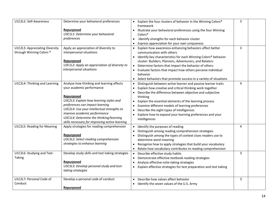| U1C2L2: Self-Awareness                      | Determine your behavioral preferences                                                                                                                                                                                                                                                                                                         | • Explain the four clusters of behavior in the Winning Colors®                                                                                                                                                                                                                                                                                                                                                                            | 3              |  |
|---------------------------------------------|-----------------------------------------------------------------------------------------------------------------------------------------------------------------------------------------------------------------------------------------------------------------------------------------------------------------------------------------------|-------------------------------------------------------------------------------------------------------------------------------------------------------------------------------------------------------------------------------------------------------------------------------------------------------------------------------------------------------------------------------------------------------------------------------------------|----------------|--|
| U1C2L3: Appreciating Diversity              | Repurposed<br>U3C1L1: Determine your behavioral<br>preferences<br>Apply an appreciation of diversity to                                                                                                                                                                                                                                       | framework<br>Illustrate your behavioral preferences using the four Winning<br>Colors <sup>®</sup><br>Identify strengths for each behavior cluster<br>Express appreciation for your own uniqueness<br>Explain how awareness-enhancing behaviors affect better                                                                                                                                                                              | $\overline{3}$ |  |
| through Winning Colors <sup>®</sup>         | interpersonal situations<br>Repurposed<br>U3C1L2: Apply an appreciation of diversity to<br>interpersonal situations                                                                                                                                                                                                                           | communication with others<br>• Identify key characteristics for each Winning Colors <sup>®</sup> behavior<br>cluster: Builders, Planners, Adventurers, and Relaters<br>Determine factors that impact the behavior of others<br>• Evaluate factors that impact how others perceive individual<br>behavior<br>Select behaviors that promote success in a variety of situations                                                              |                |  |
| U1C2L4: Thinking and Learning               | Analyze how thinking and learning affects<br>your academic performance<br>Repurposed<br>U3C2L3: Explain how learning styles and<br>preferences can impact learning<br>U3C2L4: Use your intellectual strengths to<br>improve academic performance<br>U3C1L4: Determine the thinking/learning<br>skills necessary for improving active learning | Distinguish between active learner and passive learner traits<br>Explain how creative and critical thinking work together<br>Describe the difference between objective and subjective<br>thinking<br>Explain the essential elements of the learning process<br>Examine different models of learning preferences<br>Describe the eight types of intelligences<br>Explore how to expand your learning preferences and your<br>intelligences | 4              |  |
| U1C2L5: Reading for Meaning                 | Apply strategies for reading comprehension<br>Repurposed<br>U3C3L2: Select reading comprehension<br>strategies to enhance learning                                                                                                                                                                                                            | Identify the purposes of reading<br>$\bullet$<br>Distinguish among reading comprehension strategies<br>Distinguish among the types of context clues readers use to<br>determine word meaning<br>Recognize how to apply strategies that build your vocabulary<br>Relate how vocabulary contributes to reading comprehension                                                                                                                | 4              |  |
| U1C2L6: Studying and Test-<br><b>Taking</b> | Develop study skills and test-taking strategies<br>Repurposed<br>U3C3L3: Develop personal study and test-<br>taking strategies                                                                                                                                                                                                                | Describe effective study habits<br>Demonstrate effective textbook reading strategies<br>Analyze effective note-taking strategies<br>• Explain effective strategies for test preparation and test-taking                                                                                                                                                                                                                                   | 3              |  |
| U1C2L7: Personal Code of<br>Conduct         | Develop a personal code of conduct<br>Repurposed                                                                                                                                                                                                                                                                                              | Describe how values affect behavior<br>$\bullet$<br>Identify the seven values of the U.S. Army                                                                                                                                                                                                                                                                                                                                            | 3              |  |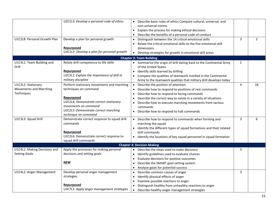| U1C2L8: Personal Growth Plan                                      | U2C1L3: Develop a personal code of ethics<br>Develop a plan for personal growth<br>Repurposed<br>U3C1L3: Develop a plan for personal growth                                                                        | Describe basic rules of ethics Compare cultural, universal, and<br>non-universal norms<br>Explain the process for making ethical decisions<br>Describe the benefits of a personal code of conduct<br>Distinguish between the 14 critical emotional skills<br>Relate the critical emotional skills to the five emotional skill<br>dimensions<br>• Develop strategies for growth in emotional skill areas | 3              | $\overline{2}$ |
|-------------------------------------------------------------------|--------------------------------------------------------------------------------------------------------------------------------------------------------------------------------------------------------------------|---------------------------------------------------------------------------------------------------------------------------------------------------------------------------------------------------------------------------------------------------------------------------------------------------------------------------------------------------------------------------------------------------------|----------------|----------------|
|                                                                   |                                                                                                                                                                                                                    | <b>Chapter 3: Team Building</b>                                                                                                                                                                                                                                                                                                                                                                         |                |                |
| U1C3L1: Team Building and<br>Drill                                | Relate drill competence to life skills<br>Repurposed<br>U2C2L1: Explain the importance of drill in<br>military discipline                                                                                          | • Summarize the origin of drill dating back to the Continental Army<br>of the United States<br>Identify skills learned by drilling<br>Compare the qualities of teamwork instilled in the Continental<br>Army to the teamwork qualities that military drill develops today                                                                                                                               | $\overline{2}$ |                |
| U1C3L2: Stationary<br><b>Movements and Marching</b><br>Techniques | Perform stationary movements and marching<br>techniques on command<br>Repurposed<br>U2C2L4: Demonstrate correct stationary<br>movements on command<br>U2C2L5: Demonstrate correct marching<br>technique on command | Describe the position of attention<br>Describe how to respond to positions of rest commands<br>$\bullet$<br>Describe how to respond to facing commands<br>Describe the correct way to salute in a variety of situations<br>Describe how to execute marching movements from various<br>commands<br>Describe how to respond to halt commands                                                              | 4              | 18             |
| U1C3L3: Squad Drill                                               | Demonstrate correct response to squad drill<br>commands<br>Repurposed<br>U2C2L6: Demonstrate correct response to<br>squad drill commands                                                                           | • Describe how to respond to commands when forming and<br>marching the squad<br>Identify the different types of squad formations and their related<br>drill commands<br>• Identify the locations of key squad personnel in squad formation                                                                                                                                                              | 3              | 6              |
|                                                                   |                                                                                                                                                                                                                    | <b>Chapter 4: Decision Making</b>                                                                                                                                                                                                                                                                                                                                                                       |                |                |
| U1C4L1: Making Decisions and<br><b>Setting Goals</b>              | Apply the processes for making personal<br>decisions and setting goals<br><b>NEW</b>                                                                                                                               | • Describe the steps used to make decisions<br>Identify guidelines used to evaluate choices<br>Evaluate decisions for positive outcomes<br>Describe the SMART goal-setting system<br>Analyze goals for potential success                                                                                                                                                                                | 3              |                |
| U1C4L2: Anger Management                                          | Develop personal anger management<br>strategies<br>Repurposed<br>U3C7L1: Apply anger management strategies                                                                                                         | Describe common causes of anger<br>$\bullet$<br>Identify physical effects of anger<br>Examine possible reactions to anger<br>Distinguish healthy from unhealthy reactions to anger<br>Describe healthy anger management strategies<br>$\bullet$                                                                                                                                                         | 3              |                |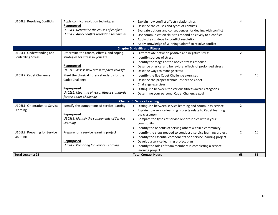| U1C4L3: Resolving Conflicts                            | Apply conflict resolution techniques<br>Repurposed<br>U3C5L1: Determine the causes of conflict<br>U3C5L2: Apply conflict resolution techniques         | • Explain how conflict affects relationships<br>Describe the causes and types of conflicts<br>Evaluate options and consequences for dealing with conflict<br>Use communication skills to respond positively to a conflict<br>Apply the six steps for conflict resolution<br>Apply knowledge of Winning Colors® to resolve conflict | 4              |    |
|--------------------------------------------------------|--------------------------------------------------------------------------------------------------------------------------------------------------------|------------------------------------------------------------------------------------------------------------------------------------------------------------------------------------------------------------------------------------------------------------------------------------------------------------------------------------|----------------|----|
|                                                        |                                                                                                                                                        | <b>Chapter 5: Health and Fitness</b>                                                                                                                                                                                                                                                                                               |                |    |
| U1C5L1: Understanding and<br><b>Controlling Stress</b> | Determine the causes, effects, and coping<br>strategies for stress in your life<br>Repurposed<br>U4C1L8: Assess how stress impacts your life           | • Differentiate between positive and negative stress<br>Identify sources of stress<br>Identify the stages of the body's stress response<br>Describe physical and behavioral effects of prolonged stress<br>Describe ways to manage stress                                                                                          | 2              |    |
| U1C5L2: Cadet Challenge                                | Meet the physical fitness standards for the<br>Cadet Challenge<br>Repurposed<br>U4C1L2: Meet the physical fitness standards<br>for the Cadet Challenge | Identify the five Cadet Challenge exercises<br>Describe the proper techniques for the Cadet<br>Challenge exercises<br>Distinguish between the various fitness award categories<br>• Determine your personal Cadet Challenge goal                                                                                                   | $\overline{2}$ | 10 |
|                                                        |                                                                                                                                                        | <b>Chapter 6: Service Learning</b>                                                                                                                                                                                                                                                                                                 |                |    |
| U1C6L1: Orientation to Service<br>Learning             | Identify the components of service learning<br>Repurposed<br>U3C8L1: Identify the components of Service<br>Learning                                    | Distinguish between service learning and community service<br>Explain how service learning projects relate to Cadet learning in<br>the classroom<br>• Compare the types of service opportunities within your<br>community<br>Identify the benefits of serving others within a community                                            | 2              |    |
| U1C6L2: Preparing for Service<br>Learning              | Prepare for a service learning project<br>Repurposed<br>U3C8L2: Preparing for Service Learning                                                         | Identify the steps needed to conduct a service learning project<br>Identify the essential components of a service learning project<br>$\bullet$<br>Develop a service learning project plan<br>Identify the roles of team members in completing a service<br>learning project                                                       | 2              | 10 |
| <b>Total Lessons: 22</b>                               |                                                                                                                                                        | <b>Total Contact Hours</b>                                                                                                                                                                                                                                                                                                         | 68             | 51 |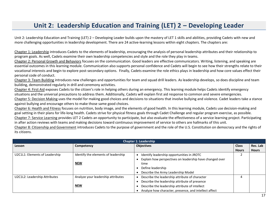## **Unit 2: Leadership Education and Training (LET) 2 – Developing Leader**

<span id="page-16-0"></span>Unit 2: Leadership Education and Training (LET) 2 – Developing Leader builds upon the mastery of LET 1 skills and abilities, providing Cadets with new and more challenging opportunities in leadership development. There are 24 active-learning lessons within eight chapters. The chapters are:

Chapter 1: Leadership introduces Cadets to the elements of leadership, encouraging the analysis of personal leadership attributes and their relationship to program goals. As well, Cadets examine their own leadership competencies and style and the role they play in teams.

Chapter 2: Personal Growth and Behaviors focuses on the communication. Good leaders are effective communicators. Writing, listening, and speaking are essential outcomes in this learning module. Communication also supports personal confidence and Cadets will begin to see how their strengths relate to their vocational interests and begin to explore post-secondary options. Finally, Cadets examine the role ethics plays in leadership and how core values effect their personal code of conduct.

Chapter 3: Team Building introduces new challenges and opportunities for team and squad drill leaders. As leadership develops, so does discipline and team building, demonstrated regularly in drill and ceremony activities.

Chapter 4: First Aid exposes Cadets to the citizen's role in helping others during an emergency. This learning module helps Cadets identify emergency situations and the universal precautions to address them. Additionally, Cadets will explain first aid response to common and severe emergencies. Chapter 5: Decision Making uses the model for making good choices and decisions to situations that involve bullying and violence. Cadet leaders take a stance against bullying and encourage others to make those same good choices.

Chapter 6: Health and Fitness focuses on nutrition, body image, and the elements of good health. In this learning module, Cadets use decision-making and goal setting in their plans for life-long health. Cadets strive for physical fitness goals through Cadet Challenge and regular program exercise, as possible. Chapter 7: Service Learning provides LET 2 Cadets an opportunity to participate, but also evaluate the effectiveness of a service learning project. Participating in after action reviews with teams and making decisions toward continuous improvement of service to others are hallmarks of this unit.

Chapter 8: Citizenship and Government introduces Cadets to the purpose of government and the role of the U.S. Constitution on democracy and the rights of its citizens.

| <b>Chapter 1: Leadership</b>   |                                     |                                                          |              |              |
|--------------------------------|-------------------------------------|----------------------------------------------------------|--------------|--------------|
| Lesson                         | Competency                          | <b>Objectives</b>                                        | <b>Class</b> | Rec. Lab     |
|                                |                                     |                                                          | <b>Hours</b> | <b>Hours</b> |
| U2C1L1: Elements of Leadership | Identify the elements of leadership | Identify leadership opportunities in JROTC               |              |              |
|                                |                                     | Explain how perspectives on leadership have changed over |              |              |
|                                | <b>NEW</b>                          | time                                                     |              |              |
|                                |                                     | Define leadership                                        |              |              |
|                                |                                     | Describe the Army Leadership Model                       |              |              |
| U2C1L2: Leadership Attributes  | Analyze your leadership attributes  | Describe the leadership attribute of character           | 4            |              |
|                                |                                     | Describe the leadership attribute of presence            |              |              |
|                                | <b>NEW</b>                          | Describe the leadership attribute of intellect           |              |              |
|                                |                                     | Analyze how character, presence, and intellect affect    |              |              |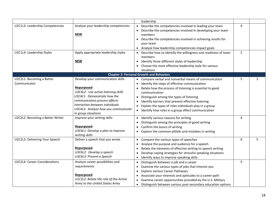|                                      |                                       | leadership                                                                |                |                |
|--------------------------------------|---------------------------------------|---------------------------------------------------------------------------|----------------|----------------|
| U2C1L3: Leadership Competencies      | Analyze your leadership competencies  | Describe the competencies involved in leading your team                   | 4              |                |
|                                      |                                       | Describe the competencies involved in developing your team                |                |                |
|                                      | <b>NEW</b>                            | members                                                                   |                |                |
|                                      |                                       | Describe the competencies involved in achieving results for<br>$\bullet$  |                |                |
|                                      |                                       | your team                                                                 |                |                |
|                                      |                                       | • Analyze how leadership competencies impact goals                        |                |                |
| U2C1L4: Leadership Styles            | Apply appropriate leadership styles   | • Describe how to identify the willingness and readiness of team          | $\overline{2}$ |                |
|                                      |                                       | members                                                                   |                |                |
|                                      | <b>NEW</b>                            | Identify three different styles of leadership<br>$\bullet$                |                |                |
|                                      |                                       | • Choose the most effective leadership style for various                  |                |                |
|                                      |                                       | situations                                                                |                |                |
|                                      |                                       | <b>Chapter 2: Personal Growth and Behaviors</b>                           |                |                |
| U2C2L1: Becoming a Better            | Develop your communication skills     | • Compare verbal and nonverbal means of communication                     | 5              | $\overline{2}$ |
| Communicator                         |                                       | Identify the steps of effective communication                             |                |                |
|                                      | Repurposed                            | Relate how the process of listening is essential to good                  |                |                |
|                                      | U3C4L2: Use active listening skills   | communication                                                             |                |                |
|                                      | U3C4L1: Demonstrate how the           | Distinguish among the types of listening<br>$\bullet$                     |                |                |
|                                      | communication process affects         | Identify barriers that prevent effective listening                        |                |                |
|                                      | interaction between individuals       | Explain the types of roles individuals play in a group                    |                |                |
|                                      | U3C4L3: Analyze how you communicate   | • Identify how roles in a group affect communication                      |                |                |
|                                      | in group situations                   |                                                                           |                |                |
| U2C2L2: Becoming a Better Writer     | Improve your writing skills           | Identify various reasons for writing<br>$\bullet$                         | 4              |                |
|                                      |                                       | Distinguish among the principles of good writing                          |                |                |
|                                      | Repurposed                            | Confirm the basics of writing<br>$\bullet$                                |                |                |
|                                      | U3C6L1: Develop a plan to improve     | Explore the common pitfalls and mistakes in writing<br>$\bullet$          |                |                |
|                                      | writing skills                        |                                                                           |                |                |
| U2C2L3: Delivering Your Speech       | Deliver a speech that you wrote       | • Compare the various types of speeches                                   | 6              | 5              |
|                                      |                                       | Analyze the purpose and audience for a speech<br>$\bullet$                |                |                |
|                                      | Repurposed                            | Relate the elements of effective writing to speech writing                |                |                |
|                                      | U3C6L2: Develop a speech              | Develop coping strategies for stressful speaking situations<br>$\bullet$  |                |                |
|                                      | U3C6L3: Present a Speech              | Identify ways to improve speaking skills                                  |                |                |
| <b>U2C2L4: Career Considerations</b> | Analyze career possibilities and      | Distinguish between a job and a career<br>$\bullet$                       | 5              |                |
|                                      | requirements                          | Examine the various types of jobs that interest you<br>$\bullet$          |                |                |
|                                      |                                       | <b>Explore various Career Pathways</b><br>$\bullet$                       |                |                |
|                                      | Repurposed                            | Associate your interests and aptitudes to a career path<br>$\bullet$      |                |                |
|                                      | U1C2L2: Relate the role of the Active | Examine career opportunities provided by the U.S. Military                |                |                |
|                                      | Army to the United States Army        | Distinguish between various post-secondary education options<br>$\bullet$ |                |                |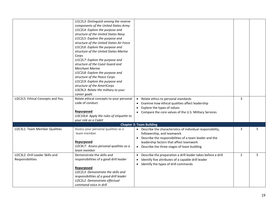| U2C2L5: Ethical Concepts and You                    | U1C2L3: Distinguish among the reserve<br>components of the United States Army<br>U1C2L4: Explore the purpose and<br>structure of the United States Navy<br>U1C2L5: Explore the purpose and<br>structure of the United States Air Force<br>U1C2L6: Explore the purpose and<br>structure of the United States Marine<br>Corps<br>U1C2L7: Explore the purpose and<br>structure of the Coast Guard and<br><b>Merchant Marine</b><br>U1C2L8: Explore the purpose and<br>structure of the Peace Corps<br>U1C2L9: Explore the purpose and<br>structure of the AmeriCorps<br>U3C9L3: Relate the military to your<br>career goals<br>Relate ethical concepts to your personal<br>code of conduct<br>Repurposed<br>U3C10L4: Apply the rules of etiquette to | • Relate ethics to personal standards<br>Examine how ethical qualities affect leadership<br>Explore the types of values<br>$\bullet$<br>• Compare the core values of the U.S. Military Services                                                   | 3              |   |
|-----------------------------------------------------|---------------------------------------------------------------------------------------------------------------------------------------------------------------------------------------------------------------------------------------------------------------------------------------------------------------------------------------------------------------------------------------------------------------------------------------------------------------------------------------------------------------------------------------------------------------------------------------------------------------------------------------------------------------------------------------------------------------------------------------------------|---------------------------------------------------------------------------------------------------------------------------------------------------------------------------------------------------------------------------------------------------|----------------|---|
|                                                     | your role as a Cadet                                                                                                                                                                                                                                                                                                                                                                                                                                                                                                                                                                                                                                                                                                                              |                                                                                                                                                                                                                                                   |                |   |
|                                                     |                                                                                                                                                                                                                                                                                                                                                                                                                                                                                                                                                                                                                                                                                                                                                   | <b>Chapter 3: Team Building</b>                                                                                                                                                                                                                   |                |   |
| U2C3L1: Team Member Qualities                       | Assess your personal qualities as a<br>team member<br>Repurposed<br>U2C4L7: Assess personal qualities as a<br>team member                                                                                                                                                                                                                                                                                                                                                                                                                                                                                                                                                                                                                         | • Describe the characteristics of individual responsibility,<br>followership, and teamwork<br>• Describe the responsibilities of a team leader and the<br>leadership factors that affect teamwork<br>• Describe the three stages of team building | 3              | 5 |
| U2C3L2: Drill Leader Skills and<br>Responsibilities | Demonstrate the skills and<br>responsibilities of a good drill leader<br>Repurposed<br>U2C2L3: Demonstrate the skills and<br>responsibilities of a good drill leader<br>U2C2L2: Demonstrate effectual<br>command voice in drill                                                                                                                                                                                                                                                                                                                                                                                                                                                                                                                   | • Describe the preparation a drill leader takes before a drill<br>Identify five attributes of a capable drill leader<br>$\bullet$<br>• Identify the types of drill commands                                                                       | $\overline{2}$ | 5 |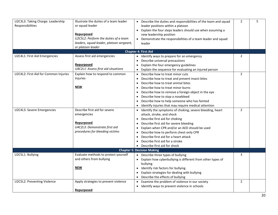| U2C3L3: Taking Charge: Leadership     | Illustrate the duties of a team leader   | • Describe the duties and responsibilities of the team and squad   | $\overline{2}$ | 5 |
|---------------------------------------|------------------------------------------|--------------------------------------------------------------------|----------------|---|
| Responsibilities                      | or squad leader                          | leader positions within a platoon                                  |                |   |
|                                       |                                          | Explain the four steps leaders should use when assuming a          |                |   |
|                                       | Repurposed                               | new leadership position                                            |                |   |
|                                       | U2C5L2: Perform the duties of a team     | • Demonstrate the responsibilities of a team leader and squad      |                |   |
|                                       | leaders, squad leader, platoon sergeant, | leader                                                             |                |   |
|                                       | or platoon leader                        |                                                                    |                |   |
|                                       |                                          | Chapter 4: First Aid                                               |                |   |
| U2C4L1: First Aid Emergencies         | Assess first aid emergencies             | Identify ways to prepare for an emergency                          | $\overline{2}$ |   |
|                                       |                                          | Describe universal precautions                                     |                |   |
|                                       | Repurposed                               | Explain the four emergency guidelines                              |                |   |
|                                       | U4C2L1: Assess first aid situations      | Explain the sequence for evaluating an injured person<br>$\bullet$ |                |   |
| U2C4L2: First Aid for Common Injuries | Explain how to respond to common         | Describe how to treat minor cuts                                   | $\overline{2}$ |   |
|                                       | <b>Injuries</b>                          | Describe how to treat and prevent insect bites                     |                |   |
|                                       |                                          | Describe how to treat animal bites<br>$\bullet$                    |                |   |
|                                       | NEW                                      | Describe how to treat minor burns<br>$\bullet$                     |                |   |
|                                       |                                          | Describe how to remove a foreign object in the eye<br>$\bullet$    |                |   |
|                                       |                                          | Describe how to stop a nosebleed                                   |                |   |
|                                       |                                          | Describe how to help someone who has fainted                       |                |   |
|                                       |                                          | Identify injuries that may require medical attention<br>$\bullet$  |                |   |
| U2C4L3: Severe Emergencies            | Describe first aid for severe            | Identify the symptoms of choking, severe bleeding, heart           | $\overline{2}$ |   |
|                                       | emergencies                              | attack, stroke, and shock                                          |                |   |
|                                       |                                          | Describe first aid for choking                                     |                |   |
|                                       | Repurposed                               | Describe first aid for severe bleeding                             |                |   |
|                                       | U4C2L3: Demonstrate first aid            | Explain when CPR and/or an AED should be used                      |                |   |
|                                       | procedures for bleeding victims          | Describe how to perform chest-only CPR                             |                |   |
|                                       |                                          | Describe first aid for a heart attack                              |                |   |
|                                       |                                          | Describe first aid for a stroke<br>$\bullet$                       |                |   |
|                                       |                                          | • Describe first aid for shock                                     |                |   |
|                                       |                                          | <b>Chapter 5: Decision Making</b>                                  |                |   |
| U2C5L1: Bullying                      | Evaluate methods to protect yourself     | Describe three types of bullying                                   | 3              |   |
|                                       | and others from bullying                 | Explain how cyberbullying is different from other types of         |                |   |
|                                       |                                          | bullying                                                           |                |   |
|                                       | <b>NEW</b>                               | Identify risk factors for bullying<br>$\bullet$                    |                |   |
|                                       |                                          | Explain strategies for dealing with bullying                       |                |   |
|                                       |                                          | Describe the effects of bullying<br>$\bullet$                      |                |   |
| U2C5L2: Preventing Violence           | Apply strategies to prevent violence     | Examine the problem of violence in our society                     | $\overline{2}$ |   |
|                                       |                                          | Identify ways to prevent violence in schools                       |                |   |
|                                       | Repurposed                               |                                                                    |                |   |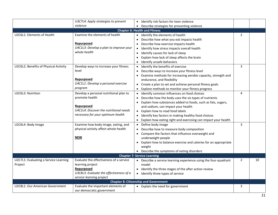|                                       | U3C7L4: Apply strategies to prevent     | Identify risk factors for teen violence                                     |                |    |
|---------------------------------------|-----------------------------------------|-----------------------------------------------------------------------------|----------------|----|
|                                       | violence                                | Describe strategies for preventing violence                                 |                |    |
|                                       |                                         | <b>Chapter 6: Health and Fitness</b>                                        |                |    |
| U2C6L1: Elements of Health            | Examine the elements of health          | Identify the elements of health                                             | 2              |    |
|                                       |                                         | Describe how what you eat impacts health                                    |                |    |
|                                       | Repurposed                              | Describe how exercise impacts health                                        |                |    |
|                                       | U4C1L3: Develop a plan to improve your  | Identify how stress impacts overall health                                  |                |    |
|                                       | whole health                            | Identify causes for lack of sleep                                           |                |    |
|                                       |                                         | Explain how lack of sleep affects the brain                                 |                |    |
|                                       |                                         | Identify unsafe behaviors                                                   |                |    |
| U2C6L2: Benefits of Physical Activity | Develop ways to increase your fitness   | Identify the benefits of exercise                                           | 3              |    |
|                                       | level                                   | Describe ways to increase your fitness level                                |                |    |
|                                       |                                         | Examine methods for increasing aerobic capacity, strength and               |                |    |
|                                       | Repurposed                              | endurance, and flexibility                                                  |                |    |
|                                       | U4C1L1: Develop a personal exercise     | • Create a plan to set and achieve personal fitness goals                   |                |    |
|                                       | program                                 | Explore methods to monitor your fitness progress<br>$\bullet$               |                |    |
| U2C6L3: Nutrition                     | Develop a personal nutritional plan to  | Identify common influences on food choices                                  | 4              |    |
|                                       | promote health                          | Describe how the body uses the six types of nutrients                       |                |    |
|                                       |                                         | Explain how substances added to foods, such as fats, sugars,                |                |    |
|                                       | Repurposed                              | and sodium, can impact your health                                          |                |    |
|                                       | U4C1L4: Discover the nutritional needs  | Explain how to read food labels                                             |                |    |
|                                       | necessary for your optimum health       | Identify key factors in making healthy food choices                         |                |    |
|                                       |                                         | Explain how eating right and exercising can impact your health              |                |    |
| U2C6L4: Body Image                    | Examine how body image, eating, and     | Define body image                                                           | 3              |    |
|                                       | physical activity affect whole health   | Describe how to measure body composition                                    |                |    |
|                                       |                                         | Compare the factors that influence overweight and                           |                |    |
|                                       | <b>NEW</b>                              | underweight people                                                          |                |    |
|                                       |                                         | Explain how to balance exercise and calories for an appropriate             |                |    |
|                                       |                                         | weight                                                                      |                |    |
|                                       |                                         | • Describe the symptoms of eating disorders                                 |                |    |
|                                       |                                         | <b>Chapter 7: Service Learning</b>                                          |                |    |
| U2C7L1: Evaluating a Service Learning | Evaluate the effectiveness of a service | Describe a service learning experience using the four-quadrant<br>$\bullet$ | $\overline{2}$ | 10 |
| Project                               | learning project                        | model                                                                       |                |    |
|                                       | Repurposed                              | Identify the three stages of the after action review                        |                |    |
|                                       | U3C8L3: Evaluate the effectiveness of a | • Identify three types of service                                           |                |    |
|                                       | service learning project                | <b>Chapter 8: Citizenship and Government</b>                                |                |    |
| U2C8L1: Our American Government       | Evaluate the important elements of      | • Explain the need for government                                           | 3              |    |
|                                       | our democratic government               |                                                                             |                |    |
|                                       |                                         |                                                                             |                |    |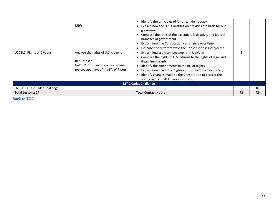| U2C8L2: Rights of Citizens    | <b>NEW</b><br>Analyze the rights of U.S. citizens<br>Repurposed<br>U6C4L2: Examine the reasons behind<br>the development of the Bill of Rights | Identify the principles of American democracy<br>Explain how the U.S. Constitution provides the basis for our<br>government<br>Compare the roles of the executive, legislative, and judicial<br>branches of government<br>Explain how the Constitution can change over time<br>Describe the different ways the Constitution is interpreted<br>Explain how a person becomes a U.S. citizen<br>Compare the rights of U.S. citizens to the rights of legal and<br>illegal immigrants<br>Identify the amendments in the Bill of Rights<br>Explain how the Bill of Rights contributes to a free society<br>Identify changes made to the Constitution to protect the<br>voting rights of all American citizens | 3  |    |
|-------------------------------|------------------------------------------------------------------------------------------------------------------------------------------------|----------------------------------------------------------------------------------------------------------------------------------------------------------------------------------------------------------------------------------------------------------------------------------------------------------------------------------------------------------------------------------------------------------------------------------------------------------------------------------------------------------------------------------------------------------------------------------------------------------------------------------------------------------------------------------------------------------|----|----|
|                               |                                                                                                                                                | <b>LET 2 Cadet Challenge</b>                                                                                                                                                                                                                                                                                                                                                                                                                                                                                                                                                                                                                                                                             |    |    |
| U2C0L0: LET 2 Cadet Challenge |                                                                                                                                                |                                                                                                                                                                                                                                                                                                                                                                                                                                                                                                                                                                                                                                                                                                          |    | 10 |
| <b>Total Lessons: 24</b>      |                                                                                                                                                | <b>Total Contact Hours</b>                                                                                                                                                                                                                                                                                                                                                                                                                                                                                                                                                                                                                                                                               | 73 | 42 |

**[Back to TOC](#page-1-0)**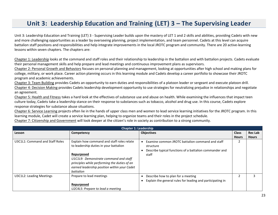## **Unit 3: Leadership Education and Training (LET) 3 – The Supervising Leader**

<span id="page-22-0"></span>Unit 3: Leadership Education and Training (LET) 3 - Supervising Leader builds upon the mastery of LET 1 and 2 skills and abilities, providing Cadets with new and more challenging opportunities as a leader by overseeing planning, project implementation, and team personnel. Cadets at this level can acquire battalion staff positions and responsibilities and help integrate improvements in the local JROTC program and community. There are 20 active-learning lessons within seven chapters. The chapters are:

Chapter 1: Leadership looks at the command and staff roles and their relationship to leadership in the battalion and with battalion projects. Cadets evaluate their personal management skills and help prepare and lead meetings and continuous improvement plans as supervisors.

Chapter 2: Personal Growth and Behaviors focuses on personal planning and management, looking at opportunities after high school and making plans for college, military, or work place. Career action planning occurs in this learning module and Cadets develop a career portfolio to showcase their JROTC program and academic achievements.

Chapter 3: Team Building provides Cadets an opportunity to earn duties and responsibilities of a platoon leader or sergeant and execute platoon drill. Chapter 4: Decision Making provides Cadets leadership development opportunity to use strategies for neutralizing prejudice in relationships and negotiate an agreement.

Chapter 5: Health and Fitness takes a hard look at the effectives of substance use and abuse on health. While examining the influences that impact teen culture today, Cadets take a leadership stance on their response to substances such as tobacco, alcohol and drug use. In this course, Cadets explore response strategies for substance abuse situations.

Chapter 6: Service Learning projects often lie in the hands of upper class men and women to lead service learning initiatives for the JROTC program. In this learning module, Cadet will create a service learning plan, helping to organize teams and their roles in the project schedule.

Chapter 7: Citizenship and Government will look deeper at the citizen's role in society as contribution to a strong community.

| <b>Chapter 1: Leadership</b>    |                                                                                                                                                                                                                                                          |                                                                                                                                   |              |                |  |
|---------------------------------|----------------------------------------------------------------------------------------------------------------------------------------------------------------------------------------------------------------------------------------------------------|-----------------------------------------------------------------------------------------------------------------------------------|--------------|----------------|--|
| Lesson                          | Competency                                                                                                                                                                                                                                               | <b>Objectives</b>                                                                                                                 | <b>Class</b> | <b>Rec Lab</b> |  |
|                                 |                                                                                                                                                                                                                                                          |                                                                                                                                   | <b>Hours</b> | <b>Hours</b>   |  |
| U3C1L1: Command and Staff Roles | Explain how command and staff roles relate<br>to leadership duties in your battalion<br>Repurposed<br>U1C1L9: Demonstrate command and staff<br>principles while performing the duties of an<br>earned leadership position within your Cadet<br>battalion | Examine common JROTC battalion command and staff<br>structure<br>Describe typical functions of a battalion commander and<br>staff | 2            |                |  |
| U3C1L2: Leading Meetings        | Prepare to lead meetings<br>Repurposed<br>U2C4L5: Prepare to lead a meeting                                                                                                                                                                              | Describe how to plan for a meeting<br>Explain the general rules for leading and participating in                                  |              |                |  |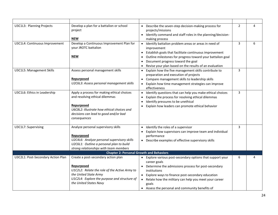| U3C1L3: Planning Projects          | Develop a plan for a battalion or school<br>project<br><b>NEW</b>                                                                                                                                     | • Describe the seven-step decision-making process for<br>projects/missions<br>• Identify command and staff roles in the planning/decision-<br>making process                                                                                                                                                                     | $\overline{2}$ | 4 |
|------------------------------------|-------------------------------------------------------------------------------------------------------------------------------------------------------------------------------------------------------|----------------------------------------------------------------------------------------------------------------------------------------------------------------------------------------------------------------------------------------------------------------------------------------------------------------------------------|----------------|---|
| U3C1L4: Continuous Improvement     | Develop a Continuous Improvement Plan for<br>your JROTC battalion<br><b>NEW</b>                                                                                                                       | • Identify battalion problem areas or areas in need of<br>improvement<br>• Establish goals that facilitate continuous improvement<br>Outline milestones for progress toward your battalion goal<br>Document progress toward the goal<br>Revise your plan based on the results of an evaluation                                   | 3              | 6 |
| U3C1L5: Management Skills          | Assess personal management skills<br>Repurposed<br>U2C6L3: Assess personal management skills                                                                                                          | • Explain how the five management skills contribute to<br>preparation and execution of projects<br>• Compare management skills to leadership skills<br>• Explain how time management strategies can improve<br>effectiveness                                                                                                     | 3              |   |
| U3C1L6: Ethics in Leadership       | Apply a process for making ethical choices<br>and resolving ethical dilemmas<br>Repurposed<br>U6C8L2: Illustrate how ethical choices and<br>decisions can lead to good and/or bad<br>consequences     | • Identify questions that can help you make ethical choices<br>Explain the process for resolving ethical dilemmas<br>Identify pressures to be unethical<br>Explain how leaders can promote ethical behavior                                                                                                                      | 3              |   |
| U3C1L7: Supervising                | Analyze personal supervisory skills<br>Repurposed<br>U2C4L6: Analyze personal supervisory skills<br>U2C6L1: Outline a personal plan to build<br>strong relationships with team members                | • Identify the roles of a supervisor<br>• Explain how supervisors can improve team and individual<br>performance<br>• Describe examples of effective supervisory skills                                                                                                                                                          | 3              |   |
|                                    | <b>Chapter 2: Personal Growth and Behaviors</b>                                                                                                                                                       |                                                                                                                                                                                                                                                                                                                                  |                |   |
| U3C2L1: Post-Secondary Action Plan | Create a post-secondary action plan<br>Repurposed<br>U1C2L2: Relate the role of the Active Army to<br>the United State Army<br>U1C2L4: Explore the purpose and structure of<br>the United States Navy | • Explore various post-secondary options that support your<br>career goals<br>• Determine the admissions process for post-secondary<br>institutions<br>• Explore ways to finance post-secondary education<br>• Relate how the military can help you meet your career<br>goals<br>• Assess the personal and community benefits of | 6              | 4 |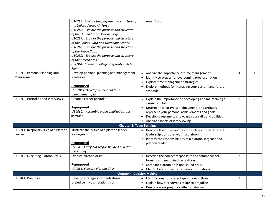|                                                 | U1C2L5: Explore the purpose and structure of<br>the United States Air Force<br>U1C2L6: Explore the purpose and structure<br>of the United States Marine Corps<br>U1C2L7: Explore the purpose and structure<br>of the Coast Guard and Merchant Marine | AmeriCorps                                                                                                                                                                                                                                                                           |                |              |
|-------------------------------------------------|------------------------------------------------------------------------------------------------------------------------------------------------------------------------------------------------------------------------------------------------------|--------------------------------------------------------------------------------------------------------------------------------------------------------------------------------------------------------------------------------------------------------------------------------------|----------------|--------------|
|                                                 | U1C2L8: Explore the purpose and structure<br>of the Peace Corps<br>U1C2L9: Explore the purpose and structure<br>of the AmeriCorps<br>U3C9L4: Create a College Preparation Action<br>Plan                                                             |                                                                                                                                                                                                                                                                                      |                |              |
| U3C2L2: Personal Planning and<br>Management     | Develop personal planning and management<br>strategies<br>Repurposed<br>U3C10L3: Develop a personal time<br>management plan                                                                                                                          | • Analyze the importance of time management<br>Identify strategies for overcoming procrastination<br>Explore time management strategies<br>$\bullet$<br>Explore methods for managing your current and future<br>schedule                                                             | 4              | $\mathbf{1}$ |
| U3C2L3: Portfolios and Interviews               | Create a career portfolio<br>Repurposed<br>U3C9L2: Assemble a personalized career<br>portfolio                                                                                                                                                       | • Explain the importance of developing and maintaining a<br>career portfolio<br>• Determine what types of documents and artifacts<br>represent your personal achievements and goals<br>• Develop a résumé to showcase your skills and abilities<br>• Analyze aspects of interviewing | 6              | 5            |
|                                                 | <b>Chapter 3: Team Building</b>                                                                                                                                                                                                                      |                                                                                                                                                                                                                                                                                      |                |              |
| U3C3L1: Responsibilities of a Platoon<br>Leader | Illustrate the duties of a platoon leader<br>or sergeant<br>Repurposed<br>U2C5L5: Carry out responsibilities in a drill<br>ceremony                                                                                                                  | • Describe the duties and responsibilities of the different<br>leadership positions within a platoon<br>• Identify the responsibilities of a platoon sergeant and<br>platoon leader                                                                                                  | 2              | 5            |
| U3C3L2: Executing Platoon Drills                | Execute platoon drills<br>Repurposed<br>U2C5L1: Execute platoon drills                                                                                                                                                                               | • Describe the correct response to the commands for<br>forming and marching the platoon<br>• Compare platoon drills and squad drills<br>• Match drill commands to platoon formations                                                                                                 | $\overline{2}$ | 5            |
|                                                 | <b>Chapter 4: Decision Making</b>                                                                                                                                                                                                                    |                                                                                                                                                                                                                                                                                      |                |              |
| U3C4L1: Prejudice                               | Develop strategies for neutralizing<br>prejudice in your relationships                                                                                                                                                                               | • Identify common stereotypes in our culture<br>Explain how stereotypes relate to prejudice<br>• Describe ways prejudice affects behavior                                                                                                                                            | 3              |              |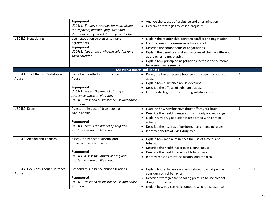|                                                   | Repurposed<br>U2C4L1: Employ strategies for neutralizing<br>the impact of personal prejudices and                                                                                 | • Analyze the causes of prejudice and discrimination<br>• Determine strategies to lessen prejudice                                                                                                                                                                                                           |                |              |
|---------------------------------------------------|-----------------------------------------------------------------------------------------------------------------------------------------------------------------------------------|--------------------------------------------------------------------------------------------------------------------------------------------------------------------------------------------------------------------------------------------------------------------------------------------------------------|----------------|--------------|
| U3C4L2: Negotiating                               | stereotypes on your relationships with others.<br>Use negotiation strategies to make<br>Agreements<br>Repurposed<br>U2C4L3: Negotiate a win/win solution for a<br>given situation | Explain the relationship between conflict and negotiation<br>Identify common reasons negotiations fail<br>Describe the components of negotiations<br>Explain the benefits and disadvantages of the five different<br>approaches to negotiating<br>• Explain how principled negotiations increase the outcome | 3              |              |
|                                                   | <b>Chapter 5: Health and Fitness</b>                                                                                                                                              | for win-win agreements                                                                                                                                                                                                                                                                                       |                |              |
| U3C5L1: The Effects of Substance<br>Abuse         | Describe the effects of substance<br>Abuse<br>Repurposed<br>U4C3L1: Assess the impact of drug and<br>substance abuse on life today<br>U4C3L2: Respond to substance use and abuse  | • Recognize the difference between drug use, misuse, and<br>abuse<br>Explain how substance abuse develops<br>Describe the effects of substance abuse<br>Identify strategies for preventing substance abuse                                                                                                   | 2              |              |
| U3C5L2: Drugs                                     | situations<br>Assess the impact of drug abuse on<br>whole health<br>Repurposed<br>U4C3L1: Assess the impact of drug and<br>substance abuse on life today                          | • Examine how psychoactive drugs affect your brain<br>Describe the health dangers of commonly abused drugs<br>Explain why drug addiction is associated with criminal<br>activity<br>• Describe the hazards of performance-enhancing drugs<br>Identify benefits of living drug-free                           | 3              |              |
| U3C5L3: Alcohol and Tobacco                       | Assess the impact of alcohol and<br>tobacco on whole health<br>Repurposed<br>U4C3L1: Assess the impact of drug and<br>substance abuse on life today                               | • Explain how media influences the use of alcohol and<br>tobacco<br>Describe the health hazards of alcohol abuse<br>Describe the health hazards of tobacco use<br>• Identify reasons to refuse alcohol and tobacco                                                                                           | $\overline{3}$ |              |
| <b>U3C5L4: Decisions About Substance</b><br>Abuse | Respond to substance abuse situations<br>Repurposed<br>U4C3L2: Respond to substance use and abuse<br>situations                                                                   | • Explain how substance abuse is related to what people<br>consider normal behavior<br>• Describe strategies for handling pressure to use alcohol,<br>drugs, or tobacco<br>• Explain how you can help someone who is a substance                                                                             | $\overline{2}$ | $\mathbf{1}$ |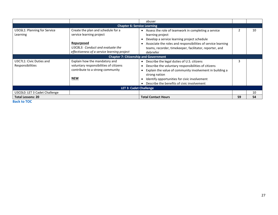|                                                     |                                                                                                                                                                 | abuser                                                                                                                                                                                                                                                                           |    |    |  |
|-----------------------------------------------------|-----------------------------------------------------------------------------------------------------------------------------------------------------------------|----------------------------------------------------------------------------------------------------------------------------------------------------------------------------------------------------------------------------------------------------------------------------------|----|----|--|
|                                                     | <b>Chapter 6: Service Learning</b>                                                                                                                              |                                                                                                                                                                                                                                                                                  |    |    |  |
| U3C6L1: Planning for Service<br>Learning            | Create the plan and schedule for a<br>service learning project<br>Repurposed<br>U3C8L3: Conduct and evaluate the<br>effectiveness of a service learning project | • Assess the role of teamwork in completing a service<br>learning project<br>Develop a service learning project schedule<br>Associate the roles and responsibilities of service learning<br>teams, recorder, timekeeper, facilitator, reporter, and<br>debriefer                 |    | 10 |  |
|                                                     | <b>Chapter 7: Citizenship and Government</b>                                                                                                                    |                                                                                                                                                                                                                                                                                  |    |    |  |
| U3C7L1: Civic Duties and<br><b>Responsibilities</b> | Explain how the mandatory and<br>voluntary responsibilities of citizens<br>contribute to a strong community<br><b>NEW</b>                                       | • Describe the legal duties of U.S. citizens<br>Describe the voluntary responsibilities of citizens<br>Explain the value of community involvement in building a<br>strong nation<br>Identify opportunities for civic involvement<br>• Describe the benefits of civic involvement |    |    |  |
|                                                     | <b>LET 3: Cadet Challenge</b>                                                                                                                                   |                                                                                                                                                                                                                                                                                  |    |    |  |
| U3C0L0: LET 3 Cadet Challenge                       |                                                                                                                                                                 |                                                                                                                                                                                                                                                                                  |    | 10 |  |
| <b>Total Lessons: 20</b>                            |                                                                                                                                                                 | <b>Total Contact Hours</b>                                                                                                                                                                                                                                                       | 59 | 54 |  |

**[Back to TOC](#page-1-0)**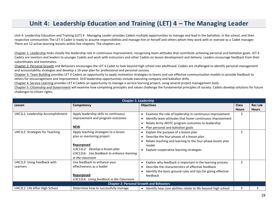## **Unit 4: Leadership Education and Training (LET) 4 – The Managing Leader**

<span id="page-27-0"></span>Unit 4: Leadership Education and Training (LET) 4 - Managing Leader provides Cadets multiple opportunities to manage and lead in the battalion, in the school, and their respective communities The LET 4 Cadet is ready to assume responsibilities and manage him or herself and others whom they work with or oversee as a Cadet manager. There are 12 active-learning lessons within five chapters. The chapters are:

Chapter 1: Leadership looks closely the leadership role in continuous improvement, recognizing team attitudes that contribute achieving personal and battalion goals. LET 4 Cadets are mentors and leaders to younger Cadets and work with instructors and other Cadets on lesson development and delivery. Leaders encourage feedback from their subordinates and teammates.

Chapter 2: Personal Growth and Behaviors encourages the LET 4 Cadet to look beyond high school into adulthood. Cadets are challenged to identify personal management and accountability strategies and develop a 10-year plan for professional and personal success.

Chapter 3: Team Building provides LET 4 Cadets an opportunity to apply motivation strategies to teams and use effective communication models to provide feedback to others for encouragement and improvement. Drill leadership opportunities include executing company and battalion drills.

Chapter 4: Service Learning provides LET 4 Cadets an opportunity to manage a service learning project, using several project management tools.

Chapter 5: Citizenship and Government will examine how competing principles and values challenge the fundamental principles of society. Cadets develop solutions for future challenges to citizen rights.

| <b>Chapter 1: Leadership</b>      |                                           |                                                                            |              |                |  |
|-----------------------------------|-------------------------------------------|----------------------------------------------------------------------------|--------------|----------------|--|
| Lesson                            | Competency                                | <b>Objectives</b>                                                          | <b>Class</b> | <b>Rec Lab</b> |  |
|                                   |                                           |                                                                            | <b>Hours</b> | <b>Hours</b>   |  |
| U4C1L1: Leadership Accomplishment | Apply leadership skills to continuous     | Examine the role of leadership in continuous improvement                   | 2            |                |  |
|                                   | improvement and program outcomes          | Identify team attitudes that foster continuous improvement                 |              |                |  |
|                                   |                                           | Relate Army JROTC program outcomes to leadership                           |              |                |  |
|                                   | <b>NEW</b>                                | Plan personal and battalion goals                                          |              |                |  |
| U4C1L2: Strategies for Teaching   | Apply teaching strategies to a lesson     | Explain the purpose of a lesson plan<br>$\bullet$                          | 2            |                |  |
|                                   | plan or mentoring project                 | Describe the four phases of a lesson plan                                  |              |                |  |
|                                   |                                           | Relate teaching and learning to the four-phase lesson plan                 |              |                |  |
|                                   | Repurposed                                | model                                                                      |              |                |  |
|                                   | U3C12L2: Develop a lesson plan            | Explore cooperative learning strategies                                    |              |                |  |
|                                   | U3C12L6: Use feedback to enhance learning |                                                                            |              |                |  |
|                                   | in the classroom                          |                                                                            |              |                |  |
| U4C1L3: Using Feedback with       | Use feedback to enhance your              | Explain why feedback is important in the learning process                  | 2            |                |  |
| Learners                          | effectiveness as a leader                 | Describe the characteristics of effective feedback                         |              |                |  |
|                                   |                                           | Identify the basic ground rules and tips for giving effective              |              |                |  |
|                                   | Repurposed                                | feedback                                                                   |              |                |  |
|                                   | U3C12L6: Using feedback in the Classroom  |                                                                            |              |                |  |
|                                   |                                           | <b>Chapter 2: Personal Growth and Behaviors</b>                            |              |                |  |
| U4C2L1: Life After High School    | Determine how to successfully manage      | Identify how core abilities relate to life beyond high school<br>$\bullet$ | 3            |                |  |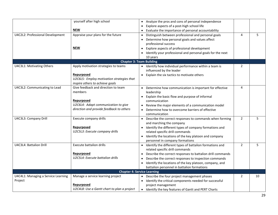|                                     | yourself after high school                  | • Analyze the pros and cons of personal independence                                        |                |    |
|-------------------------------------|---------------------------------------------|---------------------------------------------------------------------------------------------|----------------|----|
|                                     |                                             | Explore aspects of a post-high school life                                                  |                |    |
|                                     | <b>NEW</b>                                  | Evaluate the importance of personal accountability                                          |                |    |
| U4C2L2: Professional Development    | Appraise your plans for the future          | Distinguish between professional and personal goals                                         | 4              | 5  |
|                                     |                                             | Determine how personal goals and values affect                                              |                |    |
|                                     |                                             | professional success                                                                        |                |    |
|                                     | <b>NEW</b>                                  | Explore aspects of professional development                                                 |                |    |
|                                     |                                             | Identify your professional and personal goals for the next                                  |                |    |
|                                     |                                             | 10 years                                                                                    |                |    |
|                                     |                                             | <b>Chapter 3: Team Building</b>                                                             |                |    |
| U4C3L1: Motivating Others           | Apply motivation strategies to teams        | Identify how individual performance within a team is                                        | $\overline{2}$ |    |
|                                     |                                             | influenced by the leader                                                                    |                |    |
|                                     | Repurposed                                  | Explain the six tactics to motivate others                                                  |                |    |
|                                     | U2C6L5: Employ motivation strategies that   |                                                                                             |                |    |
|                                     | inspire others to achieve goals             |                                                                                             |                |    |
| U4C3L2: Communicating to Lead       | Give feedback and direction to team         | Determine how communication is important for effective                                      | 4              |    |
|                                     | members                                     | leadership                                                                                  |                |    |
|                                     |                                             | Explain the basic flow and purpose of informal                                              |                |    |
|                                     | Repurposed                                  | communication                                                                               |                |    |
|                                     | U2C6L4: Adapt communication to give         | Review the major elements of a communication model                                          |                |    |
|                                     | direction and provide feedback to others    | Determine how to overcome barriers of effective                                             |                |    |
|                                     |                                             | communication                                                                               |                |    |
| U4C3L3: Company Drill               | Execute company drills                      | • Describe the correct responses to commands when forming                                   | $\overline{2}$ | 5  |
|                                     |                                             | and marching the company                                                                    |                |    |
|                                     | Repurposed                                  | Identify the different types of company formations and                                      |                |    |
|                                     | U2C5L3: Execute company drills              | related specific drill commands                                                             |                |    |
|                                     |                                             | Identify the locations of the key platoon and company                                       |                |    |
|                                     |                                             | personnel in company formations                                                             |                |    |
| U4C3L4: Battalion Drill             | <b>Execute battalion drills</b>             | Identify the different types of battalion formations and<br>related specific drill commands | $\overline{2}$ | 5  |
|                                     | Repurposed                                  | Describe the correct responses to battalion drill commands                                  |                |    |
|                                     | U2C5L4: Execute battalion drills            | Describe the correct responses to inspection commands                                       |                |    |
|                                     |                                             | Identify the locations of the key platoon, company, and                                     |                |    |
|                                     |                                             | battalion personnel in battalion formations                                                 |                |    |
|                                     |                                             | <b>Chapter 4: Service Learning</b>                                                          |                |    |
| U4C4L1: Managing a Service Learning | Manage a service learning project           | • Describe the four project management phases                                               | 2              | 10 |
| Project                             |                                             | Identify the critical components needed for successful                                      |                |    |
|                                     | Repurposed                                  | project management                                                                          |                |    |
|                                     | U2C4L8: Use a Gantt chart to plan a project | Identify the key features of Gantt and PERT Charts<br>$\bullet$                             |                |    |
|                                     |                                             |                                                                                             |                |    |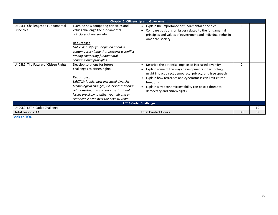|                                                 | <b>Chapter 5: Citizenship and Government</b>                                                                                                                                                                                                                                                                  |                                     |                                                                                                                                                                                                                                                                                                                                          |    |    |
|-------------------------------------------------|---------------------------------------------------------------------------------------------------------------------------------------------------------------------------------------------------------------------------------------------------------------------------------------------------------------|-------------------------------------|------------------------------------------------------------------------------------------------------------------------------------------------------------------------------------------------------------------------------------------------------------------------------------------------------------------------------------------|----|----|
| U4C5L1: Challenges to Fundamental<br>Principles | Examine how competing principles and<br>values challenge the fundamental<br>principles of our society<br>Repurposed<br>U6C7L4: Justify your opinion about a<br>contemporary issue that presents a conflict<br>among competing fundamental<br>constitutional principles                                        | $\bullet$                           | Explain the importance of fundamental principles<br>Compare positions on issues related to the fundamental<br>principles and values of government and individual rights in<br>American society                                                                                                                                           | 3  |    |
| U4C5L2: The Future of Citizen Rights            | Develop solutions for future<br>challenges to citizen rights<br>Repurposed<br>U6C7L2: Predict how increased diversity,<br>technological changes, closer international<br>relationships, and current constitutional<br>issues are likely to affect your life and an<br>American citizen over the next 10 years | $\bullet$<br>$\bullet$<br>$\bullet$ | Describe the potential impacts of increased diversity<br>Explain some of the ways developments in technology<br>might impact direct democracy, privacy, and free speech<br>Explain how terrorism and cyberattacks can limit citizen<br>freedoms<br>Explain why economic instability can pose a threat to<br>democracy and citizen rights | 2  |    |
| <b>LET 4 Cadet Challenge</b>                    |                                                                                                                                                                                                                                                                                                               |                                     |                                                                                                                                                                                                                                                                                                                                          |    |    |
| U4C0L0: LET 4 Cadet Challenge                   |                                                                                                                                                                                                                                                                                                               |                                     |                                                                                                                                                                                                                                                                                                                                          |    | 10 |
| <b>Total Lessons: 12</b>                        |                                                                                                                                                                                                                                                                                                               |                                     | <b>Total Contact Hours</b>                                                                                                                                                                                                                                                                                                               | 30 | 38 |

**[Back to TOC](#page-1-0)**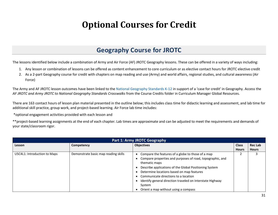## **Optional Courses for Credit**

### **Geography Course for JROTC**

<span id="page-30-1"></span><span id="page-30-0"></span>The lessons identified below include a combination of Army and Air Force (AF) JROTC Geography lessons. These can be offered in a variety of ways including:

- 1. Any lesson or combination of lessons can be offered as content enhancement to core curriculum or as elective contact hours for JROTC elective credit
- 2. As a 2-part Geography course for credit with chapters on map reading and use (Army) and world affairs, regional studies, and cultural awareness (Air Force)

The Army and AF JROTC lesson outcomes have been linked to th[e National Geography Standards K-12](http://www.nationalgeographic.org/standards/national-geography-standards/) in support of a 'case for credit' in Geography. Access the *AF JROTC and Army JROTC to National Geography Standards Crosswalks* from the Course Credits folder in Curriculum Manager Global Resources.

There are 163 contact hours of lesson plan material presented in the outline below; this includes class time for didactic learning and assessment, and lab time for additional skill practice, group work, and project-based learning. Air Force lab time includes:

\*optional engagement activities provided with each lesson and

\*\*project-based learning assignments at the end of each chapter. Lab times are approximate and can be adjusted to meet the requirements and demands of your state/classroom rigor.

| <b>Part 1: Army JROTC Geography</b> |                                      |                                                                                                                                                                                                                                                                                                                                                                                                            |                              |                                |  |
|-------------------------------------|--------------------------------------|------------------------------------------------------------------------------------------------------------------------------------------------------------------------------------------------------------------------------------------------------------------------------------------------------------------------------------------------------------------------------------------------------------|------------------------------|--------------------------------|--|
| Lesson                              | Competency                           | <b>Objectives</b>                                                                                                                                                                                                                                                                                                                                                                                          | <b>Class</b><br><b>Hours</b> | <b>Rec Lab</b><br><b>Hours</b> |  |
| U5C4L1: Introduction to Maps        | Demonstrate basic map reading skills | Compare the features of a globe to those of a map<br>$\bullet$<br>Compare properties and purposes of road, topographic, and<br>thematic maps<br>Describe applications of the Global Positioning System<br>Determine locations based on map features<br>Communicate directions to a location<br>Identify general direction traveled on Interstate Highway<br>System<br>Orient a map without using a compass |                              |                                |  |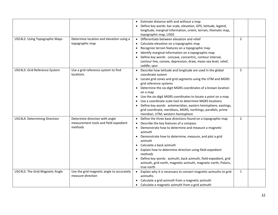| U5C4L2: Using Topographic Maps  | Determine location and elevation using a                                           | Estimate distance with and without a map<br>Define key words: bar scale, elevation, GPS, latitude, legend,<br>longitude, marginal information, orient, terrain, thematic map,<br>topographic map, USGS<br>Differentiate between elevation and relief                                                                                                                                                                                                                                                                                                     | $\overline{2}$ |  |
|---------------------------------|------------------------------------------------------------------------------------|----------------------------------------------------------------------------------------------------------------------------------------------------------------------------------------------------------------------------------------------------------------------------------------------------------------------------------------------------------------------------------------------------------------------------------------------------------------------------------------------------------------------------------------------------------|----------------|--|
|                                 | topographic map                                                                    | Calculate elevation on a topographic map<br>Recognize terrain features on a topographic map<br>$\bullet$<br>Identify marginal information on a topographic map<br>Define key words: concave, concentric, contour interval,<br>contour line, convex, depression, draw, mean sea level, relief,<br>saddle, spur                                                                                                                                                                                                                                            |                |  |
| U5C4L3: Grid Reference System   | Use a grid reference system to find<br>locations                                   | Describe how latitude and longitude are used in the global<br>coordinate system<br>• Locate grid zones and grid segments using the UTM and MGRS<br>grid reference systems<br>Determine the six-digit MGRS coordinates of a known location<br>on a map<br>Use the six-digit MGRS coordinates to locate a point on a map<br>Use a coordinate scale tool to determine MGRS locations<br>Define key words: antemeridian, eastern hemisphere, eastings,<br>grid coordinate, meridians, MGRS, northings, parallels, prime<br>meridian, UTM, western hemisphere | $\overline{2}$ |  |
| U5C4L4: Determining Direction   | Determine direction with angle<br>measurement tools and field expedient<br>methods | Define the three base directions found on a topographic map<br>$\bullet$<br>Describe the key features of a compass<br>$\bullet$<br>Demonstrate how to determine and measure a magnetic<br>azimuth<br>Demonstrate how to determine, measure, and plot a grid<br>azimuth<br>Calculate a back azimuth<br>Explain how to determine direction using field-expedient<br>methods<br>Define key words: azimuth, back azimuth, field-expedient, grid<br>azimuth, grid north, magnetic azimuth, magnetic north, Polaris,<br>true north                             | $\overline{2}$ |  |
| U5C4L5: The Grid-Magnetic Angle | Use the grid-magnetic angle to accurately<br>measure direction                     | • Explain why it is necessary to convert magnetic azimuths to grid<br>azimuths<br>Calculate a grid azimuth from a magnetic azimuth<br>Calculate a magnetic azimuth from a grid azimuth                                                                                                                                                                                                                                                                                                                                                                   | $\mathbf{1}$   |  |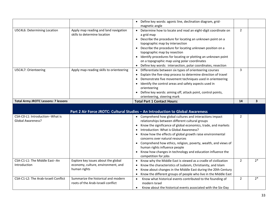|                                            |                                          | Define key words: agonic line, declination diagram, grid-                                                                                  |                |                         |
|--------------------------------------------|------------------------------------------|--------------------------------------------------------------------------------------------------------------------------------------------|----------------|-------------------------|
|                                            |                                          | magnetic angle                                                                                                                             |                |                         |
| U5C4L6: Determining Location               | Apply map reading and land navigation    | Determine how to locate and read an eight-digit coordinate on                                                                              | $\overline{2}$ |                         |
|                                            | skills to determine location             | a grid map                                                                                                                                 |                |                         |
|                                            |                                          | Describe the procedure for locating an unknown point on a                                                                                  |                |                         |
|                                            |                                          | topographic map by intersection                                                                                                            |                |                         |
|                                            |                                          | Describe the procedure for locating unknown position on a                                                                                  |                |                         |
|                                            |                                          | topographic map by resection                                                                                                               |                |                         |
|                                            |                                          | Identify procedures for locating or plotting an unknown point                                                                              |                |                         |
|                                            |                                          | on a topographic map using polar coordinates                                                                                               |                |                         |
|                                            |                                          | Define key words: intersection, polar coordinates, resection                                                                               |                |                         |
| U5C4L7: Orienteering                       | Apply map-reading skills to orienteering | Differentiate between six types of orienteering courses<br>$\bullet$                                                                       | 3              |                         |
|                                            |                                          | Explain the five-step process to determine direction of travel<br>$\bullet$                                                                |                |                         |
|                                            |                                          | Demonstrate five movement techniques used in orienteering                                                                                  |                |                         |
|                                            |                                          | Identify the control areas and safety aspects used in                                                                                      |                |                         |
|                                            |                                          | orienteering                                                                                                                               |                |                         |
|                                            |                                          | Define key words: aiming off, attack point, control points,                                                                                |                |                         |
|                                            |                                          | orienteering, steering mark                                                                                                                |                |                         |
| <b>Total Army JROTC Lessons: 7 lessons</b> |                                          | <b>Total Part 1 Contact Hours:</b>                                                                                                         | 14             | $\overline{\mathbf{3}}$ |
|                                            |                                          |                                                                                                                                            |                |                         |
|                                            |                                          | Part 2 Air Force JROTC: Cultural Studies - An Introduction to Global Awareness                                                             |                |                         |
| CSA-C0-L1: Introduction--What is           |                                          | • Comprehend how global cultures and interactions impact                                                                                   | $\overline{2}$ |                         |
| Global Awareness?                          |                                          | relationships between different cultural groups                                                                                            |                |                         |
|                                            |                                          | Know the significance of global economics, trade, and markets                                                                              |                |                         |
|                                            |                                          | Introduction: What is Global Awareness?                                                                                                    |                |                         |
|                                            |                                          | Know how the effects of global growth raise environmental                                                                                  |                |                         |
|                                            |                                          | concerns over natural resources                                                                                                            |                |                         |
|                                            |                                          | Comprehend how ethics, religion, poverty, wealth, and views of                                                                             |                |                         |
|                                            |                                          | human rights influence people                                                                                                              |                |                         |
|                                            |                                          | Know how changes in technology and education influence the                                                                                 |                |                         |
| CSA-C1-L1: The Middle East--An             | Explore key issues about the global      | competition for jobs<br>Know why the Middle East is viewed as a cradle of civilization                                                     | 2              | $2*$                    |
| Introduction                               | economy, culture, environment, and       | Know the characteristics of Judaism, Christianity, and Islam                                                                               |                |                         |
|                                            | human rights                             | Know about changes in the Middle East during the 20th Century<br>$\bullet$                                                                 |                |                         |
|                                            |                                          | $\bullet$                                                                                                                                  |                |                         |
| CSA-C1-L2: The Arab-Israeli Conflict       | Summarize the historical and modern      | Know the different groups of people who live in the Middle East<br>Know what historical events contributed to the founding of<br>$\bullet$ | $\overline{2}$ | $2*$                    |
|                                            | roots of the Arab-Israeli conflict       | modern Israel                                                                                                                              |                |                         |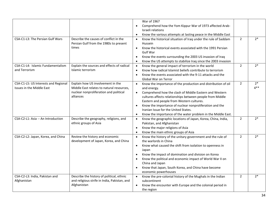|                                                                          |                                                                                                                                       | War of 1967<br>Comprehend how the Yom Kippur War of 1973 affected Arab-<br>$\bullet$<br>Israeli relations<br>Know the various attempts at lasting peace in the Middle East<br>$\bullet$                                                                                                                                                                                                                                                                                 |                |                |
|--------------------------------------------------------------------------|---------------------------------------------------------------------------------------------------------------------------------------|-------------------------------------------------------------------------------------------------------------------------------------------------------------------------------------------------------------------------------------------------------------------------------------------------------------------------------------------------------------------------------------------------------------------------------------------------------------------------|----------------|----------------|
| CSA-C1-L3: The Persian Gulf Wars                                         | Describe the causes of conflict in the<br>Persian Gulf from the 1980s to present<br>times                                             | Know the historical situation of Iraq under the rule of Saddam<br>$\bullet$<br>Hussein<br>Know the historical events associated with the 1991 Persian<br>$\bullet$<br>Gulf War<br>Know the events surrounding the 2003 US invasion of Iraq<br>$\bullet$<br>Know the US attempts to stabilize Iraq since the 2003 invasion<br>$\bullet$                                                                                                                                  | $\overline{2}$ | $2*$           |
| CSA-C1-L4: Islamic Fundamentalism<br>and Terrorism                       | Explain the sources and effects of radical<br>Islamic terrorism                                                                       | Know the general impact of terrorism in the world<br>$\bullet$<br>Know how radical Islamist beliefs contribute to terrorism<br>$\bullet$<br>Know the events associated with the 9-11 attacks and the<br>$\bullet$<br><b>Global War on Terror</b>                                                                                                                                                                                                                        | $\overline{2}$ | $2*$           |
| CSA-C1-L5: US Interests and Regional<br><b>Issues in the Middle East</b> | Explain how US involvement in the<br>Middle East relates to natural resources,<br>nuclear nonproliferation and political<br>alliances | Know the importance of the production and distribution of oil<br>$\bullet$<br>and energy.<br>Comprehend how the clash of Middle Eastern and Western<br>$\bullet$<br>cultures affects relationships between people from Middle<br>Eastern and people from Western cultures.<br>Know the importance of nuclear nonproliferation and the<br>$\bullet$<br>Iranian Issue for the United States.<br>Know the importance of the water problem in the Middle East.<br>$\bullet$ | $\overline{2}$ | $2*$<br>$4***$ |
| CSA-C2-L1: Asia -- An Introduction                                       | Describe the geography, religions, and<br>ethnic groups of Asia                                                                       | Know the geographic locations of Japan, Korea, China, India,<br>$\bullet$<br>Pakistan, and Afghanistan<br>Know the major religions of Asia<br>$\bullet$<br>Know the main ethnic groups of Asia<br>$\bullet$                                                                                                                                                                                                                                                             | $\overline{2}$ | $2*$           |
| CSA-C2-L2: Japan, Korea, and China                                       | Review the history and economic<br>development of Japan, Korea, and China                                                             | Know the history of the unitary government and the rule of<br>$\bullet$<br>the warlords in China<br>Know what caused the shift from isolation to openness in<br>$\bullet$<br>Japan<br>Know the impact of domination and division on Korea<br>$\bullet$<br>Know the political and economic impact of World War II on<br>$\bullet$<br>China and Japan<br>Know that Japan, South Korea, and China have become<br>$\bullet$<br>economic powerhouses                         | 2              | $2*$           |
| CSA-C2-L3: India, Pakistan and<br>Afghanistan                            | Describe the history of political, ethnic<br>and religious strife in India, Pakistan, and<br>Afghanistan                              | Know the pre-colonial history of the Mughals in the Indian<br>$\bullet$<br>subcontinent<br>Know the encounter with Europe and the colonial period in<br>$\bullet$<br>the region                                                                                                                                                                                                                                                                                         | $\overline{2}$ | $2*$           |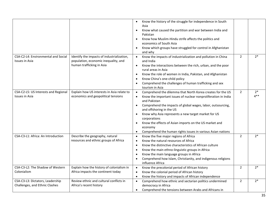|                                                                    |                                                                                                                 | Know the history of the struggle for independence in South<br>Asia<br>Know what caused the partition and war between India and<br>Pakistan<br>Know how Muslim-Hindu strife affects the politics and<br>economics of South Asia<br>Know which groups have struggled for control in Afghanistan<br>and why                                                                                                                                                                                               |                |                |
|--------------------------------------------------------------------|-----------------------------------------------------------------------------------------------------------------|--------------------------------------------------------------------------------------------------------------------------------------------------------------------------------------------------------------------------------------------------------------------------------------------------------------------------------------------------------------------------------------------------------------------------------------------------------------------------------------------------------|----------------|----------------|
| CSA-C2-L4: Environmental and Social<br><b>Issues in Asia</b>       | Identify the impacts of industrialization,<br>population, economic inequality, and<br>human trafficking in Asia | Know the impacts of industrialization and pollution in China<br>$\bullet$<br>and India<br>Know the interactions between the rich, urban, and the poor<br>$\bullet$<br>rural areas in Asia<br>Know the role of women in India, Pakistan, and Afghanistan<br>$\bullet$<br>Know China's one-child policy<br>$\bullet$<br>Comprehend the challenges of human trafficking and sex<br>tourism in Asia                                                                                                        | $\overline{2}$ | $2*$           |
| CSA-C2-L5: US Interests and Regional<br><b>Issues in Asia</b>      | Explain how US interests in Asia relate to<br>economics and geopolitical tensions                               | Comprehend the dilemma that North Korea creates for the US<br>$\bullet$<br>Know the important issues of nuclear nonproliferation in India<br>$\bullet$<br>and Pakistan<br>Comprehend the impacts of global wages, labor, outsourcing,<br>$\bullet$<br>and offshoring in the US<br>Know why Asia represents a new target market for US<br>corporations<br>Know the effects of Asian imports on the US market and<br>economy<br>Comprehend the human rights issues in various Asian nations<br>$\bullet$ | $\overline{2}$ | $2*$<br>$4***$ |
| CSA-C3-L1: Africa: An Introduction                                 | Describe the geography, natural<br>resources and ethnic groups of Africa                                        | Know the five major regions of Africa<br>$\bullet$<br>Know the natural resources of Africa<br>$\bullet$<br>Know the distinctive characteristics of African culture<br>$\bullet$<br>Know the main ethno-linguistic groups in Africa<br>$\bullet$<br>Know the main language groups in Africa<br>$\bullet$<br>Comprehend how Islam, Christianity, and indigenous religions<br>influence Africa                                                                                                            | $\overline{2}$ | $2*$           |
| CSA-C3-L2: The Shadow of Western<br>Colonialism                    | Explain how the history of colonialism in<br>Africa impacts the continent today                                 | Know the precolonial period of African history<br>$\bullet$<br>Know the colonial period of African history<br>$\bullet$<br>Know the history and impacts of African independence<br>$\bullet$                                                                                                                                                                                                                                                                                                           | $\overline{2}$ | $2*$           |
| CSA-C3-L3: Dictators, Leadership<br>Challenges, and Ethnic Clashes | Review ethnic and cultural conflicts in<br>Africa's recent history                                              | Comprehend how ethnic and sectarian politics undermined<br>$\bullet$<br>democracy in Africa<br>Comprehend the tensions between Arabs and Africans in<br>$\bullet$                                                                                                                                                                                                                                                                                                                                      | 2              | $2*$           |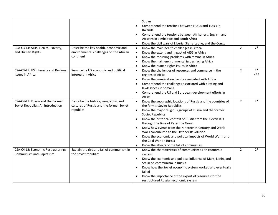| CSA-C3-L4: AIDS, Health, Poverty,<br>and Human Rights                 | Describe the key health, economic and<br>environmental challenges on the African<br>continent | Sudan<br>Comprehend the tensions between Hutus and Tutsis in<br>$\bullet$<br>Rwanda<br>Comprehend the tensions between Afrikaners, English, and<br>$\bullet$<br>Africans in Zimbabwe and South Africa<br>Know the civil wars of Liberia, Sierra Leone, and the Congo<br>$\bullet$<br>Know the main health challenges in Africa<br>$\bullet$<br>Know the extent and impact of AIDS in Africa<br>$\bullet$<br>Know the recurring problems with famine in Africa<br>$\bullet$<br>Know the main environmental issues facing Africa<br>$\bullet$<br>Know the human rights issues in Africa<br>$\bullet$          | $\overline{2}$ | $2*$           |
|-----------------------------------------------------------------------|-----------------------------------------------------------------------------------------------|-------------------------------------------------------------------------------------------------------------------------------------------------------------------------------------------------------------------------------------------------------------------------------------------------------------------------------------------------------------------------------------------------------------------------------------------------------------------------------------------------------------------------------------------------------------------------------------------------------------|----------------|----------------|
| CSA-C3-L5: US Interests and Regional<br><b>Issues in Africa</b>       | Summarize US economic and political<br>interests in Africa                                    | Know the challenges of resources and commerce in the<br>$\bullet$<br>regions of Africa<br>Know the immigration trends associated with Africa<br>$\bullet$<br>Comprehend the challenges associated with pirating and<br>$\bullet$<br>lawlessness in Somalia<br>Comprehend the US and European development efforts in<br>$\bullet$<br>Africa                                                                                                                                                                                                                                                                  | $\overline{2}$ | $2*$<br>$4***$ |
| CSA-C4-L1: Russia and the Former<br>Soviet Republics: An Introduction | Describe the history, geography, and<br>cultures of Russia and the former Soviet<br>republics | Know the geographic locations of Russia and the countries of<br>$\bullet$<br>the former Soviet Republics<br>Know the major religious groups of Russia and the former<br>$\bullet$<br>Soviet Republics<br>Know the historical context of Russia from the Kievan Rus<br>$\bullet$<br>through the time of Peter the Great<br>Know how events from the Nineteenth Century and World<br>$\bullet$<br>War I contributed to the October Revolution<br>Know the economic and political impacts of World War II and<br>$\bullet$<br>the Cold War on Russia<br>Know the effects of the fall of communism<br>$\bullet$ | $\overline{2}$ | $2*$           |
| CSA-C4-L2: Economic Restructuring:<br>Communism and Capitalism        | Explain the rise and fall of communism in<br>the Soviet republics                             | Know the characteristics of communism as an economic<br>$\bullet$<br>system<br>Know the economic and political influence of Marx, Lenin, and<br>$\bullet$<br>Stalin on communism in Russia<br>Know how the Soviet economic system worked and eventually<br>failed<br>Know the importance of the export of resources for the<br>restructured Russian economic system                                                                                                                                                                                                                                         | $\overline{2}$ | $2*$           |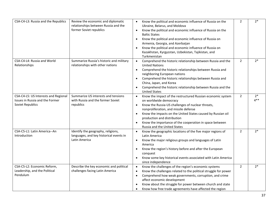| CSA-C4-L3: Russia and the Republics                                                         | Review the economic and diplomatic<br>relationships between Russia and the<br>former Soviet republics | Know the political and economic influence of Russia on the<br>$\bullet$<br>Ukraine, Belarus, and Moldova<br>Know the political and economic influence of Russia on the<br>$\bullet$<br><b>Baltic States</b><br>Know the political and economic influence of Russia on<br>$\bullet$<br>Armenia, Georgia, and Azerbaijan<br>Know the political and economic influence of Russia on<br>$\bullet$<br>Kazakhstan, Kyrgyzstan, Uzbekistan, Tajikistan, and<br>Turkmenistan | $\overline{2}$ | $2*$           |
|---------------------------------------------------------------------------------------------|-------------------------------------------------------------------------------------------------------|----------------------------------------------------------------------------------------------------------------------------------------------------------------------------------------------------------------------------------------------------------------------------------------------------------------------------------------------------------------------------------------------------------------------------------------------------------------------|----------------|----------------|
| CSA-C4-L4: Russia and World<br>Relationships                                                | Summarize Russia's historic and military<br>relationships with other nations                          | Comprehend the historic relationship between Russia and the<br>$\bullet$<br><b>United Nations</b><br>Comprehend the historic relationships between Russia and<br>$\bullet$<br>neighboring European nations<br>Comprehend the historic relationships between Russia and<br>China, Japan, and Korea<br>Comprehend the historic relationship between Russia and the<br><b>United States</b>                                                                             | $\overline{2}$ | $2*$           |
| CSA-C4-L5: US Interests and Regional<br>Issues in Russia and the Former<br>Soviet Republics | Summarize US interests and tensions<br>with Russia and the former Soviet<br>republics                 | Know the impact of the restructured Russian economic system<br>$\bullet$<br>on worldwide democracy<br>Know the Russia-US challenges of nuclear threats,<br>$\bullet$<br>nonproliferation, and missile defense<br>Know the impacts on the United States caused by Russian oil<br>$\bullet$<br>production and distribution<br>Know the importance of the cooperation in space between<br>$\bullet$<br>Russia and the United States                                     | $\overline{2}$ | $2*$<br>$4***$ |
| CSA-C5-L1: Latin America--An<br>Introduction                                                | Identify the geography, religions,<br>languages, and key historical events in<br>Latin America        | Know the geographic locations of the five major regions of<br>$\bullet$<br>Latin America<br>Know the major religious groups and languages of Latin<br>$\bullet$<br>America<br>Know the region's history before and after the European<br>$\bullet$<br>conquest<br>Know some key historical events associated with Latin America<br>$\bullet$<br>since independence                                                                                                   | $\overline{2}$ | $2*$           |
| CSA-C5-L2: Economic Reform,<br>Leadership, and the Political<br>Pendulum                    | Describe the key economic and political<br>challenges facing Latin America                            | Know the challenges of the region's economic systems<br>$\bullet$<br>Know the challenges related to the political struggle for power<br>$\bullet$<br>Comprehend how weak governments, corruption, and crime<br>affect economic development<br>Know about the struggle for power between church and state<br>Know how free trade agreements have affected the region                                                                                                  | 2              | $2*$           |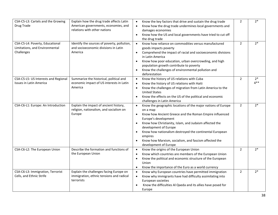| CSA-C5-L3: Cartels and the Growing   | Explain how the drug trade affects Latin            | Know the key factors that drive and sustain the drug trade<br>$\bullet$                         | $\overline{2}$ | $2*$           |
|--------------------------------------|-----------------------------------------------------|-------------------------------------------------------------------------------------------------|----------------|----------------|
| Drug Trade                           | American governments, economies, and                | Know how the drug trade undermines local governments and<br>$\bullet$                           |                |                |
|                                      | relations with other nations                        | damages economies                                                                               |                |                |
|                                      |                                                     | Know how the US and local governments have tried to cut off<br>$\bullet$                        |                |                |
|                                      |                                                     | the drug trade                                                                                  |                |                |
| CSA-C5-L4: Poverty, Educational      | Identify the sources of poverty, pollution,         | Know how reliance on commodities versus manufactured<br>$\bullet$                               | $\overline{2}$ | $2*$           |
| Limitations, and Environmental       | and socioeconomic divisions in Latin                | goods impacts poverty                                                                           |                |                |
| Challenges                           | America                                             | Comprehend the impact of racial and socioeconomic divisions<br>$\bullet$                        |                |                |
|                                      |                                                     | in Latin America                                                                                |                |                |
|                                      |                                                     | Know how poor education, urban overcrowding, and high<br>$\bullet$                              |                |                |
|                                      |                                                     | population growth contribute to poverty                                                         |                |                |
|                                      |                                                     | Know the challenges of environmental pollution and<br>$\bullet$                                 |                |                |
|                                      |                                                     | deforestation                                                                                   |                |                |
| CSA-C5-L5: US Interests and Regional | Summarize the historical, political and             | Know the history of US relations with Cuba<br>$\bullet$                                         | $\overline{2}$ | $2*$<br>$4***$ |
| <b>Issues in Latin America</b>       | economic impact of US interests in Latin<br>America | Know the history of US relations with Haiti<br>$\bullet$                                        |                |                |
|                                      |                                                     | Know the challenges of migration from Latin America to the<br>$\bullet$<br><b>United States</b> |                |                |
|                                      |                                                     | Know the effects on the US of the political and economic<br>$\bullet$                           |                |                |
|                                      |                                                     | challenges in Latin America                                                                     |                |                |
| CSA-C6-L1: Europe: An Introduction   | Explain the impact of ancient history,              | Know the geographic locations of the major nations of Europe<br>$\bullet$                       | $\overline{2}$ | $2*$           |
|                                      | religion, nationalism, and socialism on             | on a map                                                                                        |                |                |
|                                      | Europe                                              | Know how Ancient Greece and the Roman Empire influenced<br>$\bullet$                            |                |                |
|                                      |                                                     | Europe's development                                                                            |                |                |
|                                      |                                                     | Know how Christianity, Islam, and Judaism affected the<br>$\bullet$                             |                |                |
|                                      |                                                     | development of Europe                                                                           |                |                |
|                                      |                                                     | Know how nationalism destroyed the continental European<br>$\bullet$                            |                |                |
|                                      |                                                     | empires                                                                                         |                |                |
|                                      |                                                     | Know how Marxism, socialism, and fascism affected the<br>$\bullet$<br>development of Europe     |                |                |
| CSA-C6-L2: The European Union        | Describe the formation and functions of             | Know the origins of the European Union<br>$\bullet$                                             | $\overline{2}$ | $2*$           |
|                                      | the European Union                                  | Know which countries are members of the European Union<br>$\bullet$                             |                |                |
|                                      |                                                     | Know the political and economic structure of the European<br>$\bullet$                          |                |                |
|                                      |                                                     | Union                                                                                           |                |                |
|                                      |                                                     | Know the importance of the Euro as a world currency<br>$\bullet$                                |                |                |
| CSA-C6-L3: Immigration, Terrorist    | Explain the challenges facing Europe on             | Know why European countries have permitted immigration<br>$\bullet$                             | $\overline{2}$ | $2*$           |
| Cells, and Ethnic Strife             | immigration, ethnic tensions and radical            | Know why immigrants have had difficulty assimilating into<br>$\bullet$                          |                |                |
|                                      | terrorists                                          | European societies                                                                              |                |                |
|                                      |                                                     | Know the difficulties Al Qaeda and its allies have posed for<br>$\bullet$                       |                |                |
|                                      |                                                     | Europe                                                                                          |                |                |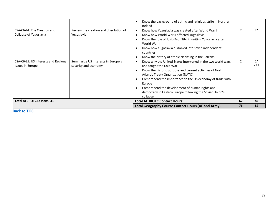|                                                                 |                                                            | Know the background of ethnic and religious strife in Northern<br>$\bullet$<br>Ireland                                                                                                                                                                                                                                                                                                                                          |                |                |
|-----------------------------------------------------------------|------------------------------------------------------------|---------------------------------------------------------------------------------------------------------------------------------------------------------------------------------------------------------------------------------------------------------------------------------------------------------------------------------------------------------------------------------------------------------------------------------|----------------|----------------|
| CSA-C6-L4: The Creation and<br>Collapse of Yugoslavia           | Review the creation and dissolution of<br>Yugoslavia       | Know how Yugoslavia was created after World War I<br>$\bullet$<br>Know how World War II affected Yugoslavia<br>$\bullet$<br>Know the role of Josip Broz Tito in uniting Yugoslavia after<br>٠<br>World War II<br>Know how Yugoslavia dissolved into seven independent<br>٠<br>countries<br>Know the history of ethnic cleansing in the Balkans<br>$\bullet$                                                                     |                | $2*$           |
| CSA-C6-L5: US Interests and Regional<br><b>Issues in Europe</b> | Summarize US interests in Europe's<br>security and economy | Know why the United States intervened in the two world wars<br>$\bullet$<br>and fought the Cold War<br>Know the historic purpose and current activities of North<br>٠<br>Atlantic Treaty Organization (NATO)<br>Comprehend the importance to the US economy of trade with<br>٠<br>Europe<br>Comprehend the development of human rights and<br>$\bullet$<br>democracy in Eastern Europe following the Soviet Union's<br>collapse | $\overline{2}$ | $2*$<br>$4***$ |
| <b>Total AF JROTC Lessons: 31</b>                               |                                                            | <b>Total AF JROTC Contact Hours:</b>                                                                                                                                                                                                                                                                                                                                                                                            | 62             | 84             |
|                                                                 |                                                            | <b>Total Geography Course Contact Hours (AF and Army)</b>                                                                                                                                                                                                                                                                                                                                                                       | 76             | 87             |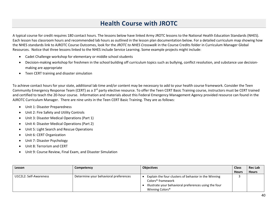## **Health Course with JROTC**

A typical course for credit requires 180 contact hours. The lessons below have linked Army JROTC lessons to the National Health Education Standards (NHES). Each lesson has classroom hours and recommended lab hours as outlined in the lesson plan documentation below. For a detailed curriculum map showing how the NHES standards link to AJROTC Course Outcomes, look for the *JROTC to NHES Crosswalk* in the Course Credits folder in Curriculum Manager Global Resources. Notice that three lessons linked to the NHES include Service Learning. Some example projects might include:

- Cadet Challenge workshop for elementary or middle school students
- Decision-making workshop for freshmen in the school building off curriculum topics such as bullying, conflict resolution, and substance use decisionmaking are appropriate
- Teen CERT training and disaster simulation

To achieve contact hours for your state, additional lab time and/or content may be necessary to add to your health course framework. Consider the Teen Community Emergency Response Team (CERT) as a 3<sup>rd</sup> party elective resource. To offer the Teen CERT Basic Training course, instructors must be CERT trained and certified to teach the 20-hour course. Information and materials about this Federal Emergency Management Agency provided resource can found in the AJROTC Curriculum Manager. There are nine units in the Teen CERT Basic Training. They are as follows:

- Unit 1: Disaster Preparedness
- Unit 2: Fire Safety and Utility Controls
- Unit 3: Disaster Medical Operations (Part 1)
- Unit 4: Disaster Medical Operations (Part 2)
- Unit 5: Light Search and Rescue Operations
- Unit 6: CERT Organization
- Unit 7: Disaster Psychology
- Unit 8: Terrorism and CERT
- Unit 9: Course Review, Final Exam, and Disaster Simulation

| Lesson                 | Competency                            | <b>Objectives</b>                                                                                                                                                             | <b>Class</b><br><b>Hours</b> | <b>Rec Lab</b><br><b>Hours</b> |
|------------------------|---------------------------------------|-------------------------------------------------------------------------------------------------------------------------------------------------------------------------------|------------------------------|--------------------------------|
| U1C2L2: Self-Awareness | Determine your behavioral preferences | Explain the four clusters of behavior in the Winning<br>Colors <sup>®</sup> framework<br>Illustrate your behavioral preferences using the four<br>Winning Colors <sup>®</sup> |                              |                                |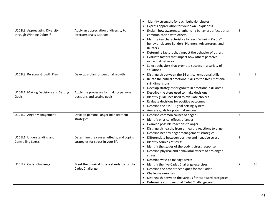|                                      |                                             | Identify strengths for each behavior cluster                                   |                |                |
|--------------------------------------|---------------------------------------------|--------------------------------------------------------------------------------|----------------|----------------|
|                                      |                                             | Express appreciation for your own uniqueness                                   |                |                |
| U1C2L3: Appreciating Diversity       | Apply an appreciation of diversity to       | Explain how awareness-enhancing behaviors affect better<br>$\bullet$           | 3              |                |
| through Winning Colors <sup>®</sup>  | interpersonal situations                    | communication with others                                                      |                |                |
|                                      |                                             | Identify key characteristics for each Winning Colors <sup>®</sup><br>$\bullet$ |                |                |
|                                      |                                             | behavior cluster: Builders, Planners, Adventurers, and                         |                |                |
|                                      |                                             | Relaters                                                                       |                |                |
|                                      |                                             | Determine factors that impact the behavior of others                           |                |                |
|                                      |                                             | Evaluate factors that impact how others perceive                               |                |                |
|                                      |                                             | individual behavior                                                            |                |                |
|                                      |                                             | • Select behaviors that promote success in a variety of                        |                |                |
|                                      |                                             | situations                                                                     |                |                |
| U1C2L8: Personal Growth Plan         | Develop a plan for personal growth          | Distinguish between the 14 critical emotional skills<br>$\bullet$              | 3              | $\overline{2}$ |
|                                      |                                             | Relate the critical emotional skills to the five emotional                     |                |                |
|                                      |                                             | skill dimensions                                                               |                |                |
|                                      |                                             | Develop strategies for growth in emotional skill areas<br>$\bullet$            |                |                |
| U1C4L1: Making Decisions and Setting | Apply the processes for making personal     | Describe the steps used to make decisions                                      | 3              |                |
| Goals                                | decisions and setting goals                 | Identify guidelines used to evaluate choices                                   |                |                |
|                                      |                                             | Evaluate decisions for positive outcomes<br>$\bullet$                          |                |                |
|                                      |                                             | Describe the SMART goal-setting system                                         |                |                |
|                                      |                                             | Analyze goals for potential success                                            |                |                |
| U1C4L2: Anger Management             | Develop personal anger management           | Describe common causes of anger                                                | 3              |                |
|                                      | strategies                                  | Identify physical effects of anger                                             |                |                |
|                                      |                                             | Examine possible reactions to anger                                            |                |                |
|                                      |                                             | Distinguish healthy from unhealthy reactions to anger                          |                |                |
|                                      |                                             | Describe healthy anger management strategies                                   |                |                |
| U1C5L1: Understanding and            | Determine the causes, effects, and coping   | Differentiate between positive and negative stress<br>$\bullet$                | $\overline{2}$ |                |
| <b>Controlling Stress</b>            | strategies for stress in your life          | Identify sources of stress<br>$\bullet$                                        |                |                |
|                                      |                                             | Identify the stages of the body's stress response<br>$\bullet$                 |                |                |
|                                      |                                             | Describe physical and behavioral effects of prolonged                          |                |                |
|                                      |                                             | stress                                                                         |                |                |
|                                      |                                             | Describe ways to manage stress                                                 |                |                |
| U1C5L2: Cadet Challenge              | Meet the physical fitness standards for the | Identify the five Cadet Challenge exercises                                    | $\overline{2}$ | 10             |
|                                      | <b>Cadet Challenge</b>                      | Describe the proper techniques for the Cadet<br>$\bullet$                      |                |                |
|                                      |                                             | Challenge exercises<br>$\bullet$                                               |                |                |
|                                      |                                             | Distinguish between the various fitness award categories                       |                |                |
|                                      |                                             | Determine your personal Cadet Challenge goal                                   |                |                |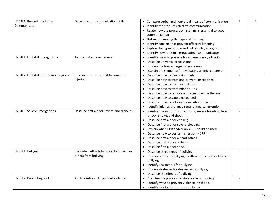| U2C2L1: Becoming a Better             | Develop your communication skills         | • Compare verbal and nonverbal means of communication                   | 5              | $\overline{2}$ |
|---------------------------------------|-------------------------------------------|-------------------------------------------------------------------------|----------------|----------------|
| Communicator                          |                                           | Identify the steps of effective communication                           |                |                |
|                                       |                                           | Relate how the process of listening is essential to good                |                |                |
|                                       |                                           | communication                                                           |                |                |
|                                       |                                           | Distinguish among the types of listening                                |                |                |
|                                       |                                           | Identify barriers that prevent effective listening                      |                |                |
|                                       |                                           | Explain the types of roles individuals play in a group                  |                |                |
|                                       |                                           | Identify how roles in a group affect communication                      |                |                |
| U2C4L1: First Aid Emergencies         | Assess first aid emergencies              | Identify ways to prepare for an emergency situation                     | $\overline{2}$ |                |
|                                       |                                           | Describe universal precautions                                          |                |                |
|                                       |                                           | Explain the four emergency guidelines<br>$\bullet$                      |                |                |
|                                       |                                           | Explain the sequence for evaluating an injured person                   |                |                |
| U2C4L2: First Aid for Common Injuries | Explain how to respond to common          | Describe how to treat minor cuts<br>$\bullet$                           | $\overline{2}$ |                |
|                                       | injuries                                  | Describe how to treat and prevent insect bites                          |                |                |
|                                       |                                           | Describe how to treat animal bites<br>$\bullet$                         |                |                |
|                                       |                                           | Describe how to treat minor burns<br>$\bullet$                          |                |                |
|                                       |                                           | Describe how to remove a foreign object in the eye<br>٠                 |                |                |
|                                       |                                           | Describe how to stop a nosebleed<br>$\bullet$                           |                |                |
|                                       |                                           | Describe how to help someone who has fainted                            |                |                |
|                                       |                                           | Identify injuries that may require medical attention                    |                |                |
| U2C4L3: Severe Emergencies            | Describe first aid for severe emergencies | Identify the symptoms of choking, severe bleeding, heart                | $\overline{2}$ |                |
|                                       |                                           | attack, stroke, and shock                                               |                |                |
|                                       |                                           | • Describe first aid for choking                                        |                |                |
|                                       |                                           | Describe first aid for severe bleeding                                  |                |                |
|                                       |                                           | Explain when CPR and/or an AED should be used                           |                |                |
|                                       |                                           | Describe how to perform chest-only CPR                                  |                |                |
|                                       |                                           | Describe first aid for a heart attack                                   |                |                |
|                                       |                                           | Describe first aid for a stroke                                         |                |                |
|                                       |                                           | Describe first aid for shock<br>$\bullet$                               |                |                |
| U2C5L1: Bullying                      | Evaluate methods to protect yourself and  | Describe three types of bullying<br>$\bullet$                           | 3              |                |
|                                       | others from bullying                      | Explain how cyberbullying is different from other types of<br>$\bullet$ |                |                |
|                                       |                                           | bullying                                                                |                |                |
|                                       |                                           | Identify risk factors for bullying                                      |                |                |
|                                       |                                           | Explain strategies for dealing with bullying                            |                |                |
|                                       |                                           | Describe the effects of bullying                                        |                |                |
| U2C5L2: Preventing Violence           | Apply strategies to prevent violence      | Examine the problem of violence in our society                          | $\overline{2}$ |                |
|                                       |                                           | Identify ways to prevent violence in schools                            |                |                |
|                                       |                                           | • Identify risk factors for teen violence                               |                |                |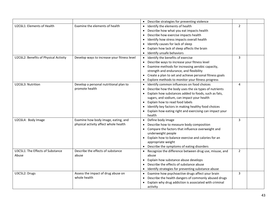|                                       |                                             | • Describe strategies for preventing violence                    |   |  |
|---------------------------------------|---------------------------------------------|------------------------------------------------------------------|---|--|
| U2C6L1: Elements of Health            | Examine the elements of health              | Identify the elements of health                                  | 2 |  |
|                                       |                                             | Describe how what you eat impacts health                         |   |  |
|                                       |                                             | Describe how exercise impacts health                             |   |  |
|                                       |                                             | Identify how stress impacts overall health                       |   |  |
|                                       |                                             | Identify causes for lack of sleep                                |   |  |
|                                       |                                             | Explain how lack of sleep affects the brain                      |   |  |
|                                       |                                             | Identify unsafe behaviors                                        |   |  |
| U2C6L2: Benefits of Physical Activity | Develop ways to increase your fitness level | • Identify the benefits of exercise                              | 3 |  |
|                                       |                                             | Describe ways to increase your fitness level                     |   |  |
|                                       |                                             | • Examine methods for increasing aerobic capacity,               |   |  |
|                                       |                                             | strength and endurance, and flexibility                          |   |  |
|                                       |                                             | • Create a plan to set and achieve personal fitness goals        |   |  |
|                                       |                                             | Explore methods to monitor your fitness progress<br>$\bullet$    |   |  |
| U2C6L3: Nutrition                     | Develop a personal nutritional plan to      | • Identify common influences on food choices                     | 4 |  |
|                                       | promote health                              | Describe how the body uses the six types of nutrients            |   |  |
|                                       |                                             | Explain how substances added to foods, such as fats,             |   |  |
|                                       |                                             | sugars, and sodium, can impact your health                       |   |  |
|                                       |                                             | Explain how to read food labels<br>$\bullet$                     |   |  |
|                                       |                                             | Identify key factors in making healthy food choices<br>$\bullet$ |   |  |
|                                       |                                             | Explain how eating right and exercising can impact your          |   |  |
|                                       |                                             | health                                                           |   |  |
| U2C6L4: Body Image                    | Examine how body image, eating, and         | • Define body image                                              | 3 |  |
|                                       | physical activity affect whole health       | Describe how to measure body composition                         |   |  |
|                                       |                                             | • Compare the factors that influence overweight and              |   |  |
|                                       |                                             | underweight people                                               |   |  |
|                                       |                                             | • Explain how to balance exercise and calories for an            |   |  |
|                                       |                                             | appropriate weight                                               |   |  |
|                                       |                                             | • Describe the symptoms of eating disorders                      |   |  |
| U3C5L1: The Effects of Substance      | Describe the effects of substance           | • Recognize the difference between drug use, misuse, and         | 2 |  |
| Abuse                                 | abuse                                       | abuse                                                            |   |  |
|                                       |                                             | Explain how substance abuse develops                             |   |  |
|                                       |                                             | Describe the effects of substance abuse                          |   |  |
|                                       |                                             | Identify strategies for preventing substance abuse<br>$\bullet$  |   |  |
| U3C5L2: Drugs                         | Assess the impact of drug abuse on          | Examine how psychoactive drugs affect your brain<br>$\bullet$    | 3 |  |
|                                       | whole health                                | Describe the health dangers of commonly abused drugs             |   |  |
|                                       |                                             | Explain why drug addiction is associated with criminal           |   |  |
|                                       |                                             | activity                                                         |   |  |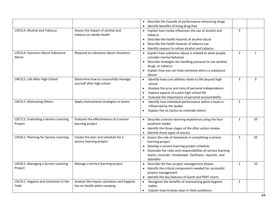|                                          |                                           | Describe the hazards of performance-enhancing drugs                       |                |              |
|------------------------------------------|-------------------------------------------|---------------------------------------------------------------------------|----------------|--------------|
|                                          |                                           | Identify benefits of living drug-free                                     |                |              |
| U3C5L3: Alcohol and Tobacco              | Assess the impact of alcohol and          | • Explain how media influences the use of alcohol and                     | 3              |              |
| tobacco on whole health                  |                                           | tobacco                                                                   |                |              |
|                                          |                                           | Describe the health hazards of alcohol abuse                              |                |              |
|                                          |                                           | Describe the health hazards of tobacco use                                |                |              |
|                                          |                                           | Identify reasons to refuse alcohol and tobacco<br>$\bullet$               |                |              |
| <b>U3C5L4: Decisions About Substance</b> | Respond to substance abuse situations     | • Explain how substance abuse is related to what people                   | $\overline{2}$ | $\mathbf{1}$ |
| Abuse                                    |                                           | consider normal behavior                                                  |                |              |
|                                          |                                           | • Describe strategies for handling pressure to use alcohol,               |                |              |
|                                          |                                           | drugs, or tobacco                                                         |                |              |
|                                          |                                           | • Explain how you can help someone who is a substance                     |                |              |
|                                          |                                           | abuser                                                                    |                |              |
| U4C2L1: Life After High School           | Determine how to successfully manage      | Identify how core abilities relate to life beyond high                    | 3              | 3            |
| yourself after high school               |                                           | school                                                                    |                |              |
|                                          |                                           | Analyze the pros and cons of personal independence<br>$\bullet$           |                |              |
|                                          |                                           | Explore aspects of a post-high school life<br>$\bullet$                   |                |              |
|                                          |                                           | Evaluate the importance of personal accountability<br>$\bullet$           |                |              |
| U4C3L1: Motivating Others                | Apply motivational strategies to teams    | Identify how individual performance within a team is<br>$\bullet$         | $\overline{2}$ |              |
|                                          |                                           | influenced by the leader                                                  |                |              |
|                                          |                                           | Explain the six tactics to motivate others<br>$\bullet$                   |                |              |
| U2C7L1: Evaluating a Service Learning    | Evaluate the effectiveness of a service   | • Describe a service learning experience using the four-                  | $\overline{2}$ | 10           |
| Project<br>learning project              |                                           | quadrant model                                                            |                |              |
|                                          |                                           | Identify the three stages of the after-action review                      |                |              |
|                                          |                                           | Identify three types of service                                           |                |              |
| U3C6L1: Planning for Service Learning    | Create the plan and schedule for a        | • Assess the role of teamwork in completing a service                     | $\overline{2}$ | 10           |
| service learning project                 |                                           | learning project                                                          |                |              |
|                                          |                                           | Develop a service learning project schedule<br>$\bullet$                  |                |              |
|                                          |                                           | Associate the roles and responsibilities of service learning<br>$\bullet$ |                |              |
|                                          |                                           | teams, recorder, timekeeper, facilitator, reporter, and                   |                |              |
|                                          |                                           | debriefer                                                                 |                |              |
| U4C4L1: Managing a Service Learning      | Manage a service learning project         | Describe the four project management phases<br>$\bullet$                  | $\overline{2}$ | 10           |
| Project                                  |                                           | Identify the critical components needed for successful<br>$\bullet$       |                |              |
|                                          |                                           | project management                                                        |                |              |
|                                          |                                           | Identify the key features of Gantt and PERT charts<br>$\bullet$           |                |              |
| U5C3L1: Hygiene and Sanitation in the    | Analyze the impact sanitation and hygiene | Recognize the benefits of maintaining good hygiene<br>$\bullet$           | $\overline{2}$ |              |
| Field<br>has on health when camping      |                                           | habits                                                                    |                |              |
|                                          |                                           | Explain how to keep clean in field conditions<br>$\bullet$                |                |              |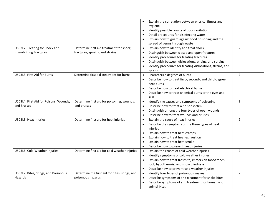|                                        |                                                | Explain the correlation between physical fitness and                     |                |  |
|----------------------------------------|------------------------------------------------|--------------------------------------------------------------------------|----------------|--|
|                                        |                                                | hygiene                                                                  |                |  |
|                                        |                                                | Identify possible results of poor sanitation<br>$\bullet$                |                |  |
|                                        |                                                | Detail procedures for disinfecting water                                 |                |  |
|                                        |                                                | Explain how to guard against food poisoning and the                      |                |  |
|                                        |                                                | spread of germs through waste                                            |                |  |
| U5C3L2: Treating for Shock and         | Determine first aid treatment for shock,       | Explain how to identify and treat shock<br>$\bullet$                     | $\overline{2}$ |  |
| <b>Immobilizing Fractures</b>          | fractures, sprains, and strains                |                                                                          |                |  |
|                                        |                                                | Distinguish between closed and open fractures<br>$\bullet$               |                |  |
|                                        |                                                | Identify procedures for treating fractures<br>$\bullet$                  |                |  |
|                                        |                                                | Distinguish between dislocations, strains, and sprains<br>$\bullet$      |                |  |
|                                        |                                                | Identify procedures for treating dislocations, strains, and<br>$\bullet$ |                |  |
|                                        |                                                | sprains                                                                  |                |  |
| U5C3L3: First Aid for Burns            | Determine first aid treatment for burns        | Characterize degrees of burns<br>$\bullet$                               | $\overline{2}$ |  |
|                                        |                                                | Describe how to treat first-, second-, and third-degree<br>$\bullet$     |                |  |
|                                        |                                                | heat burns                                                               |                |  |
|                                        |                                                | Describe how to treat electrical burns<br>$\bullet$                      |                |  |
|                                        |                                                | Describe how to treat chemical burns to the eyes and                     |                |  |
|                                        |                                                | skin                                                                     |                |  |
| U5C3L4: First Aid for Poisons, Wounds, | Determine first aid for poisoning, wounds,     | Identify the causes and symptoms of poisoning                            | $\overline{2}$ |  |
| and Bruises                            | and bruises                                    | Describe how to treat a poison victim<br>$\bullet$                       |                |  |
|                                        |                                                | Distinguish among the four types of open wounds<br>$\bullet$             |                |  |
|                                        |                                                | Describe how to treat wounds and bruises<br>$\bullet$                    |                |  |
| U5C3L5: Heat Injuries                  | Determine first aid for heat injuries          | Explain the cause of heat injuries<br>$\bullet$                          | $\overline{2}$ |  |
|                                        |                                                | Describe the symptoms of the three types of heat<br>$\bullet$            |                |  |
|                                        |                                                | injuries                                                                 |                |  |
|                                        |                                                | Explain how to treat heat cramps<br>$\bullet$                            |                |  |
|                                        |                                                | Explain how to treat heat exhaustion<br>$\bullet$                        |                |  |
|                                        |                                                | Explain how to treat heat stroke<br>$\bullet$                            |                |  |
|                                        |                                                | Describe how to prevent heat injuries<br>$\bullet$                       |                |  |
| U5C3L6: Cold Weather Injuries          | Determine first aid for cold weather injuries  | Explain the causes of cold weather injuries<br>$\bullet$                 | $\overline{2}$ |  |
|                                        |                                                | Identify symptoms of cold weather injuries<br>$\bullet$                  |                |  |
|                                        |                                                | Explain how to treat frostbite, immersion foot/trench<br>$\bullet$       |                |  |
|                                        |                                                | foot, hypothermia, and snow blindness                                    |                |  |
|                                        |                                                | Describe how to prevent cold weather injuries<br>$\bullet$               |                |  |
| U5C3L7: Bites, Stings, and Poisonous   | Determine the first aid for bites, stings, and | Identify four types of poisonous snakes<br>$\bullet$                     | $\overline{2}$ |  |
| Hazards                                | poisonous hazards                              | Describe symptoms of and treatment for snake bites<br>$\bullet$          |                |  |
|                                        |                                                | Describe symptoms of and treatment for human and                         |                |  |
|                                        |                                                | animal bites                                                             |                |  |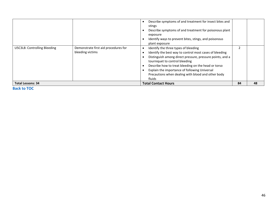|                              |                                                          | Describe symptoms of and treatment for insect bites and<br>stings<br>Describe symptoms of and treatment for poisonous plant<br>exposure<br>Identify ways to prevent bites, stings, and poisonous<br>plant exposure                                                                                                                                                     |    |    |
|------------------------------|----------------------------------------------------------|------------------------------------------------------------------------------------------------------------------------------------------------------------------------------------------------------------------------------------------------------------------------------------------------------------------------------------------------------------------------|----|----|
| U5C3L8: Controlling Bleeding | Demonstrate first aid procedures for<br>bleeding victims | Identify the three types of bleeding<br>Identify the best way to control most cases of bleeding<br>Distinguish among direct pressure, pressure points, and a<br>tourniquet to control bleeding<br>Describe how to treat bleeding on the head or torso<br>Explain the importance of following Universal<br>Precautions when dealing with blood and other body<br>fluids |    |    |
| <b>Total Lessons: 34</b>     |                                                          | <b>Total Contact Hours</b>                                                                                                                                                                                                                                                                                                                                             | 84 | 48 |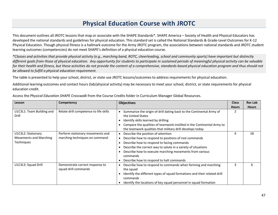### **Physical Education Course with JROTC**

This document outlines all JROTC lessons that map or associate with the SHAPE Standards\*. SHAPE America – Society of Health and Physical Educators has developed the national standards and guidelines for physical education. This standard set is called the National Standards & Grade-Level Outcomes for K-12 Physical Education. Though physical fitness is a hallmark outcome for the Army JROTC program, the associations between national standards and JROTC student learning outcomes (competencies) do not meet SHAPE's definition of a physical education course.

*\*Classes and activities that provide physical activity (e.g., marching band, ROTC, cheerleading, school and community sports) have important but distinctly different goals from those of physical education. Any opportunity for students to participate in sustained periods of meaningful physical activity can be valuable for their health and fitness, but these activities do not provide the content of a comprehensive, standards-based physical education program and thus should not be allowed to fulfill a physical education requirement.*

The table is presented to help your school, district, or state use JROTC lessons/outcomes to address requirements for physical education.

Additional learning outcomes and contact hours (lab/physical activity) may be necessary to meet your school, district, or state requirements for physical education credit.

| Lesson                    | Competency                             | <b>Objectives</b>                                                          | <b>Class</b> | <b>Rec Lab</b> |
|---------------------------|----------------------------------------|----------------------------------------------------------------------------|--------------|----------------|
|                           |                                        |                                                                            | <b>Hours</b> | <b>Hours</b>   |
| U1C3L1: Team Building and | Relate drill competence to life skills | Summarize the origin of drill dating back to the Continental Army of       |              |                |
| Drill                     |                                        | the United States                                                          |              |                |
|                           |                                        | Identify skills learned by drilling                                        |              |                |
|                           |                                        | Compare the qualities of teamwork instilled in the Continental Army to     |              |                |
|                           |                                        | the teamwork qualities that military drill develops today                  |              |                |
| U1C3L2: Stationary        | Perform stationary movements and       | Describe the position of attention<br>$\bullet$                            | 4            | 18             |
| Movements and Marching    | marching techniques on command         | Describe how to respond to positions of rest commands                      |              |                |
| Techniques                |                                        | Describe how to respond to facing commands                                 |              |                |
|                           |                                        | Describe the correct way to salute in a variety of situations              |              |                |
|                           |                                        | Describe how to execute marching movements from various                    |              |                |
|                           |                                        | commands                                                                   |              |                |
|                           |                                        | Describe how to respond to halt commands                                   |              |                |
| U1C3L3: Squad Drill       | Demonstrate correct response to        | Describe how to respond to commands when forming and marching<br>$\bullet$ | 3            | 6              |
|                           | squad drill commands                   | the squad                                                                  |              |                |
|                           |                                        | Identify the different types of squad formations and their related drill   |              |                |
|                           |                                        | commands                                                                   |              |                |
|                           |                                        | Identify the locations of key squad personnel in squad formation           |              |                |

Access the *Physical Education SHAPE Crosswalk* from the Course Credits folder in Curriculum Manager Global Resources.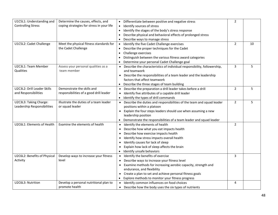| U1C5L1: Understanding and    | Determine the causes, effects, and        | Differentiate between positive and negative stress<br>$\bullet$                 | $\overline{2}$ |    |
|------------------------------|-------------------------------------------|---------------------------------------------------------------------------------|----------------|----|
| <b>Controlling Stress</b>    | coping strategies for stress in your life | Identify sources of stress<br>$\bullet$                                         |                |    |
|                              |                                           | Identify the stages of the body's stress response<br>$\bullet$                  |                |    |
|                              |                                           | Describe physical and behavioral effects of prolonged stress                    |                |    |
|                              |                                           | Describe ways to manage stress                                                  |                |    |
| U1C5L2: Cadet Challenge      | Meet the physical fitness standards for   | Identify the five Cadet Challenge exercises<br>$\bullet$                        | $\overline{2}$ | 10 |
|                              | the Cadet Challenge                       | Describe the proper techniques for the Cadet<br>$\bullet$                       |                |    |
|                              |                                           | Challenge exercises<br>$\bullet$                                                |                |    |
|                              |                                           | Distinguish between the various fitness award categories<br>$\bullet$           |                |    |
|                              |                                           | Determine your personal Cadet Challenge goal                                    |                |    |
| U2C3L1: Team Member          | Assess your personal qualities as a       | • Describe the characteristics of individual responsibility, followership,      | $\overline{3}$ | 5  |
| <b>Qualities</b>             | team member                               | and teamwork                                                                    |                |    |
|                              |                                           | Describe the responsibilities of a team leader and the leadership               |                |    |
|                              |                                           | factors that affect teamwork                                                    |                |    |
|                              |                                           | Describe the three stages of team building                                      |                |    |
| U2C3L2: Drill Leader Skills  | Demonstrate the skills and                | Describe the preparation a drill leader takes before a drill<br>$\bullet$       | $\overline{2}$ | 5  |
| and Responsibilities         | responsibilities of a good drill leader   | Identify five attributes of a capable drill leader                              |                |    |
|                              |                                           | Identify the types of drill commands<br>$\bullet$                               |                |    |
| U2C3L3: Taking Charge:       | Illustrate the duties of a team leader    | Describe the duties and responsibilities of the team and squad leader           | $\overline{2}$ | 5  |
| Leadership Responsibilities  | or squad leader                           | positions within a platoon                                                      |                |    |
|                              |                                           | • Explain the four steps leaders should use when assuming a new                 |                |    |
|                              |                                           | leadership position                                                             |                |    |
|                              |                                           | Demonstrate the responsibilities of a team leader and squad leader<br>$\bullet$ |                |    |
| U2C6L1: Elements of Health   | Examine the elements of health            | Identify the elements of health<br>$\bullet$                                    | $\overline{2}$ |    |
|                              |                                           | Describe how what you eat impacts health                                        |                |    |
|                              |                                           | Describe how exercise impacts health<br>$\bullet$                               |                |    |
|                              |                                           | Identify how stress impacts overall health<br>$\bullet$                         |                |    |
|                              |                                           | Identify causes for lack of sleep<br>$\bullet$                                  |                |    |
|                              |                                           | Explain how lack of sleep affects the brain                                     |                |    |
|                              |                                           | Identify unsafe behaviors<br>$\bullet$                                          |                |    |
| U2C6L2: Benefits of Physical | Develop ways to increase your fitness     | Identify the benefits of exercise<br>$\bullet$                                  | 3              |    |
| Activity                     | level                                     | Describe ways to increase your fitness level                                    |                |    |
|                              |                                           | Examine methods for increasing aerobic capacity, strength and                   |                |    |
|                              |                                           | endurance, and flexibility                                                      |                |    |
|                              |                                           | • Create a plan to set and achieve personal fitness goals                       |                |    |
|                              |                                           | Explore methods to monitor your fitness progress<br>$\bullet$                   |                |    |
| U2C6L3: Nutrition            | Develop a personal nutritional plan to    | Identify common influences on food choices<br>$\bullet$                         | 4              |    |
|                              | promote health                            | Describe how the body uses the six types of nutrients<br>$\bullet$              |                |    |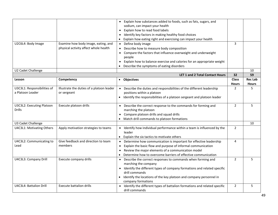|                             |                                           | • Explain how substances added to foods, such as fats, sugars, and                            |                |                |
|-----------------------------|-------------------------------------------|-----------------------------------------------------------------------------------------------|----------------|----------------|
|                             |                                           | sodium, can impact your health                                                                |                |                |
|                             |                                           | • Explain how to read food labels                                                             |                |                |
|                             |                                           | Identify key factors in making healthy food choices                                           |                |                |
|                             |                                           | Explain how eating right and exercising can impact your health                                |                |                |
| U2C6L4: Body Image          | Examine how body image, eating, and       | • Define body image                                                                           | 3              |                |
|                             | physical activity affect whole health     | Describe how to measure body composition                                                      |                |                |
|                             |                                           | Compare the factors that influence overweight and underweight                                 |                |                |
|                             |                                           | people                                                                                        |                |                |
|                             |                                           | Explain how to balance exercise and calories for an appropriate weight                        |                |                |
|                             |                                           | Describe the symptoms of eating disorders                                                     |                |                |
| U2 Cadet Challenge          |                                           |                                                                                               |                | 10             |
|                             |                                           | <b>LET 1 and 2 Total Contact Hours</b>                                                        | 32             | 59             |
| Lesson                      | Competency                                | <b>Objectives</b><br>$\bullet$                                                                | <b>Class</b>   | <b>Rec Lab</b> |
|                             |                                           |                                                                                               | <b>Hours</b>   | <b>Hours</b>   |
| U3C3L1: Responsibilities of | Illustrate the duties of a platoon leader | Describe the duties and responsibilities of the different leadership                          | $\overline{2}$ | 5              |
| a Platoon Leader            | or sergeant                               | positions within a platoon                                                                    |                |                |
|                             |                                           | • Identify the responsibilities of a platoon sergeant and platoon leader                      |                |                |
|                             |                                           |                                                                                               |                |                |
| U3C3L2: Executing Platoon   | Execute platoon drills                    | • Describe the correct response to the commands for forming and                               | $\overline{2}$ | 5              |
| <b>Drills</b>               |                                           | marching the platoon                                                                          |                |                |
|                             |                                           | • Compare platoon drills and squad drills                                                     |                |                |
|                             |                                           | Match drill commands to platoon formations<br>$\bullet$                                       |                |                |
| U3 Cadet Challenge          |                                           |                                                                                               |                | 10             |
| U4C3L1: Motivating Others   | Apply motivation strategies to teams      | Identify how individual performance within a team is influenced by the<br>leader              | $\overline{2}$ |                |
|                             |                                           | Explain the six tactics to motivate others<br>$\bullet$                                       |                |                |
| U4C3L2: Communicating to    | Give feedback and direction to team       | Determine how communication is important for effective leadership                             | 4              |                |
| Lead                        | members                                   | Explain the basic flow and purpose of informal communication                                  |                |                |
|                             |                                           | Review the major elements of a communication model                                            |                |                |
|                             |                                           | Determine how to overcome barriers of effective communication                                 |                |                |
| U4C3L3: Company Drill       | Execute company drills                    | Describe the correct responses to commands when forming and<br>$\bullet$                      | $\overline{2}$ | 5              |
|                             |                                           | marching the company                                                                          |                |                |
|                             |                                           | • Identify the different types of company formations and related specific                     |                |                |
|                             |                                           | drill commands                                                                                |                |                |
|                             |                                           | • Identify the locations of the key platoon and company personnel in                          |                |                |
|                             |                                           | company formations                                                                            |                |                |
| U4C3L4: Battalion Drill     | <b>Execute battalion drills</b>           | • Identify the different types of battalion formations and related specific<br>drill commands | $\overline{2}$ | 5              |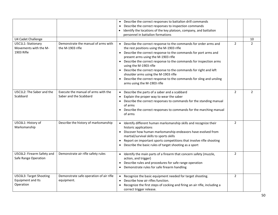|                                                           |                                                               | Describe the correct responses to battalion drill commands<br>$\bullet$                                                                                                                                                                                                                                                                                                                                                                                                                                                                                     |                |                |
|-----------------------------------------------------------|---------------------------------------------------------------|-------------------------------------------------------------------------------------------------------------------------------------------------------------------------------------------------------------------------------------------------------------------------------------------------------------------------------------------------------------------------------------------------------------------------------------------------------------------------------------------------------------------------------------------------------------|----------------|----------------|
|                                                           |                                                               | Describe the correct responses to inspection commands                                                                                                                                                                                                                                                                                                                                                                                                                                                                                                       |                |                |
|                                                           |                                                               | Identify the locations of the key platoon, company, and battalion                                                                                                                                                                                                                                                                                                                                                                                                                                                                                           |                |                |
|                                                           |                                                               | personnel in battalion formations                                                                                                                                                                                                                                                                                                                                                                                                                                                                                                                           |                |                |
| U4 Cadet Challenge                                        |                                                               |                                                                                                                                                                                                                                                                                                                                                                                                                                                                                                                                                             |                | 10             |
| U5C1L1: Stationary<br>Movements with the M-<br>1903 Rifle | Demonstrate the manual of arms with<br>the M-1903 rifle       | Describe the correct response to the commands for order arms and<br>$\bullet$<br>the rest positions using the M-1903 rifle<br>• Describe the correct response to the commands for port arms and<br>present arms using the M-1903 rifle<br>• Describe the correct response to the commands for inspection arms<br>using the M-1903 rifle<br>• Describe the correct response to the commands for right and left<br>shoulder arms using the M-1903 rifle<br>Describe the correct response to the commands for sling and unsling<br>arms using the M-1903 rifle | $\overline{2}$ | $\mathcal{L}$  |
| U5C1L2: The Saber and the<br>Scabbard                     | Execute the manual of arms with the<br>Saber and the Scabbard | Describe the parts of a saber and a scabbard<br>$\bullet$<br>Explain the proper way to wear the saber<br>$\bullet$<br>Describe the correct responses to commands for the standing manual<br>of arms<br>Describe the correct responses to commands for the marching manual<br>of arms                                                                                                                                                                                                                                                                        | $\overline{2}$ | $\overline{2}$ |
| U5C6L1: History of<br>Marksmanship                        | Describe the history of marksmanship                          | Identify different human marksmanship skills and recognize their<br>historic applications<br>Discover how human marksmanship endeavors have evolved from<br>martial/survival skills to sports skills<br>Report on important sports competitions that involve rifle shooting<br>Describe the basic rules of target shooting as a sport                                                                                                                                                                                                                       | $\overline{2}$ |                |
| U5C6L2: Firearm Safety and<br>Safe Range Operation        | Demonstrate air rifle safety rules                            | Identify the main parts of a firearm that concern safety (muzzle,<br>$\bullet$<br>action, and trigger)<br>Describe rules and procedures for safe range operation<br>• Demonstrate rules for safe firearm handling                                                                                                                                                                                                                                                                                                                                           | $\overline{2}$ |                |
| U5C6L3: Target Shooting<br>Equipment and Its<br>Operation | Demonstrate safe operation of air rifle<br>equipment.         | Recognize the basic equipment needed for target shooting.<br>$\bullet$<br>Describe how air rifles function.<br>$\bullet$<br>Recognize the first steps of cocking and firing an air rifle, including a<br>correct trigger release.                                                                                                                                                                                                                                                                                                                           | $\overline{2}$ |                |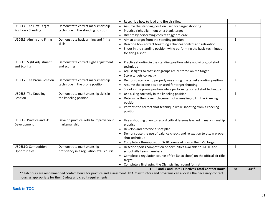|                            |                                                                | Recognize how to load and fire air rifles.<br>$\bullet$                                                                                   |                |        |
|----------------------------|----------------------------------------------------------------|-------------------------------------------------------------------------------------------------------------------------------------------|----------------|--------|
| U5C6L4: The First Target   | Demonstrate correct marksmanship                               | Assume the standing position used for target shooting                                                                                     | $\overline{2}$ |        |
| Position - Standing        | technique in the standing position                             | Practice sight alignment on a blank target                                                                                                |                |        |
|                            |                                                                | Dry fire by performing correct trigger release                                                                                            |                |        |
| U5C6L5: Aiming and Firing  | Demonstrate basic aiming and firing                            | Aim at a target from the standing position<br>$\bullet$                                                                                   | $\overline{2}$ |        |
|                            | skills                                                         | Describe how correct breathing enhances control and relaxation                                                                            |                |        |
|                            |                                                                | Shoot in the standing position while performing the basic techniques                                                                      |                |        |
|                            |                                                                | for firing a shot                                                                                                                         |                |        |
|                            |                                                                |                                                                                                                                           |                |        |
| U5C6L6: Sight Adjustment   | Demonstrate correct sight adjustment                           | • Practice shooting in the standing position while applying good shot                                                                     | $\overline{2}$ |        |
| and Scoring                | and scoring                                                    | technique                                                                                                                                 |                |        |
|                            |                                                                | Adjust sights so that shot groups are centered on the target                                                                              |                |        |
| U5C6L7: The Prone Position | Demonstrate correct marksmanship                               | Score targets correctly                                                                                                                   | $\overline{2}$ |        |
|                            | technique in the prone position                                | Demonstrate how to properly use a sling in a target shooting position<br>$\bullet$<br>Assume the prone position used for target shooting  |                |        |
|                            |                                                                | $\bullet$<br>Shoot in the prone position while performing correct shot technique<br>$\bullet$                                             |                |        |
| U5C6L8: The Kneeling       | Demonstrate marksmanship skills in                             | Use a sling correctly in the kneeling position                                                                                            | $\overline{2}$ |        |
| Position                   | the kneeling position                                          | Determine the correct placement of a kneeling roll in the kneeling                                                                        |                |        |
|                            |                                                                | position                                                                                                                                  |                |        |
|                            |                                                                | Perform the correct shot technique while shooting from a kneeling                                                                         |                |        |
|                            |                                                                | position                                                                                                                                  |                |        |
|                            |                                                                |                                                                                                                                           |                |        |
| U5C6L9: Practice and Skill | Develop practice skills to improve your                        | • Use a shooting diary to record critical lessons learned in marksmanship                                                                 | $\overline{2}$ |        |
| Development                | marksmanship                                                   | practice                                                                                                                                  |                |        |
|                            |                                                                | Develop and practice a shot plan                                                                                                          |                |        |
|                            |                                                                | Demonstrate the use of balance checks and relaxation to attain proper                                                                     |                |        |
|                            |                                                                | shot technique                                                                                                                            |                |        |
|                            |                                                                | • Complete a three-position 3x10 course of fire on the BMC target                                                                         |                |        |
| U5C6L10: Competition       | Demonstrate marksmanship                                       | Describe sports competition opportunities available to JROTC and                                                                          | $\overline{2}$ |        |
| Opportunities              | proficiency in a regulation 3x10 course                        | school rifle team members                                                                                                                 |                |        |
|                            |                                                                | • Complete a regulation course of fire (3x10 shots) on the official air rifle<br>target                                                   |                |        |
|                            |                                                                | Complete a final using the Olympic final round format                                                                                     |                |        |
|                            |                                                                | LET 3 and 4 and Unit 5 Electives Total Contact Hours                                                                                      | 38             | $44**$ |
|                            |                                                                | ** Lab hours are recommended contact hours for practice and assessment. JROTC instructors and programs can allocate the necessary contact |                |        |
|                            | hours as appropriate for their Cadets and credit requirements. |                                                                                                                                           |                |        |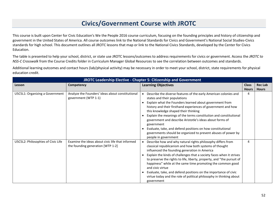## **Civics/Government Course with JROTC**

This course is built upon Center for Civic Education's We the People 2016 course curriculum, focusing on the founding principles and history of citizenship and government in the United States of America. All course outcomes link to the National Standards for Civics and Government's National Social Studies-Civics standards for high school. This document outlines all JROTC lessons that map or link to the National Civics Standards, developed by the Center for Civics Education.

The table is presented to help your school, district, or state use JROTC lessons/outcomes to address requirements for civics or government. Access the *JROTC to NSS-C Crosswalk* from the Course Credits folder in Curriculum Manager Global Resources to see the correlation between outcomes and standards.

Additional learning outcomes and contact hours (lab/physical activity) may be necessary in order to meet your school, district, state requirements for physical education credit.

|                                    | JROTC Leadership Elective - Chapter 5: Citizenship and Government                     |                                                                                                                                                                                                                                                                                                                                                                                                                                                                                                                                                                            |              |                |
|------------------------------------|---------------------------------------------------------------------------------------|----------------------------------------------------------------------------------------------------------------------------------------------------------------------------------------------------------------------------------------------------------------------------------------------------------------------------------------------------------------------------------------------------------------------------------------------------------------------------------------------------------------------------------------------------------------------------|--------------|----------------|
| Lesson                             | Competency                                                                            | <b>Learning Objectives</b>                                                                                                                                                                                                                                                                                                                                                                                                                                                                                                                                                 | <b>Class</b> | <b>Rec Lab</b> |
|                                    |                                                                                       |                                                                                                                                                                                                                                                                                                                                                                                                                                                                                                                                                                            | <b>Hours</b> | <b>Hours</b>   |
| U5C5L1: Organizing a Government    | Analyze the Founders' ideas about constitutional<br>government (WTP 1-1)              | Describe the diverse features of the early American colonies and<br>states and their populations<br>Explain what the Founders learned about government from<br>history and their firsthand experiences of government and how<br>this knowledge shaped their thinking<br>Explain the meanings of the terms constitution and constitutional<br>government and describe Aristotle's ideas about forms of<br>government<br>Evaluate, take, and defend positions on how constitutional<br>governments should be organized to prevent abuses of power by<br>people in government | 4            |                |
| U5C5L2: Philosophies of Civic Life | Examine the ideas about civic life that informed<br>the founding generation [WTP 1-2] | Describe how and why natural rights philosophy differs from<br>classical republicanism and how both systems of thought<br>influenced the founding generation in America<br>Explain the kinds of challenges that a society faces when it strives<br>to preserve the rights to life, liberty, property, and "the pursuit of<br>happiness" while at the same time promoting the common good<br>and civic virtue<br>Evaluate, take, and defend positions on the importance of civic<br>virtue today and the role of political philosophy in thinking about<br>government       | 4            |                |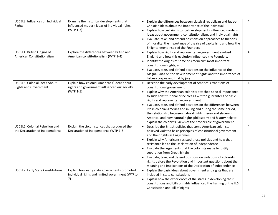| U5C5L3: Influences on Individual  | Examine the historical developments that         | Explain the differences between classical republican and Judeo-      | 4              |  |
|-----------------------------------|--------------------------------------------------|----------------------------------------------------------------------|----------------|--|
| Rights                            | influenced modern ideas of individual rights     | Christian ideas about the importance of the individual               |                |  |
|                                   | (WTP 1-3)                                        | Explain how certain historical developments influenced modern        |                |  |
|                                   |                                                  | ideas about government, constitutionalism, and individual rights     |                |  |
|                                   |                                                  | Evaluate, take, and defend positions on approaches to theories       |                |  |
|                                   |                                                  | of morality, the importance of the rise of capitalism, and how the   |                |  |
|                                   |                                                  | Enlightenment inspired the Founders                                  |                |  |
| U5C5L4: British Origins of        | Explore the differences between British and      | Explain how rights and representative government evolved in          | $\overline{4}$ |  |
| American Constitutionalism        | American constitutionalism (WTP 1-4)             | England and how this evolution influenced the Founders,              |                |  |
|                                   |                                                  | • Identify the origins of some of Americans' most important          |                |  |
|                                   |                                                  | constitutional rights, and                                           |                |  |
|                                   |                                                  | Evaluate, take, and defend positions on the influence of the         |                |  |
|                                   |                                                  | Magna Carta on the development of rights and the importance of       |                |  |
|                                   |                                                  | habeas corpus and trial by jury.                                     |                |  |
| U5C5L5: Colonial Ideas About      | Explain how colonial Americans' ideas about      | Describe the early development of America's traditions of            | 4              |  |
| <b>Rights and Government</b>      | rights and government influenced our society     | constitutional government                                            |                |  |
|                                   | (WTP 1-5)                                        | Explain why the American colonists attached special importance       |                |  |
|                                   |                                                  | to such constitutional principles as written guarantees of basic     |                |  |
|                                   |                                                  | rights and representative government                                 |                |  |
|                                   |                                                  | Evaluate, take, and defend positions on the differences between      |                |  |
|                                   |                                                  |                                                                      |                |  |
|                                   |                                                  | life in colonial America and in England during the same period,      |                |  |
|                                   |                                                  | the relationship between natural rights theory and slavery in        |                |  |
|                                   |                                                  | America, and how natural rights philosophy and history help to       |                |  |
|                                   |                                                  | explain the colonists' views of the proper role of government        |                |  |
| U5C5L6: Colonial Rebellion and    | Explain the circumstances that produced the      | Describe the British policies that some American colonists           | 4              |  |
| the Declaration of Independence   | Declaration of Independence (WTP 1-6)            | believed violated basic principles of constitutional government      |                |  |
|                                   |                                                  | and their rights as Englishmen                                       |                |  |
|                                   |                                                  | Explain why Americans resisted those policies and how that           |                |  |
|                                   |                                                  | resistance led to the Declaration of Independence                    |                |  |
|                                   |                                                  | Evaluate the arguments that the colonists made to justify            |                |  |
|                                   |                                                  | separation from Great Britain                                        |                |  |
|                                   |                                                  | Evaluate, take, and defend positions on violations of colonists'     |                |  |
|                                   |                                                  | rights before the Revolution and important questions about the       |                |  |
|                                   |                                                  | meaning and implications of the Declaration of Independence          |                |  |
| U5C5L7: Early State Constitutions | Explain how early state governments promoted     | Explain the basic ideas about government and rights that are         | 4              |  |
|                                   | individual rights and limited government (WTP 1- | included in state constitutions                                      |                |  |
|                                   | 7)                                               | Explain how the experiences of the states in developing their        |                |  |
|                                   |                                                  | constitutions and bills of rights influenced the framing of the U.S. |                |  |
|                                   |                                                  | Constitution and Bill of Rights                                      |                |  |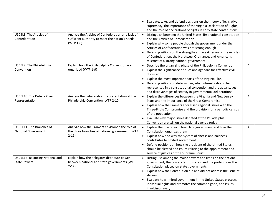|                                                        |                                                                                                                   | Evaluate, take, and defend positions on the theory of legislative<br>supremacy, the importance of the Virginia Declaration of Rights,<br>and the role of declarations of rights in early state constitutions                                                                                                                                                                                                     |   |  |
|--------------------------------------------------------|-------------------------------------------------------------------------------------------------------------------|------------------------------------------------------------------------------------------------------------------------------------------------------------------------------------------------------------------------------------------------------------------------------------------------------------------------------------------------------------------------------------------------------------------|---|--|
| U5C5L8: The Articles of<br>Confederation               | Analyze the Articles of Confederation and lack of<br>sufficient authority to meet the nation's needs<br>(WTP 1-8) | Distinguish between the United States' first national constitution<br>and the Articles of Confederation<br>Explain why some people though the government under the<br>Articles of Confederation was not strong enough<br>Defend positions on the strengths and weaknesses of the Articles<br>of Confederation, the Northwest Ordinance, and Americans'<br>mistrust of a strong national government               | 4 |  |
| U5C5L9: The Philadelphia<br>Convention                 | Explain how the Philadelphia Convention was<br>organized (WTP 1-9)                                                | Describe the organizing phase of the Philadelphia Convention<br>Explain the significance of rules and agendas for effective civil<br>discussion<br>Explain the most important parts of the Virginia Plan<br>Defend positions on determining what interests should be<br>represented in a constitutional convention and the advantages<br>and disadvantages of secrecy in governmental deliberations              | 4 |  |
| U5C5L10: The Debate Over<br>Representation             | Analyze the debate about representation at the<br>Philadelphia Convention (WTP 2-10)                              | Explain the differences between the Virginia and New Jersey<br>Plans and the importance of the Great Compromise<br>Explain how the Framers addressed regional issues with the<br>Three-Fifths Compromise and the provision for a periodic census<br>of the population<br>Evaluate why major issues debated at the Philadelphia<br>$\bullet$<br>Convention are still on the national agenda today                 | 4 |  |
| U5C5L11: The Branches of<br><b>National Government</b> | Analyze how the Framers envisioned the role of<br>the three branches of national government (WTP<br>$2-11)$       | Explain the role of each branch of government and how the<br>Constitution organizes them<br>Explain how and why the system of checks and balances<br>contributes to limited government<br>Defend positions on how the president of the United States<br>should be elected and issues relating to the appointment and<br>service of justices of the Supreme Court                                                 | 4 |  |
| U5C5L12: Balancing National and<br><b>State Powers</b> | Explain how the delegates distribute power<br>between national and state governments (WTP<br>$2-12)$              | Distinguish among the major powers and limits on the national<br>government, the powers left to states, and the prohibitions the<br>Constitution placed on state governments<br>Explain how the Constitution did and did not address the issue of<br>slavery<br>Evaluate how limited government in the United States protects<br>individual rights and promotes the common good, and issues<br>involving slavery | 4 |  |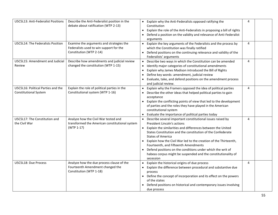| <b>U5C5L13: Anti-Federalist Positions</b>                          | Describe the Anti-Federalist position in the<br>debate about ratification (WTP 2-13)                           | Explain why the Anti-Federalists opposed ratifying the<br>Constitution<br>Explain the role of the Anti-Federalists in proposing a bill of rights<br>$\bullet$<br>Defend a position on the validity and relevance of Anti-Federalist<br>arguments                                                                                                                                                                                                                                                                                | 4              |  |
|--------------------------------------------------------------------|----------------------------------------------------------------------------------------------------------------|---------------------------------------------------------------------------------------------------------------------------------------------------------------------------------------------------------------------------------------------------------------------------------------------------------------------------------------------------------------------------------------------------------------------------------------------------------------------------------------------------------------------------------|----------------|--|
| U5C5L14: The Federalists Position                                  | Examine the arguments and strategies the<br>Federalists used to win support for the<br>Constitution (WTP 2-14) | Explain the key arguments of the Federalists and the process by<br>which the Constitution was finally ratified<br>Defend positions on the continuing relevance and validity of the<br>Federalists' arguments                                                                                                                                                                                                                                                                                                                    | $\overline{4}$ |  |
| U5C5L15: Amendment and Judicial<br>Review                          | Describe how amendments and judicial review<br>changed the constitution (WTP 1-15)                             | Describe two ways in which the Constitution can be amended<br>$\bullet$<br>Identify major categories of constitutional amendments<br>$\bullet$<br>Explain why James Madison introduced the Bill of Rights<br>$\bullet$<br>Define key words: amendment, judicial review<br>$\bullet$<br>Evaluate, take, and defend positions on the amendment process<br>and judicial review.                                                                                                                                                    | 4              |  |
| U5C5L16: Political Parties and the<br><b>Constitutional System</b> | Explain the role of political parties in the<br>Constitutional system (WTP 1-16)                               | Explain why the Framers opposed the idea of political parties<br>Describe the other ideas that helped political parties to gain<br>acceptance<br>Explain the conflicting points of view that led to the development<br>of parties and the roles they have played in the American<br>constitutional system<br>Evaluate the importance of political parties today                                                                                                                                                                 | 4              |  |
| U5C5L17: The Constitution and<br>the Civil War                     | Analyze how the Civil War tested and<br>transformed the American constitutional system<br>(WTP 1-17)           | Describe several important constitutional issues raised by<br>$\bullet$<br><b>President Lincoln's actions</b><br>Explain the similarities and differences between the United<br>States Constitution and the constitution of the Confederate<br><b>States of America</b><br>Explain how the Civil War led to the creation of the Thirteenth,<br>Fourteenth, and Fifteenth Amendments<br>Defend positions on the conditions under which the writ of<br>habeas corpus might be suspended and the constitutionality of<br>secession | 4              |  |
| U5C5L18: Due Process                                               | Analyze how the due process clause of the<br>Fourteenth Amendment changed the<br>Constitution (WTP 1-18)       | Explain the historical origins of due process<br>$\bullet$<br>Explain the difference between procedural and substantive due<br>$\bullet$<br>process<br>Define the concept of incorporation and its effect on the powers<br>$\bullet$<br>of the states<br>Defend positions on historical and contemporary issues involving<br>due process                                                                                                                                                                                        | 4              |  |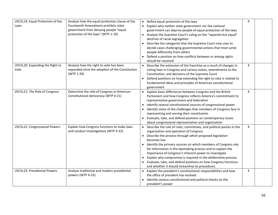| U5C5L19: Equal Protection of the<br>Laws | Analyze how the equal protection clause of the<br>Fourteenth Amendment prohibits state<br>government from denying people "equal<br>protection of the laws" (WTP-1-19) | • Define equal protection of the laws<br>Explain why neither state government nor the national<br>government can deprive people of equal protection of the laws<br>Analyze the Supreme Court's ruling on the "separate but equal"<br>doctrine of racial segregation<br>Describe the categories that the Supreme Court now uses to<br>decide cases challenging governmental actions that treat some<br>people differently from others<br>Defend a position on how conflicts between or among rights<br>should be resolved                                                     | 4 |  |
|------------------------------------------|-----------------------------------------------------------------------------------------------------------------------------------------------------------------------|------------------------------------------------------------------------------------------------------------------------------------------------------------------------------------------------------------------------------------------------------------------------------------------------------------------------------------------------------------------------------------------------------------------------------------------------------------------------------------------------------------------------------------------------------------------------------|---|--|
| U5C5L20: Expanding the Right to<br>Vote  | Analyze how the right to vote has been<br>expanded since the adoption of the Constitution<br>(WTP 1-20)                                                               | Describe the extension of the franchise as a result of changes in<br>voting laws in Congress and various states, amendments to the<br>Constitution, and decisions of the Supreme Court<br>Defend positions on how extending the right to vote is related to<br>fundamental ideas and principles of American constitutional<br>government                                                                                                                                                                                                                                     | 4 |  |
| U5C5L21: The Role of Congress            | Determine the role of Congress in American<br>Constitutional democracy (WTP 4-21)                                                                                     | Explain basic differences between Congress and the British<br>Parliament and how Congress reflects America's commitment to<br>representative government and federalism<br>Identify several constitutional sources of congressional power<br>$\bullet$<br>Identify some of the challenges that members of Congress face in<br>representing and serving their constituents<br>Evaluate, take, and defend positions on contemporary issues<br>about congressional representation and organization                                                                               | 4 |  |
| U5C5L22: Congressional Powers            | Explain how Congress functions to make laws<br>and conduct investigations (WTP 4-22)                                                                                  | Describe the role of rules, committees, and political parties in the<br>organization and operation of Congress<br>• Describe the process through which proposed legislation<br>becomes law<br>Identify the primary sources on which members of Congress rely<br>for information in the lawmaking process and to explain the<br>importance of Congress's inherent power to investigate<br>Explain why compromise is required in the deliberative process<br>Evaluate, take, and defend positions on how Congress functions<br>and whether it should streamline its procedures | 4 |  |
| <b>U5C5L23: Presidential Powers</b>      | Analyze traditional and modern presidential<br>powers (WTP 4-23)                                                                                                      | Explain the president's constitutional responsibilities and how<br>the office of president has evolved<br>Identify various constitutional and political checks on the<br>president's power                                                                                                                                                                                                                                                                                                                                                                                   | 4 |  |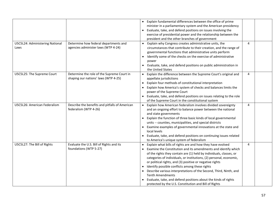| U5C5L24: Administering National<br>Laws | Determine how federal departments and<br>agencies administer laws (WTP 4-24) | • Explain fundamental differences between the office of prime<br>minister in a parliamentary system and the American presidency<br>Evaluate, take, and defend positions on issues involving the<br>$\bullet$<br>exercise of presidential power and the relationship between the<br>president and the other branches of government<br>Explain why Congress creates administrative units, the<br>circumstances that contribute to their creation, and the range of<br>governmental functions that administrative units perform<br>Identify some of the checks on the exercise of administrative<br>power<br>Evaluate, take, and defend positions on public administration in | 4 |  |
|-----------------------------------------|------------------------------------------------------------------------------|----------------------------------------------------------------------------------------------------------------------------------------------------------------------------------------------------------------------------------------------------------------------------------------------------------------------------------------------------------------------------------------------------------------------------------------------------------------------------------------------------------------------------------------------------------------------------------------------------------------------------------------------------------------------------|---|--|
| U5C5L25: The Supreme Court              | Determine the role of the Supreme Court in                                   | the United States<br>Explain the difference between the Supreme Court's original and                                                                                                                                                                                                                                                                                                                                                                                                                                                                                                                                                                                       | 4 |  |
|                                         | shaping our nations' laws (WTP 4-25)                                         | appellate jurisdictions<br>Explain four methods of constitutional interpretation<br>$\bullet$<br>Explain how America's system of checks and balances limits the<br>power of the Supreme Court<br>Evaluate, take, and defend positions on issues relating to the role<br>of the Supreme Court in the constitutional system                                                                                                                                                                                                                                                                                                                                                  |   |  |
| U5C5L26: American Federalism            | Describe the benefits and pitfalls of American<br>federalism (WTP 4-26)      | Explain how American federalism involves divided sovereignty<br>and an ongoing effort to balance power between the national<br>and state governments<br>• Explain the function of three basic kinds of local governmental<br>units -- counties, municipalities, and special districts<br>• Examine examples of governmental innovations at the state and<br>local levels<br>Evaluate, take, and defend positions on continuing issues related<br>to America's unique system of federalism                                                                                                                                                                                  | 4 |  |
| U5C5L27: The Bill of Rights             | Evaluate the U.S. Bill of Rights and its<br>foundations (WTP 5-27)           | Explain what bills of rights are and how they have evolved<br>Examine the Constitution and its amendments and identify which<br>of the rights they contain are (1) held by individuals, classes, or<br>categories of individuals, or institutions, (2) personal, economic,<br>or political rights, and (3) positive or negative rights<br>Identify possible conflicts among these rights<br>Describe various interpretations of the Second, Third, Ninth, and<br><b>Tenth Amendments</b><br>Evaluate, take, and defend positions about the kinds of rights<br>protected by the U.S. Constitution and Bill of Rights                                                        | 4 |  |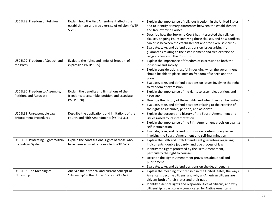| U5C5L28: Freedom of Religion                               | Explain how the First Amendment affects the<br>establishment and free exercise of religion. (WTP<br>$5-28$ | Explain the importance of religious freedom in the United States<br>$\bullet$<br>and to identify primary differences between the establishment<br>and free exercise clauses<br>Describe how the Supreme Court has interpreted the religion<br>clauses, ongoing issues involving those clauses, and how conflicts<br>can arise between the establishment and free exercise clauses<br>Evaluate, take, and defend positions on issues arising from<br>guarantees relating to the establishment and free exercise of<br>religion clauses of the Constitution | $\overline{4}$ |  |
|------------------------------------------------------------|------------------------------------------------------------------------------------------------------------|-----------------------------------------------------------------------------------------------------------------------------------------------------------------------------------------------------------------------------------------------------------------------------------------------------------------------------------------------------------------------------------------------------------------------------------------------------------------------------------------------------------------------------------------------------------|----------------|--|
| U5C5L29: Freedom of Speech and<br>the Press                | Evaluate the rights and limits of freedom of<br>expression (WTP 5-29)                                      | Explain the importance of freedom of expression to both the<br>individual and society<br>Explain considerations useful in deciding when the government<br>$\bullet$<br>should be able to place limits on freedom of speech and the<br>press<br>Evaluate, take, and defend positions on issues involving the right<br>to freedom of expression                                                                                                                                                                                                             | 4              |  |
| U5C5L30: Freedom to Assemble,<br>Petition, and Associate   | Explain the benefits and limitations of the<br>freedoms to assemble, petition and associate<br>(WTP 5-30)  | Explain the importance of the rights to assemble, petition, and<br>$\bullet$<br>associate<br>Describe the history of these rights and when they can be limited<br>$\bullet$<br>Evaluate, take, and defend positions relating to the exercise of<br>the rights to assemble, petition, and associate                                                                                                                                                                                                                                                        | 4              |  |
| U5C5L31: Unreasonable Law<br><b>Enforcement Procedures</b> | Describe the applications and limitations of the<br>Fourth and Fifth Amendments (WTP 5-31)                 | Explain the purpose and history of the Fourth Amendment and<br>issues raised by its interpretation<br>Explain the importance of the Fifth Amendment provision against<br>self-incrimination<br>Evaluate, take, and defend positions on contemporary issues<br>involving the Fourth Amendment and self-incrimination                                                                                                                                                                                                                                       | 4              |  |
| U5C5L32: Protecting Rights Within<br>the Judicial System   | Explain the constitutional rights of those who<br>have been accused or convicted (WTP 5-32)                | Explain the Fifth and Sixth Amendment guarantees regarding<br>indictments, double jeopardy, and due process of law<br>Identify the rights protected by the Sixth Amendment,<br>particularly the right to counsel<br>Describe the Eighth Amendment provisions about bail and<br>$\bullet$<br>punishment<br>Evaluate, take, and defend positions on the death penalty<br>$\bullet$                                                                                                                                                                          | 4              |  |
| U5C5L33: The Meaning of<br>Citizenship                     | Analyze the historical and current concept of<br>'citizenship' in the United States (WTP 6-33)             | Explain the meaning of citizenship in the United States, the ways<br>$\bullet$<br>Americans become citizens, and why all-American citizens are<br>citizens both of their states and their nation<br>Identify essential rights and responsibilities of citizens, and why<br>citizenship is particularly complicated for Native Americans                                                                                                                                                                                                                   | 4              |  |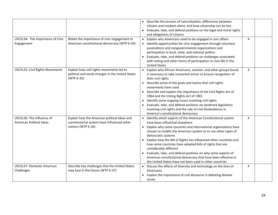| U5C5L34: The Importance of Civic                      | Relate the importance of civic engagement to                                                                      | • Describe the process of naturalization, differences between<br>citizens and resident aliens, and how citizenship can be lost<br>Evaluate, take, and defend positions on the legal and moral rights<br>and obligations of citizens<br>Explain why Americans need to be engaged in civic affairs                                                                                                                                                                                                                                                                                                                             | 4              |
|-------------------------------------------------------|-------------------------------------------------------------------------------------------------------------------|------------------------------------------------------------------------------------------------------------------------------------------------------------------------------------------------------------------------------------------------------------------------------------------------------------------------------------------------------------------------------------------------------------------------------------------------------------------------------------------------------------------------------------------------------------------------------------------------------------------------------|----------------|
| Engagement                                            | American constitutional democracy (WTP 6-34)                                                                      | Identify opportunities for civic engagement through voluntary<br>associations and nongovernmental organizations and<br>participation in local, state, and national politics<br>Evaluate, take, and defend positions on challenges associated<br>with voting and other forms of participation in civic life in the<br><b>United States</b>                                                                                                                                                                                                                                                                                    |                |
| U5C5L35: Civil Rights Movements                       | Explain how civil rights movements led to<br>political and social changes in the United States<br>(WTP 6-35)      | Explain why African Americans, women, and other groups found<br>it necessary to take concerted action to ensure recognition of<br>their civil rights<br>Describe some of the goals and tactics that civil rights<br>$\bullet$<br>movements have used<br>Describe and explain the importance of the Civil Rights Act of<br>$\bullet$<br>1964 and the Voting Rights Act of 1965<br>Identify some ongoing issues involving civil rights<br>$\bullet$<br>Evaluate, take, and defend positions on landmark legislation<br>involving civil rights and the role of civil disobedience in<br>America's constitutional democracy      | $\overline{4}$ |
| U5C5L36: The Influence of<br>American Political Ideas | Explain how the American political ideas and<br>constitutional system have influenced other<br>nations (WTP 6-36) | Identify which aspects of the American Constitutional system<br>have been influential elsewhere<br>Explain why some countries and international organizations have<br>$\bullet$<br>chosen to modify the American system or to use other types of<br>democratic systems<br>Explain how the Bill of Rights has influenced other countries and<br>how some countries have adopted bills of rights that are<br>considerably different<br>Evaluate, take, and defend positions on why some aspects of<br>American constitutional democracy that have been effective in<br>the United States have not been used in other countries | 4              |
| U5C5L37: Domestic American<br>Challenges              | Describe key challenges that the United States<br>may face in the future (WTP 6-37)                               | Discuss the effects of diversity and technology on the lives of<br>Americans<br>Explain the importance of civil discourse in debating divisive<br>issues                                                                                                                                                                                                                                                                                                                                                                                                                                                                     | 4              |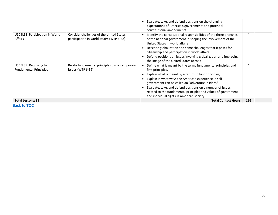|                                                        |                                                                                        | Evaluate, take, and defend positions on the changing<br>expectations of America's governments and potential<br>constitutional amendments                                                                                                                                                                                                                                                                                              |     |  |
|--------------------------------------------------------|----------------------------------------------------------------------------------------|---------------------------------------------------------------------------------------------------------------------------------------------------------------------------------------------------------------------------------------------------------------------------------------------------------------------------------------------------------------------------------------------------------------------------------------|-----|--|
| U5C5L38: Participation in World<br>Affairs             | Consider challenges of the United States'<br>participation in world affairs (WTP 6-38) | Identify the constitutional responsibilities of the three branches<br>of the national government in shaping the involvement of the<br>United States in world affairs<br>Describe globalization and some challenges that it poses for<br>citizenship and participation in world affairs<br>Defend positions on issues involving globalization and improving<br>the image of the United States abroad                                   | 4   |  |
| U5C5L39: Returning to<br><b>Fundamental Principles</b> | Relate fundamental principles to contemporary<br>issues (WTP 6-39)                     | Define what is meant by the terms fundamental principles and<br>first principles,<br>Explain what is meant by a return to first principles,<br>Explain in what ways the American experience in self-<br>government can be called an "adventure in ideas"<br>Evaluate, take, and defend positions on a number of issues<br>related to the fundamental principles and values of government<br>and individual rights in American society | 4   |  |
| <b>Total Lessons: 39</b>                               |                                                                                        | <b>Total Contact Hours</b>                                                                                                                                                                                                                                                                                                                                                                                                            | 156 |  |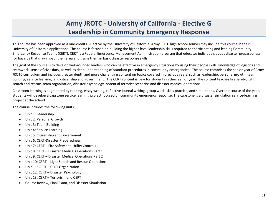## **Army JROTC - University of California - Elective G Leadership in Community Emergency Response**

This course has been approved as a one-credit G-Elective by the University of California. Army ROTC high school seniors may include this course in their University of California applications. The course is focused on building the higher-level leadership skills required for participating and leading Community Emergency Response Teams (CERT). CERT is a Federal Emergency Management Administration program that educates individuals about disaster preparedness for hazards that may impact their area and trains them in basic disaster response skills.

The goal of the course is to develop well-rounded leaders who can be effective in emergency situations by using their people skills, knowledge of logistics and teamwork, sense of civic duty, as well as deep understanding of standard procedures in community emergencies. The course comprises the senior year of Army JROTC curriculum and includes greater depth and more challenging content on topics covered in previous years, such as leadership, personal growth, team building, service learning, and citizenship and government. The CERT content is new for students in their senior year. The content teaches fire safety, light search and rescue, team organization, disaster psychology, potential terrorist scenarios and disaster medical operations.

Classroom learning is augmented by reading, essay writing, reflective journal writing, group work, skills practice, and simulations. Over the course of the year, students will develop a capstone service learning project focused on community emergency response. The capstone is a disaster simulation service-learning project at the school.

The course includes the following units:

- Unit 1: Leadership
- Unit 2: Personal Growth
- Unit 3: Team Building
- Unit 4: Service Learning
- Unit 5: Citizenship and Government
- Unit 6: CERT-Disaster Preparedness
- Unit 7: CERT Fire Safety and Utility Controls
- Unit 8: CERT Disaster Medical Operations Part 1
- Unit 9: CERT Disaster Medical Operations Part 2
- Unit 10: CERT Light Search and Rescue Operations
- Unit 11: CERT CERT Organization
- Unit 12: CERT Disaster Psychology
- Unit 13: CERT Terrorism and CERT
- Course Review, Final Exam, and Disaster Simulation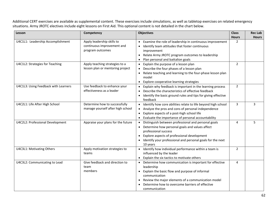Additional CERT exercises are available as supplemental content. These exercises include simulations, as well as tabletop exercises on related emergency situations. Army JROTC electives include eight lessons on First Aid. This optional content is not detailed in the chart below.

| Lesson                               | Competency                         | <b>Objectives</b>                                                          | <b>Class</b>   | <b>Rec Lab</b> |
|--------------------------------------|------------------------------------|----------------------------------------------------------------------------|----------------|----------------|
|                                      |                                    |                                                                            | <b>Hours</b>   | <b>Hours</b>   |
| U4C1L1: Leadership Accomplishment    | Apply leadership skills to         | Examine the role of leadership in continuous improvement<br>$\bullet$      | $\overline{2}$ |                |
|                                      | continuous improvement and         | Identify team attitudes that foster continuous<br>$\bullet$                |                |                |
|                                      | program outcomes                   | improvement                                                                |                |                |
|                                      |                                    | Relate Army JROTC program outcomes to leadership<br>$\bullet$              |                |                |
|                                      |                                    | Plan personal and battalion goals<br>$\bullet$                             |                |                |
| U4C1L2: Strategies for Teaching      | Apply teaching strategies to a     | Explain the purpose of a lesson plan<br>$\bullet$                          | $\overline{2}$ |                |
|                                      | lesson plan or mentoring project   | Describe the four phases of a lesson plan                                  |                |                |
|                                      |                                    | Relate teaching and learning to the four-phase lesson plan<br>model        |                |                |
|                                      |                                    | Explore cooperative learning strategies<br>$\bullet$                       |                |                |
| U4C1L3: Using Feedback with Learners | Use feedback to enhance your       | Explain why feedback is important in the learning process<br>$\bullet$     | $\overline{2}$ |                |
|                                      | effectiveness as a leader          | Describe the characteristics of effective feedback<br>$\bullet$            |                |                |
|                                      |                                    | Identify the basic ground rules and tips for giving effective<br>$\bullet$ |                |                |
|                                      |                                    | feedback                                                                   |                |                |
| U4C2L1: Life After High School       | Determine how to successfully      | Identify how core abilities relate to life beyond high school<br>$\bullet$ | $\overline{3}$ | 3              |
|                                      | manage yourself after high school  | Analyze the pros and cons of personal independence<br>$\bullet$            |                |                |
|                                      |                                    | Explore aspects of a post-high school life<br>$\bullet$                    |                |                |
|                                      |                                    | Evaluate the importance of personal accountability<br>$\bullet$            |                |                |
| U4C2L2: Professional Development     | Appraise your plans for the future | Distinguish between professional and personal goals                        | 4              | 5              |
|                                      |                                    | Determine how personal goals and values affect                             |                |                |
|                                      |                                    | professional success                                                       |                |                |
|                                      |                                    | Explore aspects of professional development<br>$\bullet$                   |                |                |
|                                      |                                    | Identify your professional and personal goals for the next<br>$\bullet$    |                |                |
|                                      |                                    | 10 years                                                                   |                |                |
| U4C3L1: Motivating Others            | Apply motivation strategies to     | Identify how individual performance within a team is<br>$\bullet$          | 2              |                |
|                                      | teams                              | influenced by the leader                                                   |                |                |
|                                      |                                    | Explain the six tactics to motivate others<br>$\bullet$                    |                |                |
| U4C3L2: Communicating to Lead        | Give feedback and direction to     | Determine how communication is important for effective<br>$\bullet$        | 4              |                |
|                                      | team<br>members                    | leadership                                                                 |                |                |
|                                      |                                    | Explain the basic flow and purpose of informal<br>communication            |                |                |
|                                      |                                    | Review the major elements of a communication model<br>$\bullet$            |                |                |
|                                      |                                    | Determine how to overcome barriers of effective                            |                |                |
|                                      |                                    | communication                                                              |                |                |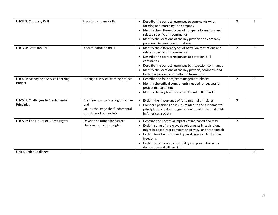| U4C3L3: Company Drill                           | Execute company drills                                                                                   | Describe the correct responses to commands when<br>$\bullet$<br>forming and marching the company<br>Identify the different types of company formations and<br>$\bullet$<br>related specific drill commands<br>Identify the locations of the key platoon and company<br>$\bullet$<br>personnel in company formations                                                             | 2              | 5  |
|-------------------------------------------------|----------------------------------------------------------------------------------------------------------|---------------------------------------------------------------------------------------------------------------------------------------------------------------------------------------------------------------------------------------------------------------------------------------------------------------------------------------------------------------------------------|----------------|----|
| U4C3L4: Battalion Drill                         | <b>Execute battalion drills</b>                                                                          | Identify the different types of battalion formations and<br>$\bullet$<br>related specific drill commands<br>Describe the correct responses to battalion drill<br>commands<br>Describe the correct responses to inspection commands<br>$\bullet$<br>Identify the locations of the key platoon, company, and<br>$\bullet$<br>battalion personnel in battalion formations          | 2              | 5  |
| U4C4L1: Managing a Service Learning<br>Project  | Manage a service learning project                                                                        | Describe the four project management phases<br>Identify the critical components needed for successful<br>$\bullet$<br>project management<br>Identify the key features of Gantt and PERT Charts<br>$\bullet$                                                                                                                                                                     | $\overline{2}$ | 10 |
| U4C5L1: Challenges to Fundamental<br>Principles | Examine how competing principles<br>and<br>values challenge the fundamental<br>principles of our society | Explain the importance of fundamental principles<br>$\bullet$<br>Compare positions on issues related to the fundamental<br>principles and values of government and individual rights<br>in American society                                                                                                                                                                     | 3              |    |
| U4C5L2: The Future of Citizen Rights            | Develop solutions for future<br>challenges to citizen rights                                             | Describe the potential impacts of increased diversity<br>$\bullet$<br>Explain some of the ways developments in technology<br>might impact direct democracy, privacy, and free speech<br>Explain how terrorism and cyberattacks can limit citizen<br>$\bullet$<br>freedoms<br>Explain why economic instability can pose a threat to<br>$\bullet$<br>democracy and citizen rights | 2              |    |
| Unit 4 Cadet Challenge                          |                                                                                                          |                                                                                                                                                                                                                                                                                                                                                                                 |                | 10 |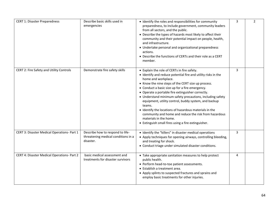| <b>CERT 1: Disaster Preparedness</b>        | Describe basic skills used in<br>emergencies                                         | • Identify the roles and responsibilities for community<br>preparedness, to include government, community leaders<br>from all sectors, and the public.<br>• Describe the types of hazards most likely to affect their<br>community and their potential impact on people, health,<br>and infrastructure.<br>• Undertake personal and organizational preparedness<br>actions.<br>• Describe the functions of CERTs and their role as a CERT<br>member.                                                                                                                                                                                 | 3 | $\overline{2}$ |
|---------------------------------------------|--------------------------------------------------------------------------------------|--------------------------------------------------------------------------------------------------------------------------------------------------------------------------------------------------------------------------------------------------------------------------------------------------------------------------------------------------------------------------------------------------------------------------------------------------------------------------------------------------------------------------------------------------------------------------------------------------------------------------------------|---|----------------|
| CERT 2: Fire Safety and Utility Controls    | Demonstrate fire safety skills                                                       | • Explain the role of CERTs in fire safety.<br>• Identify and reduce potential fire and utility risks in the<br>home and workplace.<br>• Know the nine steps of the CERT size up process.<br>• Conduct a basic size up for a fire emergency.<br>• Operate a portable fire extinguisher correctly.<br>• Understand minimum safety precautions, including safety<br>equipment, utility control, buddy system, and backup<br>teams.<br>• Identify the locations of hazardous materials in the<br>community and home and reduce the risk from hazardous<br>materials in the home.<br>• Extinguish small fires using a fire extinguisher. | 3 |                |
| CERT 3: Disaster Medical Operations- Part 1 | Describe how to respond to life-<br>threatening medical conditions in a<br>disaster. | • Identify the "killers" in disaster medical operations<br>• Apply techniques for opening airways, controlling bleeding,<br>and treating for shock.<br>• Conduct triage under simulated disaster conditions.                                                                                                                                                                                                                                                                                                                                                                                                                         | 3 |                |
| CERT 4: Disaster Medical Operations- Part 2 | basic medical assessment and<br>treatments for disaster survivors                    | • Take appropriate sanitation measures to help protect<br>public health.<br>• Perform head-to-toe patient assessments.<br>• Establish a treatment area.<br>• Apply splints to suspected fractures and sprains and<br>employ basic treatments for other injuries.                                                                                                                                                                                                                                                                                                                                                                     | 4 |                |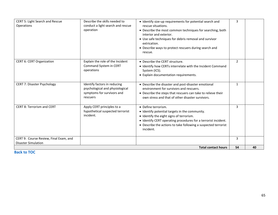| CERT 9: Course Review, Final Exam, and<br><b>Disaster Simulation</b> |                                                                                               |                                                                                                                                                                                                                                                                                                                    | $\overline{3}$ |  |
|----------------------------------------------------------------------|-----------------------------------------------------------------------------------------------|--------------------------------------------------------------------------------------------------------------------------------------------------------------------------------------------------------------------------------------------------------------------------------------------------------------------|----------------|--|
| <b>CERT 8: Terrorism and CERT</b><br>incident.                       | Apply CERT principles to a<br>hypothetical suspected terrorist                                | • Define terrorism.<br>• Identify potential targets in the community.<br>• Identify the eight signs of terrorism.<br>• Identify CERT operating procedures for a terrorist incident.<br>• Describe the actions to take following a suspected terrorist<br>incident.                                                 | 3              |  |
| <b>CERT 7: Disaster Psychology</b><br>rescuers                       | Identify factors in reducing<br>psychological and physiological<br>symptoms for survivors and | • Describe the disaster and post-disaster emotional<br>environment for survivors and rescuers.<br>• Describe the steps that rescuers can take to relieve their<br>own stress and that of other disaster survivors.                                                                                                 | $\mathbf{1}$   |  |
| <b>CERT 6: CERT Organization</b><br>operations                       | Explain the role of the Incident<br>Command System in CERT                                    | • Describe the CERT structure.<br>• Identify how CERTs interrelate with the Incident Command<br>System (ICS).<br>• Explain documentation requirements.                                                                                                                                                             | $\overline{2}$ |  |
| <b>CERT 5: Light Search and Rescue</b><br>Operations<br>operation    | Describe the skills needed to<br>conduct a light search and rescue                            | • Identify size-up requirements for potential search and<br>rescue situations.<br>• Describe the most common techniques for searching, both<br>interior and exterior.<br>• Use safe techniques for debris removal and survivor<br>extrication.<br>• Describe ways to protect rescuers during search and<br>rescue. | 3              |  |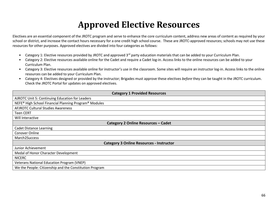# **Approved Elective Resources**

Electives are an essential component of the JROTC program and serve to enhance the core curriculum content, address new areas of content as required by your school or district, and increase the contact hours necessary for a one credit high school course. These are JROTC-approved resources; schools may not use these resources for other purposes. Approved electives are divided into four categories as follows:

- Category 1: Elective resources provided by JROTC and approved 3<sup>rd</sup> party education materials that can be added to your Curriculum Plan.
- Category 2: Elective resources available online for the Cadet and require a Cadet log-in. Access links to the online resources can be added to your Curriculum Plan.
- Category 3: Elective resources available online for instructor's use in the classroom. Some sites will require an instructor log-in. Access links to the online resources can be added to your Curriculum Plan.
- Category 4: Electives designed or provided by the instructor; Brigades must approve these electives *before* they can be taught in the JROTC curriculum. Check the JROTC Portal for updates on approved electives.

| <b>Category 1 Provided Resources</b>                                          |  |  |
|-------------------------------------------------------------------------------|--|--|
| <b>AJROTC Unit 5: Continuing Education for Leaders</b>                        |  |  |
| NEFE <sup>®</sup> High School Financial Planning Program <sup>®</sup> Modules |  |  |
| <b>AFJROTC Cultural Studies Awareness</b>                                     |  |  |
| <b>Teen CERT</b>                                                              |  |  |
| Will Interactive                                                              |  |  |
| Category 2 Online Resources - Cadet                                           |  |  |
| <b>Cadet Distance Learning</b>                                                |  |  |
| <b>Conover Online</b>                                                         |  |  |
| March2Success                                                                 |  |  |
| <b>Category 3 Online Resources - Instructor</b>                               |  |  |
| Junior Achievement                                                            |  |  |
| Medal of Honor Character Development                                          |  |  |
| <b>NICERC</b>                                                                 |  |  |
| <b>Veterans National Education Program (VNEP)</b>                             |  |  |
| We the People: Citizenship and the Constitution Program                       |  |  |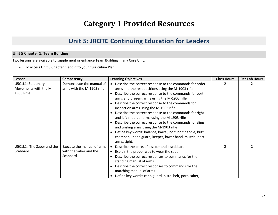## **Category 1 Provided Resources**

## **Unit 5: JROTC Continuing Education for Leaders**

#### **Unit 5 Chapter 1: Team Building**

Two lessons are available to supplement or enhance Team Building in any Core Unit.

• To access Unit 5 Chapter 1 add it to your Curriculum Plan

| Lesson                    | Competency                 | <b>Learning Objectives</b>                                           | <b>Class Hours</b> | <b>Rec Lab Hours</b> |
|---------------------------|----------------------------|----------------------------------------------------------------------|--------------------|----------------------|
| U5C1L1: Stationary        | Demonstrate the manual of  | Describe the correct response to the commands for order<br>$\bullet$ |                    |                      |
| Movements with the M-     | arms with the M-1903 rifle | arms and the rest positions using the M-1903 rifle                   |                    |                      |
| 1903 Rifle                |                            | Describe the correct response to the commands for port               |                    |                      |
|                           |                            | arms and present arms using the M-1903 rifle                         |                    |                      |
|                           |                            | Describe the correct response to the commands for                    |                    |                      |
|                           |                            | inspection arms using the M-1903 rifle                               |                    |                      |
|                           |                            | Describe the correct response to the commands for right              |                    |                      |
|                           |                            | and left shoulder arms using the M-1903 rifle                        |                    |                      |
|                           |                            | Describe the correct response to the commands for sling              |                    |                      |
|                           |                            | and unsling arms using the M-1903 rifle                              |                    |                      |
|                           |                            | Define key words: balance, barrel, bolt, bolt handle, butt,          |                    |                      |
|                           |                            | chamber,, hand guard, keeper, lower band, muzzle, port               |                    |                      |
|                           |                            | arms, sight,                                                         |                    |                      |
| U5C1L2: The Saber and the | Execute the manual of arms | Describe the parts of a saber and a scabbard<br>$\bullet$            | $\mathcal{P}$      |                      |
| Scabbard                  | with the Saber and the     | • Explain the proper way to wear the saber                           |                    |                      |
|                           | Scabbard                   | Describe the correct responses to commands for the                   |                    |                      |
|                           |                            | standing manual of arms                                              |                    |                      |
|                           |                            | Describe the correct responses to commands for the                   |                    |                      |
|                           |                            | marching manual of arms                                              |                    |                      |
|                           |                            | Define key words: cant, guard, pistol belt, port, saber,             |                    |                      |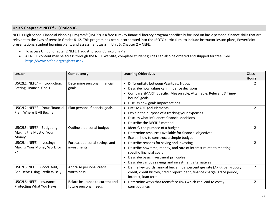#### **Unit 5 Chapter 2: NEFE® - (Option A)**

NEFE's High School Financial Planning Program® (HSFPP) is a free turnkey financial literacy program specifically focused on basic personal finance skills that are relevant to the lives of teens in Grades 8-12. This program has been incorporated into the JROTC curriculum, to include instructor lesson plans, PowerPoint presentations, student learning plans, and assessment tasks in Unit 5: Chapter 2 – NEFE.

- To access Unit 5: Chapter 2 NEFE 1 add it to your Curriculum Plan
- All NEFE content may be access through the NEFE website; complete student guides can also be ordered and shipped for free. See <https://www.hsfpp.org/register.aspx>

| Lesson                                     | Competency                      | <b>Learning Objectives</b>                                                           | <b>Class</b>  |
|--------------------------------------------|---------------------------------|--------------------------------------------------------------------------------------|---------------|
|                                            |                                 |                                                                                      | <b>Hours</b>  |
| U5C2L1: NEFE <sup>®</sup> - Introduction:  | Determine personal financial    | Differentiate between Wants vs. Needs                                                | $\mathcal{P}$ |
| <b>Setting Financial Goals</b>             | goals                           | Describe how values can influence decisions                                          |               |
|                                            |                                 | Compare SMART (Specific, Measurable, Attainable, Relevant & Time-                    |               |
|                                            |                                 | bound) goals                                                                         |               |
|                                            |                                 | • Discuss how goals impact actions                                                   |               |
| U5C2L2: NEFE <sup>®</sup> - Your Financial | Plan personal financial goals   | • List SMART goal elements                                                           | $\mathcal{P}$ |
| Plan: Where It All Begins                  |                                 | Explain the purpose of a tracking your expenses                                      |               |
|                                            |                                 | Discuss what influences financial decisions                                          |               |
|                                            |                                 | Describe the DECIDE method                                                           |               |
| U5C2L3: NEFE® - Budgeting:                 | Outline a personal budget       | • Identify the purpose of a budget                                                   | $\mathcal{P}$ |
| Making the Most of Your                    |                                 | Determine resources available for financial objectives                               |               |
| Money                                      |                                 | • Explain how to construct a simple budget                                           |               |
| U5C2L4: NEFE - Investing:                  | Forecast personal savings and   | • Describe reasons for saving and investing                                          | $\mathcal{P}$ |
| Making Your Money Work for                 | investments                     | Describe how time, money, and rate of interest relate to meeting<br>$\bullet$        |               |
| You                                        |                                 | specific financial goals                                                             |               |
|                                            |                                 | Describe basic investment principles                                                 |               |
|                                            |                                 | Describe various savings and investment alternatives                                 |               |
| U5C2L5: NEFE - Good Debt,                  | Appraise personal credit        | Define key words: annual fee, annual percentage rate (APR), bankruptcy,<br>$\bullet$ | $\mathcal{P}$ |
| <b>Bad Debt: Using Credit Wisely</b>       | worthiness                      | credit, credit history, credit report, debt, finance charge, grace period,           |               |
|                                            |                                 | interest, loan term                                                                  |               |
| U5C2L6: NEFE - Insurance:                  | Relate insurance to current and | • Determine ways that teens face risks which can lead to costly                      | 2             |
| Protecting What You Have                   | future personal needs           | consequences                                                                         |               |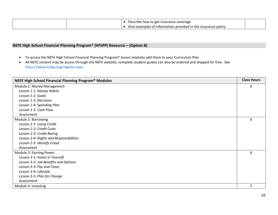|  | Describe how to get insurance coverage                        |  |
|--|---------------------------------------------------------------|--|
|  | Give examples of information provided in the insurance policy |  |

#### **NEFE High School Financial Planning Program® (HFSPP) Resource – (Option B)**

- To access the NEFE High School Financial Planning Program® lesson modules add them to your Curriculum Plan
- All NEFE content may be access through the NEFE website; complete student guides can also be ordered and shipped for free. See <https://www.hsfpp.org/register.aspx>

| NEFE High School Financial Planning Program <sup>®</sup> Modules | <b>Class Hours</b> |
|------------------------------------------------------------------|--------------------|
| Module 1: Money Management                                       | 6                  |
| Lesson 1-1: Money Habits                                         |                    |
| Lesson 1-2: Goals                                                |                    |
| Lesson 1-3: Decisions                                            |                    |
| Lesson 1-4: Spending Plan                                        |                    |
| Lesson 1-5: Cash Flow                                            |                    |
| Assessment                                                       |                    |
| Module 2: Borrowing                                              | 6                  |
| Lesson 2-1: Using Credit                                         |                    |
| Lesson 2-2: Credit Costs                                         |                    |
| Lesson 2-3: Credit Rating                                        |                    |
| Lesson 2-4: Rights and Responsibilities                          |                    |
| Lesson 2-5: Identify Fraud                                       |                    |
| Assessment                                                       |                    |
| Module 3: Earning Power                                          | 6                  |
| Lesson 3-1: Invest in Yourself                                   |                    |
| Lesson 3-2: Job Benefits and Options                             |                    |
| Lesson 3-3: Pay and Taxes                                        |                    |
| Lesson 3-4: Lifestyle                                            |                    |
| Lesson 3-5: Plan for Change                                      |                    |
| Assessment                                                       |                    |
| Module 4: Investing                                              | 5                  |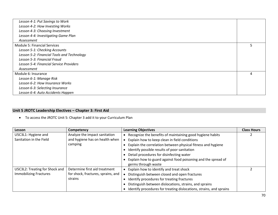| Lesson 4-1: Put Savings to Work            |   |
|--------------------------------------------|---|
| Lesson 4-2: How Investing Works            |   |
| Lesson 4-3: Choosing Investment            |   |
| Lesson 4-4: Investigating Game Plan        |   |
| Assessment                                 |   |
| <b>Module 5: Financial Services</b>        | 5 |
| Lesson 5-1: Checking Accounts              |   |
| Lesson 5-2: Financial Tools and Technology |   |
| Lesson 5-3: Financial Fraud                |   |
| Lesson 5-4: Financial Service Providers    |   |
| Assessment                                 |   |
| Module 6: Insurance                        |   |
| Lesson 6-1: Manage Risk                    |   |
| Lesson 6-2: How Insurance Works            |   |
| Lesson 6-3: Selecting Insurance            |   |
| Lesson 6-4: Auto Accidents Happen          |   |
|                                            |   |

#### **Unit 5 JROTC Leadership Electives – Chapter 3: First Aid**

• To access the JROTC Unit 5: Chapter 3 add it to your Curriculum Plan

| Lesson                         | Competency                         | <b>Learning Objectives</b>                                          | <b>Class Hours</b> |
|--------------------------------|------------------------------------|---------------------------------------------------------------------|--------------------|
| U5C3L1: Hygiene and            | Analyze the impact sanitation      | Recognize the benefits of maintaining good hygiene habits           |                    |
| Sanitation in the Field        | and hygiene has on health when     | Explain how to keep clean in field conditions                       |                    |
|                                | camping                            | Explain the correlation between physical fitness and hygiene        |                    |
|                                |                                    | Identify possible results of poor sanitation                        |                    |
|                                |                                    | Detail procedures for disinfecting water                            |                    |
|                                |                                    | Explain how to guard against food poisoning and the spread of       |                    |
|                                |                                    | germs through waste                                                 |                    |
| U5C3L2: Treating for Shock and | Determine first aid treatment      | Explain how to identify and treat shock                             |                    |
| <b>Immobilizing Fractures</b>  | for shock, fractures, sprains, and | Distinguish between closed and open fractures                       |                    |
|                                | strains                            | Identify procedures for treating fractures                          |                    |
|                                |                                    | Distinguish between dislocations, strains, and sprains              |                    |
|                                |                                    | Identify procedures for treating dislocations, strains, and sprains |                    |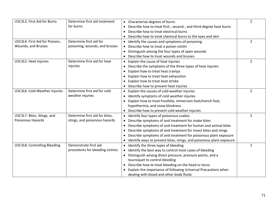| U5C3L3: First Aid for Burns         | Determine first aid treatment<br>for burns | • Characterize degrees of burns                                                                              | $\overline{2}$ |
|-------------------------------------|--------------------------------------------|--------------------------------------------------------------------------------------------------------------|----------------|
|                                     |                                            | Describe how to treat first-, second-, and third-degree heat burns<br>Describe how to treat electrical burns |                |
|                                     |                                            | Describe how to treat chemical burns to the eyes and skin                                                    |                |
| U5C3L4: First Aid for Poisons,      | Determine first aid for                    | Identify the causes and symptoms of poisoning                                                                | 2              |
| Wounds, and Bruises                 | poisoning, wounds, and bruises             |                                                                                                              |                |
|                                     |                                            | Describe how to treat a poison victim                                                                        |                |
|                                     |                                            | Distinguish among the four types of open wounds<br>$\bullet$                                                 |                |
|                                     |                                            | Describe how to treat wounds and bruises                                                                     |                |
| U5C3L5: Heat Injuries               | Determine first aid for heat               | Explain the cause of heat injuries<br>$\bullet$                                                              | $\overline{2}$ |
|                                     | injuries                                   | Describe the symptoms of the three types of heat injuries<br>٠                                               |                |
|                                     |                                            | Explain how to treat heat cramps                                                                             |                |
|                                     |                                            | Explain how to treat heat exhaustion                                                                         |                |
|                                     |                                            | Explain how to treat heat stroke<br>٠                                                                        |                |
|                                     |                                            | Describe how to prevent heat injuries                                                                        |                |
| U5C3L6: Cold Weather Injuries       | Determine first aid for cold               | Explain the causes of cold weather injuries                                                                  | $\overline{2}$ |
|                                     | weather injuries                           | Identify symptoms of cold weather injuries<br>$\bullet$                                                      |                |
|                                     |                                            | Explain how to treat frostbite, immersion foot/trench foot,                                                  |                |
|                                     |                                            | hypothermia, and snow blindness                                                                              |                |
|                                     |                                            | • Describe how to prevent cold weather injuries                                                              |                |
| U5C3L7: Bites, Stings, and          | Determine first aid for bites,             | • Identify four types of poisonous snakes                                                                    | $\overline{2}$ |
| Poisonous Hazards                   | stings, and poisonous hazards              | Describe symptoms of and treatment for snake bites                                                           |                |
|                                     |                                            | Describe symptoms of and treatment for human and animal bites<br>$\bullet$                                   |                |
|                                     |                                            | Describe symptoms of and treatment for insect bites and stings                                               |                |
|                                     |                                            | Describe symptoms of and treatment for poisonous plant exposure                                              |                |
|                                     |                                            | Identify ways to prevent bites, stings, and poisonous plant exposure                                         |                |
| <b>U5C3L8: Controlling Bleeding</b> | Demonstrate first aid                      | • Identify the three types of bleeding                                                                       | $\overline{2}$ |
|                                     | procedures for bleeding victims            | Identify the best way to control most cases of bleeding                                                      |                |
|                                     |                                            | Distinguish among direct pressure, pressure points, and a<br>$\bullet$                                       |                |
|                                     |                                            | tourniquet to control bleeding                                                                               |                |
|                                     |                                            | Describe how to treat bleeding on the head or torso<br>$\bullet$                                             |                |
|                                     |                                            | Explain the importance of following Universal Precautions when                                               |                |
|                                     |                                            | dealing with blood and other body fluids                                                                     |                |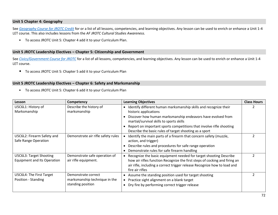#### **Unit 5 Chapter 4: Geography**

See *[Geography Course for JROTC Credit](#page-30-0)* for or a list of all lessons, competencies, and learning objectives. Any lesson can be used to enrich or enhance a Unit 1-4 LET course. This also includes lessons from the *AF JROTC Cultural Studies Awareness.*

• To access JROTC Unit 5: Chapter 4 add it to your Curriculum Plan.

#### **Unit 5 JROTC Leadership Electives – Chapter 5: Citizenship and Government**

<span id="page-71-0"></span>See *[Civics/Government Course for JROTC](#page-71-0)* for a list of all lessons, competencies, and learning objectives. Any lesson can be used to enrich or enhance a Unit 1-4 LET course.

• To access JROTC Unit 5: Chapter 5 add it to your Curriculum Plan

#### **Unit 5 JROTC Leadership Electives – Chapter 6: Safety and Marksmanship**

• To access JROTC Unit 5: Chapter 6 add it to your Curriculum Plan

| Lesson                      | Competency                         | <b>Learning Objectives</b>                                                 | <b>Class Hours</b> |
|-----------------------------|------------------------------------|----------------------------------------------------------------------------|--------------------|
| U5C6L1: History of          | Describe the history of            | Identify different human marksmanship skills and recognize their           |                    |
| Marksmanship                | marksmanship                       | historic applications                                                      |                    |
|                             |                                    | Discover how human marksmanship endeavors have evolved from                |                    |
|                             |                                    | martial/survival skills to sports skills                                   |                    |
|                             |                                    | Report on important sports competitions that involve rifle shooting        |                    |
|                             |                                    | Describe the basic rules of target shooting as a sport                     |                    |
| U5C6L2: Firearm Safety and  | Demonstrate air rifle safety rules | Identify the main parts of a firearm that concern safety (muzzle,          |                    |
| Safe Range Operation        |                                    | action, and trigger)                                                       |                    |
|                             |                                    | Describe rules and procedures for safe range operation                     |                    |
|                             |                                    | Demonstrate rules for safe firearm handling                                |                    |
| U5C6L3: Target Shooting     | Demonstrate safe operation of      | Recognize the basic equipment needed for target shooting Describe          |                    |
| Equipment and Its Operation | air rifle equipment.               | how air rifles function Recognize the first steps of cocking and firing an |                    |
|                             |                                    | air rifle, including a correct trigger release Recognize how to load and   |                    |
|                             |                                    | fire air rifles                                                            |                    |
| U5C6L4: The First Target    | Demonstrate correct                | Assume the standing position used for target shooting                      |                    |
| Position - Standing         | marksmanship technique in the      | Practice sight alignment on a blank target                                 |                    |
|                             | standing position                  | Dry fire by performing correct trigger release                             |                    |
|                             |                                    |                                                                            |                    |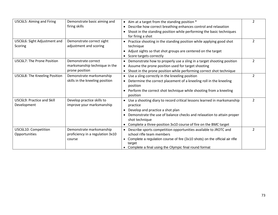| U5C6L5: Aiming and Firing                 | Demonstrate basic aiming and<br>firing skills                          | • Aim at a target from the standing position *<br>Describe how correct breathing enhances control and relaxation<br>$\bullet$<br>Shoot in the standing position while performing the basic techniques<br>$\bullet$<br>for firing a shot                                                            | $\overline{2}$ |
|-------------------------------------------|------------------------------------------------------------------------|----------------------------------------------------------------------------------------------------------------------------------------------------------------------------------------------------------------------------------------------------------------------------------------------------|----------------|
| U5C6L6: Sight Adjustment and<br>Scoring   | Demonstrate correct sight<br>adjustment and scoring                    | • Practice shooting in the standing position while applying good shot<br>technique<br>Adjust sights so that shot groups are centered on the target<br>• Score targets correctly                                                                                                                    | $\overline{2}$ |
| U5C6L7: The Prone Position                | Demonstrate correct<br>marksmanship technique in the<br>prone position | Demonstrate how to properly use a sling in a target shooting position<br>• Assume the prone position used for target shooting<br>Shoot in the prone position while performing correct shot technique                                                                                               | $\overline{2}$ |
| U5C6L8: The Kneeling Position             | Demonstrate marksmanship<br>skills in the kneeling position            | Use a sling correctly in the kneeling position<br>Determine the correct placement of a kneeling roll in the kneeling<br>$\bullet$<br>position<br>Perform the correct shot technique while shooting from a kneeling<br>position                                                                     | $\mathcal{L}$  |
| U5C6L9: Practice and Skill<br>Development | Develop practice skills to<br>improve your marksmanship                | Use a shooting diary to record critical lessons learned in marksmanship<br>practice<br>Develop and practice a shot plan<br>Demonstrate the use of balance checks and relaxation to attain proper<br>shot technique<br>Complete a three-position 3x10 course of fire on the BMC target<br>$\bullet$ | $\mathcal{P}$  |
| U5C6L10: Competition<br>Opportunities     | Demonstrate marksmanship<br>proficiency in a regulation 3x10<br>course | Describe sports competition opportunities available to JROTC and<br>school rifle team members<br>• Complete a regulation course of fire (3x10 shots) on the official air rifle<br>target<br>• Complete a final using the Olympic final round format                                                | $\mathcal{P}$  |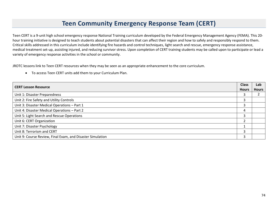### **Teen Community Emergency Response Team (CERT)**

Teen CERT is a 9-unit high school emergency response National Training curriculum developed by the Federal Emergency Management Agency (FEMA). This 20 hour training initiative is designed to teach students about potential disasters that can affect their region and how to safely and responsibly respond to them. Critical skills addressed in this curriculum include identifying fire hazards and control techniques, light search and rescue, emergency response assistance, medical treatment set-up, assisting injured, and reducing survivor stress. Upon completion of CERT training students may be called upon to participate or lead a variety of emergency response activities in the school or community.

JROTC lessons link to Teen CERT resources when they may be seen as an appropriate enhancement to the core curriculum.

• To access Teen CERT units add them to your Curriculum Plan.

| <b>CERT Lesson Resource</b>                                |              | Lab          |
|------------------------------------------------------------|--------------|--------------|
|                                                            | <b>Hours</b> | <b>Hours</b> |
| Unit 1: Disaster Preparedness                              | 3            |              |
| Unit 2: Fire Safety and Utility Controls                   | 3            |              |
| Unit 3: Disaster Medical Operations - Part 1               | 3            |              |
| Unit 4: Disaster Medical Operations - Part 2               | 4            |              |
| Unit 5: Light Search and Rescue Operations                 | 3            |              |
| Unit 6: CERT Organization                                  | ∍            |              |
| Unit 7: Disaster Psychology                                |              |              |
| Unit 8: Terrorism and CERT                                 | 3            |              |
| Unit 9: Course Review, Final Exam, and Disaster Simulation | 3            |              |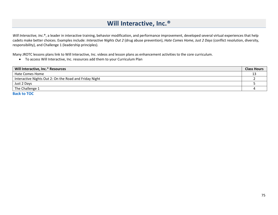# **Will Interactive, Inc.®**

Will Interactive, Inc.<sup>®</sup>, a leader in interactive training, behavior modification, and performance improvement, developed several virtual experiences that help cadets make better choices. Examples include: *Interactive Nights Out 2* (drug abuse prevention), *Hate Comes Home, Just 2 Days* (conflict resolution, diversity, responsibility), and Challenge 1 (leadership principles).

Many JROTC lessons plans link to Will Interactive, Inc. videos and lesson plans as enhancement activities to the core curriculum.

• To access Will Interactive, Inc. resources add them to your Curriculum Plan

| Will Interactive, Inc. <sup>®</sup> Resources          | <b>Class Hours</b> |
|--------------------------------------------------------|--------------------|
| Hate Comes Home                                        |                    |
| Interactive Nights Out 2: On the Road and Friday Night |                    |
| Just 2 Days                                            |                    |
| The Challenge 1                                        |                    |
| <b>Dealthe TOC</b>                                     |                    |

**[Back to TOC](#page-1-0)**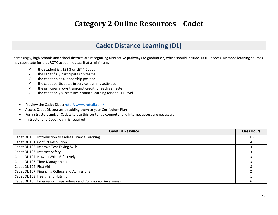# **Category 2 Online Resources – Cadet**

### **Cadet Distance Learning (DL)**

Increasingly, high schools and school districts are recognizing alternative pathways to graduation, which should include JROTC cadets. Distance learning courses may substitute for the JROTC academic class if at a minimum:

- $\checkmark$  the student is a LET 3 or LET 4 Cadet
- $\checkmark$  the cadet fully participates on teams
- $\checkmark$  the cadet holds a leadership position
- $\checkmark$  the cadet participates in service learning activities
- $\checkmark$  the principal allows transcript credit for each semester
- $\checkmark$  the cadet only substitutes distance learning for one LET level
- Preview the Cadet DL at[: http://www.jrotcdl.com/](http://www.jrotcdl.com/)
- Access Cadet DL courses by adding them to your Curriculum Plan
- For instructors and/or Cadets to use this content a computer and Internet access are necessary
- Instructor and Cadet log-in is required

| <b>Cadet DL Resource</b>                                     | <b>Class Hours</b> |
|--------------------------------------------------------------|--------------------|
| Cadet DL 100: Introduction to Cadet Distance Learning        | 0.5                |
| Cadet DL 101: Conflict Resolution                            |                    |
| Cadet DL 102: Improve Test Taking Skills                     |                    |
| Cadet DL 103: Internet Safety                                |                    |
| Cadet DL 104: How to Write Effectively                       |                    |
| Cadet DL 105: Time Management                                |                    |
| Cadet DL 106: First Aid                                      |                    |
| Cadet DL 107: Financing College and Admissions               |                    |
| Cadet DL 108: Health and Nutrition                           |                    |
| Cadet DL 109: Emergency Preparedness and Community Awareness |                    |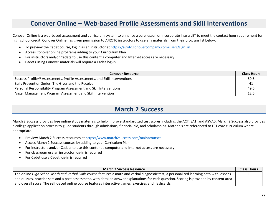## **Conover Online – Web-based Profile Assessments and Skill Interventions**

Conover Online is a web-based assessment and curriculum system to enhance a core lesson or incorporate into a LET to meet the contact hour requirement for high school credit. Conover Online has given permission to AJROTC instructors to use any materials from their program list below.

- To preview the Cadet course, log in as an instructor at [https://ajrotc.conovercompany.com/users/sign\\_in](https://ajrotc.conovercompany.com/users/sign_in)
- Access Conover online programs adding to your Curriculum Plan
- For instructors and/or Cadets to use this content a computer and Internet access are necessary
- Cadets using Conover materials will require a Cadet log-in

| <b>Conover Resource</b>                                                                 | <b>Class Hours</b> |
|-----------------------------------------------------------------------------------------|--------------------|
| Success Profiler <sup>®</sup> Assessments, Profile Assessments, and Skill Interventions | 59.5               |
| Bully Prevention Series: The Giver and the Receiver                                     | -41                |
| Personal Responsibility Program Assessment and Skill Interventions                      | 49.5               |
| Anger Management Program Assessment and Skill Intervention                              |                    |

## **March 2 Success**

March 2 Success provides free online study materials to help improve standardized test scores including the ACT, SAT, and ASVAB. March 2 Success also provides a college application process to guide students through admissions, financial aid, and scholarships. Materials are referenced to LET core curriculum where appropriate.

- Preview March 2 Success resources at <https://www.march2success.com/main/courses>
- Access March 2 Success courses by adding to your Curriculum Plan
- For instructors and/or Cadets to use this content a computer and Internet access are necessary
- For classroom use an instructor log-in is required
- For Cadet use a Cadet log-in is required

| <b>March 2 Success Resource</b>                                                                                                            | <b>Class Hours</b> |
|--------------------------------------------------------------------------------------------------------------------------------------------|--------------------|
| The online High School Math and Verbal Skills course features a math and verbal diagnostic test, a personalized learning path with lessons |                    |
| and quizzes, practice sets and a post-assessment, with detailed answer explanations for each question. Scoring is provided by content area |                    |
| and overall score. The self-paced online course features interactive games, exercises and flashcards.                                      |                    |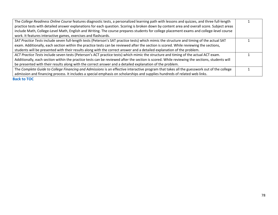| The College Readiness Online Course features diagnostic tests, a personalized learning path with lessons and quizzes, and three full-length   |  |
|-----------------------------------------------------------------------------------------------------------------------------------------------|--|
| practice tests with detailed answer explanations for each question. Scoring is broken down by content area and overall score. Subject areas   |  |
| include Math, College-Level Math, English and Writing. The course prepares students for college placement exams and college-level course      |  |
| work. It features interactive games, exercises and flashcards.                                                                                |  |
| SAT Practice Tests include seven full-length tests (Peterson's SAT practice tests) which mimic the structure and timing of the actual SAT     |  |
| exam. Additionally, each section within the practice tests can be reviewed after the section is scored. While reviewing the sections,         |  |
| students will be presented with their results along with the correct answer and a detailed explanation of the problem.                        |  |
| ACT Practice Tests include seven tests (Peterson's ACT practice tests) which mimic the structure and timing of the actual ACT exam.           |  |
| Additionally, each section within the practice tests can be reviewed after the section is scored. While reviewing the sections, students will |  |
| be presented with their results along with the correct answer and a detailed explanation of the problem.                                      |  |
| The Complete Guide to College Financing and Admissions is an effective interactive program that takes all the guesswork out of the college    |  |
| admission and financing process. It includes a special emphasis on scholarships and supplies hundreds of related web links.                   |  |
| ------                                                                                                                                        |  |

**[Back to TOC](#page-1-0)**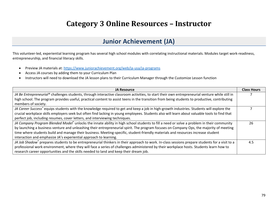# **Category 3 Online Resources – Instructor**

### **Junior Achievement (JA)**

This volunteer-led, experiential learning program has several high school modules with correlating instructional materials. Modules target work-readiness, entrepreneurship, and financial literacy skills.

- Preview JA materials at:<https://www.juniorachievement.org/web/ja-usa/ja-programs>
- Access JA courses by adding them to your Curriculum Plan
- Instructors will need to download the JA lesson plans to their Curriculum Manager through the Customize Lesson function

| <b>JA Resource</b>                                                                                                                                         | <b>Class Hours</b> |
|------------------------------------------------------------------------------------------------------------------------------------------------------------|--------------------|
| JA Be Entrepreneurial® challenges students, through interactive classroom activities, to start their own entrepreneurial venture while still in            |                    |
| high school. The program provides useful, practical content to assist teens in the transition from being students to productive, contributing              |                    |
| members of society.                                                                                                                                        |                    |
| JA Career Success® equips students with the knowledge required to get and keep a job in high-growth industries. Students will explore the                  |                    |
| crucial workplace skills employers seek but often find lacking in young employees. Students also will learn about valuable tools to find that              |                    |
| perfect job, including resumes, cover letters, and interviewing techniques.                                                                                |                    |
| JA Company Program Blended Model® unlocks the innate ability in high school students to fill a need or solve a problem in their community                  | 26                 |
| by launching a business venture and unleashing their entrepreneurial spirit. The program focuses on Company Ops, the majority of meeting                   |                    |
| time where students build and manage their business. Meeting-specific, student-friendly materials and resources increase student                           |                    |
| interaction and emphasize JA's experiential approach to learning.                                                                                          |                    |
| JA Job Shadow <sup>®</sup> prepares students to be entrepreneurial thinkers in their approach to work. In-class sessions prepare students for a visit to a | 4.5                |
| professional work environment, where they will face a series of challenges administered by their workplace hosts. Students learn how to                    |                    |
| research career opportunities and the skills needed to land and keep their dream job.                                                                      |                    |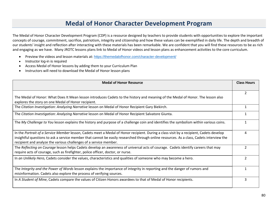#### **Medal of Honor Character Development Program**

The Medal of Honor Character Development Program (CDP) is a resource designed by teachers to provide students with opportunities to explore the important concepts of courage, commitment, sacrifice, patriotism, integrity and citizenship and how these values can be exemplified in daily life. The depth and breadth of our students' insight and reflection after interacting with these materials has been remarkable. We are confident that you will find these resources to be as rich and engaging as we have. Many JROTC lessons plans link to Medal of Honor videos and lesson plans as enhancement activities to the core curriculum.

- Preview the videos and lesson materials at: <https://themedalofhonor.com/character-development/>
- Instructor log-in is required
- Access Medal of Honor lessons by adding them to your Curriculum Plan
- Instructors will need to download the Medal of Honor lesson plans

| <b>Medal of Honor Resource</b>                                                                                                                                                                                                                                                                                                                           | <b>Class Hours</b> |
|----------------------------------------------------------------------------------------------------------------------------------------------------------------------------------------------------------------------------------------------------------------------------------------------------------------------------------------------------------|--------------------|
| The Medal of Honor: What Does It Mean lesson introduces Cadets to the history and meaning of the Medal of Honor. The lesson also<br>explores the story on one Medal of Honor recipient.                                                                                                                                                                  | 2                  |
| The Citation Investigation: Analyzing Narrative lesson on Medal of Honor Recipient Gary Biekirch.                                                                                                                                                                                                                                                        |                    |
| The Citation Investigation: Analyzing Narrative lesson on Medal of Honor Recipient Salvatore Giunta.                                                                                                                                                                                                                                                     |                    |
| The My Challenge to You lesson explains the history and purpose of a challenge coin and identifies the symbolism within various coins.                                                                                                                                                                                                                   | 1                  |
| In the Portrait of a Service Member lesson, Cadets meet a Medal of Honor recipient. During a class visit by a recipient, Cadets develop<br>insightful questions to ask a service member that cannot be easily researched through online resources. As a class, Cadets interview the<br>recipient and analyze the various challenges of a service member. | 4                  |
| The Reflecting on Courage lesson helps Cadets develop an awareness of universal acts of courage. Cadets identify careers that may<br>require acts of courage, such as firefighter, police officer, doctor, or nurse.                                                                                                                                     |                    |
| In an Unlikely Hero, Cadets consider the values, characteristics and qualities of someone who may become a hero.                                                                                                                                                                                                                                         | $\mathcal{P}$      |
| The Integrity and the Power of Words lesson explains the importance of integrity in reporting and the danger of rumors and<br>misinformation. Cadets also explore the process of verifying sources.                                                                                                                                                      |                    |
| In A Student of Mine, Cadets compare the values of Citizen Honors awardees to that of Medal of Honor recipients.                                                                                                                                                                                                                                         | 3                  |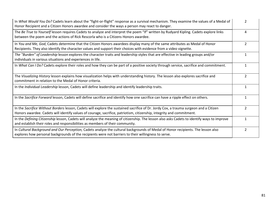| In What Would You Do? Cadets learn about the "fight-or-flight" response as a survival mechanism. They examine the values of a Medal of<br>Honor Recipient and a Citizen Honors awardee and consider the ways a person may react to danger.                     |                |
|----------------------------------------------------------------------------------------------------------------------------------------------------------------------------------------------------------------------------------------------------------------|----------------|
| The Be True to Yourself lesson requires Cadets to analyze and interpret the poem "If" written by Rudyard Kipling. Cadets explore links<br>between the poem and the actions of Rick Rescorla who is a Citizens Honors awardee.                                  | 4              |
| In You and Me, God, Cadets determine that the Citizen Honors awardees display many of the same attributes as Medal of Honor<br>Recipients. They also identify the character values and support their choices with evidence from a video vignette.              | $\overline{2}$ |
| The "Burden" of Leadership lesson explores the character traits and leadership styles that are effective in leading groups and/or<br>individuals in various situations and experiences in life.                                                                | 1              |
| In What Can I Do? Cadets explore their roles and how they can be part of a positive society through service, sacrifice and commitment.                                                                                                                         | 1              |
| The Visualizing History lesson explains how visualization helps with understanding history. The lesson also explores sacrifice and<br>commitment in relation to the Medal of Honor criteria.                                                                   | 2              |
| In the Individual Leadership lesson, Cadets will define leadership and identify leadership traits.                                                                                                                                                             | 1              |
| In the Sacrifice Forward lesson, Cadets will define sacrifice and identify how one sacrifice can have a ripple effect on others.                                                                                                                               |                |
| In the Sacrifice Without Borders lesson, Cadets will explore the sustained sacrifice of Dr. Jordy Cox, a trauma surgeon and a Citizen<br>Honors awardee. Cadets will identify values of courage, sacrifice, patriotism, citizenship, integrity and commitment. | $\mathfrak{p}$ |
| In the Defining Citizenship lesson, Cadets will analyze the meaning of citizenship. The lesson also asks Cadets to identify ways to improve<br>and establish their roles and responsibilities as members of their community.                                   | 1              |
| In Cultural Background and Our Perception, Cadets analyze the cultural backgrounds of Medal of Honor recipients. The lesson also<br>explores how personal backgrounds of the recipients were not barriers to their willingness to serve.                       | 2              |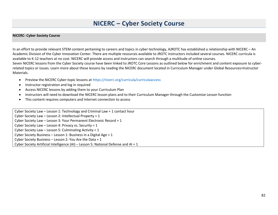#### **NICERC – Cyber Society Course**

#### **NICERC- Cyber Society Course**

In an effort to provide relevant STEM content pertaining to careers and topics in cyber technology, AJROTC has established a relationship with NICERC – An Academic Division of the Cyber Innovation Center. There are multiple resources available to JROTC instructors included several courses. NICERC curricula is available to K-12 teachers at no cost. NICERC will provide access and instructors can search through a multitude of online courses. Seven NICERC lessons from the Cyber Society course have been linked to JROTC Core Lessons as outlined below for enrichment and content exposure to cyberrelated topics or issues. Learn more about these lessons by reading the NICERC document located in Curriculum Manager under Global Resources>Instructor Materials.

- Preview the NICERC Cyber-topic lessons at <https://nicerc.org/curricula/curriculaaccess>
- Instructor registration and log in required
- Access NICERC lessons by adding them to your Curriculum Plan
- Instructors will need to download the NICERC lesson plans and to their Curriculum Manager through the Customize Lesson function
- This content requires computers and Internet connection to access

Cyber Society Law – Lesson 1: Technology and Criminal Law = 1 contact hour Cyber Society Law – Lesson 2: Intellectual Property = 1 Cyber Society Law – Lesson 3: Your Permanent Electronic Record = 1 Cyber Society Law – Lesson 4: Privacy vs. Security = 1 Cyber Society Law – Lesson 5: Culminating Activity = 1 Cyber Society Business – Lesson 1: Business in a Digital Age = 1 Cyber Society Business – Lesson 2: You Are the Data = 1 Cyber Society Artificial Intelligence (AI) – Lesson 5: National Defense and AI = 1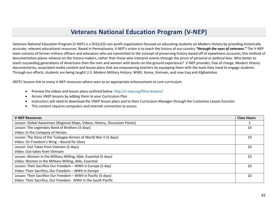# **Veterans National Education Program (V-NEP)**

Veterans National Education Program (V-NEP) is a 501(c)(3) non-profit organization focused on educating students on Modern History by providing historically accurate, relevant educational resources. Based in Pennsylvania, V-NEP's vision is to teach the history of our country *"through the eyes of veterans."* The V-NEP team consists of former military officers and educators who are committed to the concept of preserving history based off of eyewitness accounts; this method of documentation places reliance on the history-makers, rather than those who interpret events through the prism of personal or political bias. Who better to teach succeeding generations of Americans than the men and women with boots-on-the-ground experience? V-NEP provides, free of charge, Modern History documentaries, associated media content and lesson plans that are empowering teachers by equipping them with the tools they need to engage students. Through our efforts, students are being taught U.S. Modern Military History: WWII, Korea, Vietnam, and now Iraq and Afghanistan.

JROTC lessons link to many V-NEP resources where seen as an appropriate enhancement to core curriculum.

- Preview the videos and lesson plans outlined below<http://v-nep.org/films-lessons/>
- Access VNEP lessons by adding them to your Curriculum Plan
- Instructors will need to download the VNEP lesson plans and to their Curriculum Manager through the Customize Lesson function
- This content requires computers and Internet connection to access

| <b>V-NEP Resources</b>                                                       | <b>Class Hours</b> |
|------------------------------------------------------------------------------|--------------------|
| Lesson: Global Awareness (Regional Maps, Videos, History, Discussion Points) |                    |
| Lesson: The Legendary Band of Brothers (5 days)                              | 10                 |
| Video: In the Company of Heroes                                              |                    |
| Lesson: The Story of the Tuskegee Airmen of World War II (5 days)            | 10                 |
| Video: On Freedom's Wing - Bound for Glory                                   |                    |
| Lesson: Out-Takes from Vietnam (5 days)                                      | 10                 |
| Video: Out-takes from Vietnam                                                |                    |
| Lesson: Women in the Military-Willing, Able, Essential (5 days)              | 10                 |
| Video: Women in the Military-Willing, Able, Essential                        |                    |
| Lesson: Their Sacrifice Our Freedom - WWII in Europe (5 day)                 | 10                 |
| Video: Their Sacrifice, Our Freedom - WWII in Europe                         |                    |
| Lesson: Their Sacrifice Our Freedom - WWII in Pacific (5 days)               | 10                 |
| Video: Their Sacrifice, Our Freedom: WWII in the South Pacific               |                    |